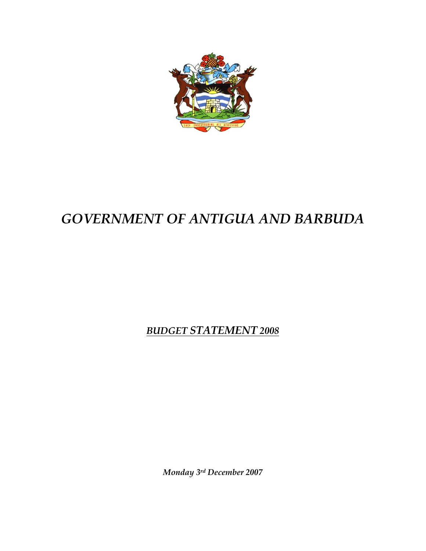

# *GOVERNMENT OF ANTIGUA AND BARBUDA*

*BUDGET STATEMENT 2008*

*Monday 3rd December 2007*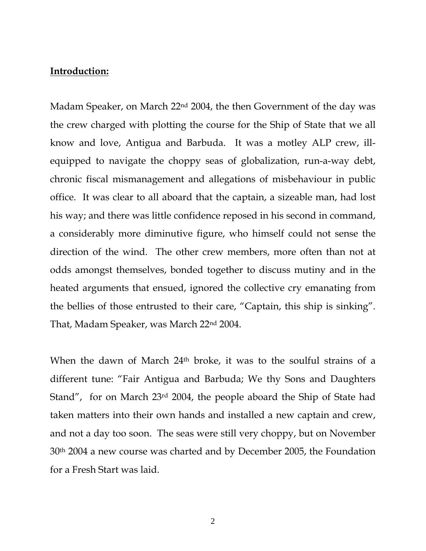# **Introduction:**

Madam Speaker, on March 22<sup>nd</sup> 2004, the then Government of the day was the crew charged with plotting the course for the Ship of State that we all know and love, Antigua and Barbuda. It was a motley ALP crew, illequipped to navigate the choppy seas of globalization, run-a-way debt, chronic fiscal mismanagement and allegations of misbehaviour in public office. It was clear to all aboard that the captain, a sizeable man, had lost his way; and there was little confidence reposed in his second in command, a considerably more diminutive figure, who himself could not sense the direction of the wind. The other crew members, more often than not at odds amongst themselves, bonded together to discuss mutiny and in the heated arguments that ensued, ignored the collective cry emanating from the bellies of those entrusted to their care, "Captain, this ship is sinking". That, Madam Speaker, was March 22nd 2004.

When the dawn of March 24th broke, it was to the soulful strains of a different tune: "Fair Antigua and Barbuda; We thy Sons and Daughters Stand", for on March 23rd 2004, the people aboard the Ship of State had taken matters into their own hands and installed a new captain and crew, and not a day too soon. The seas were still very choppy, but on November 30th 2004 a new course was charted and by December 2005, the Foundation for a Fresh Start was laid.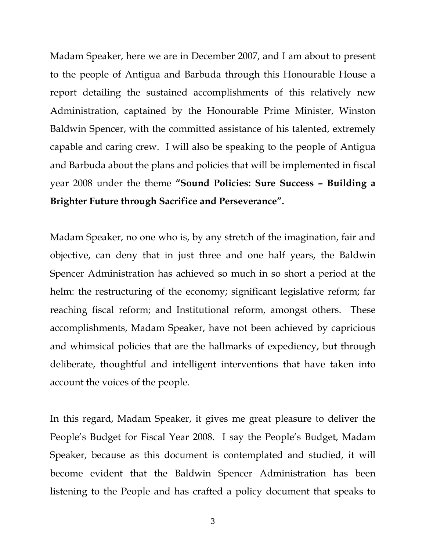Madam Speaker, here we are in December 2007, and I am about to present to the people of Antigua and Barbuda through this Honourable House a report detailing the sustained accomplishments of this relatively new Administration, captained by the Honourable Prime Minister, Winston Baldwin Spencer, with the committed assistance of his talented, extremely capable and caring crew. I will also be speaking to the people of Antigua and Barbuda about the plans and policies that will be implemented in fiscal year 2008 under the theme **"Sound Policies: Sure Success – Building a Brighter Future through Sacrifice and Perseverance".** 

Madam Speaker, no one who is, by any stretch of the imagination, fair and objective, can deny that in just three and one half years, the Baldwin Spencer Administration has achieved so much in so short a period at the helm: the restructuring of the economy; significant legislative reform; far reaching fiscal reform; and Institutional reform, amongst others. These accomplishments, Madam Speaker, have not been achieved by capricious and whimsical policies that are the hallmarks of expediency, but through deliberate, thoughtful and intelligent interventions that have taken into account the voices of the people.

In this regard, Madam Speaker, it gives me great pleasure to deliver the People's Budget for Fiscal Year 2008. I say the People's Budget, Madam Speaker, because as this document is contemplated and studied, it will become evident that the Baldwin Spencer Administration has been listening to the People and has crafted a policy document that speaks to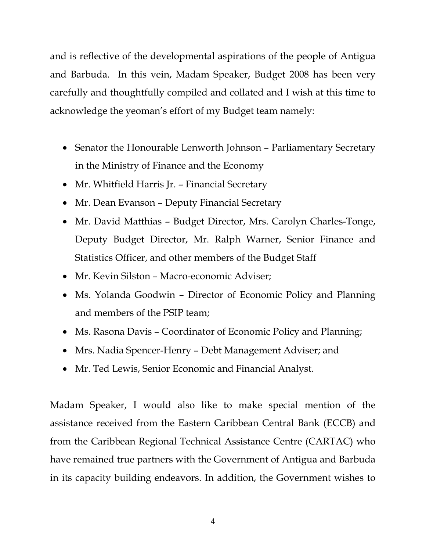and is reflective of the developmental aspirations of the people of Antigua and Barbuda. In this vein, Madam Speaker, Budget 2008 has been very carefully and thoughtfully compiled and collated and I wish at this time to acknowledge the yeoman's effort of my Budget team namely:

- Senator the Honourable Lenworth Johnson Parliamentary Secretary in the Ministry of Finance and the Economy
- Mr. Whitfield Harris Jr. Financial Secretary
- Mr. Dean Evanson Deputy Financial Secretary
- Mr. David Matthias Budget Director, Mrs. Carolyn Charles-Tonge, Deputy Budget Director, Mr. Ralph Warner, Senior Finance and Statistics Officer, and other members of the Budget Staff
- Mr. Kevin Silston Macro-economic Adviser;
- Ms. Yolanda Goodwin Director of Economic Policy and Planning and members of the PSIP team;
- Ms. Rasona Davis Coordinator of Economic Policy and Planning;
- Mrs. Nadia Spencer-Henry Debt Management Adviser; and
- Mr. Ted Lewis, Senior Economic and Financial Analyst.

Madam Speaker, I would also like to make special mention of the assistance received from the Eastern Caribbean Central Bank (ECCB) and from the Caribbean Regional Technical Assistance Centre (CARTAC) who have remained true partners with the Government of Antigua and Barbuda in its capacity building endeavors. In addition, the Government wishes to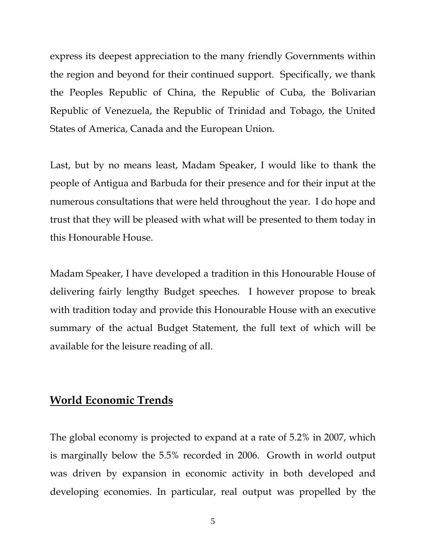express its deepest appreciation to the many friendly Governments within the region and beyond for their continued support. Specifically, we thank the Peoples Republic of China, the Republic of Cuba, the Bolivarian Republic of Venezuela, the Republic of Trinidad and Tobago, the United States of America, Canada and the European Union.

Last, but by no means least, Madam Speaker, I would like to thank the people of Antigua and Barbuda for their presence and for their input at the numerous consultations that were held throughout the year. I do hope and trust that they will be pleased with what will be presented to them today in this Honourable House.

Madam Speaker, I have developed a tradition in this Honourable House of delivering fairly lengthy Budget speeches. I however propose to break with tradition today and provide this Honourable House with an executive summary of the actual Budget Statement, the full text of which will be available for the leisure reading of all.

# **World Economic Trends**

The global economy is projected to expand at a rate of 5.2% in 2007, which is marginally below the 5.5% recorded in 2006. Growth in world output was driven by expansion in economic activity in both developed and developing economies. In particular, real output was propelled by the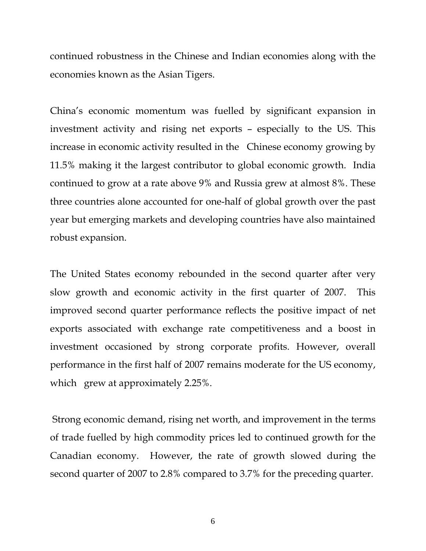continued robustness in the Chinese and Indian economies along with the economies known as the Asian Tigers.

China's economic momentum was fuelled by significant expansion in investment activity and rising net exports – especially to the US. This increase in economic activity resulted in the Chinese economy growing by 11.5% making it the largest contributor to global economic growth. India continued to grow at a rate above 9% and Russia grew at almost 8%. These three countries alone accounted for one-half of global growth over the past year but emerging markets and developing countries have also maintained robust expansion.

The United States economy rebounded in the second quarter after very slow growth and economic activity in the first quarter of 2007. This improved second quarter performance reflects the positive impact of net exports associated with exchange rate competitiveness and a boost in investment occasioned by strong corporate profits. However, overall performance in the first half of 2007 remains moderate for the US economy, which grew at approximately 2.25%.

 Strong economic demand, rising net worth, and improvement in the terms of trade fuelled by high commodity prices led to continued growth for the Canadian economy. However, the rate of growth slowed during the second quarter of 2007 to 2.8% compared to 3.7% for the preceding quarter.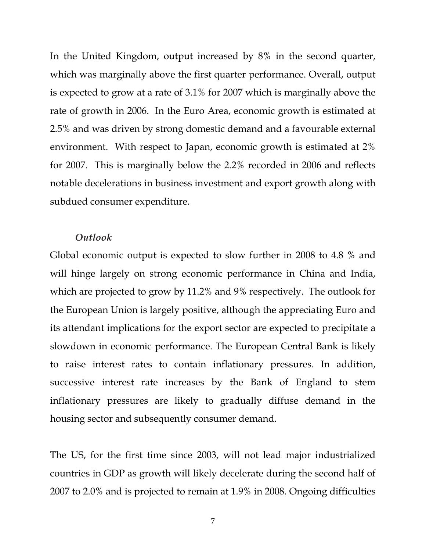In the United Kingdom, output increased by 8% in the second quarter, which was marginally above the first quarter performance. Overall, output is expected to grow at a rate of 3.1% for 2007 which is marginally above the rate of growth in 2006. In the Euro Area, economic growth is estimated at 2.5% and was driven by strong domestic demand and a favourable external environment. With respect to Japan, economic growth is estimated at 2% for 2007. This is marginally below the 2.2% recorded in 2006 and reflects notable decelerations in business investment and export growth along with subdued consumer expenditure.

#### *Outlook*

Global economic output is expected to slow further in 2008 to 4.8 % and will hinge largely on strong economic performance in China and India, which are projected to grow by 11.2% and 9% respectively. The outlook for the European Union is largely positive, although the appreciating Euro and its attendant implications for the export sector are expected to precipitate a slowdown in economic performance. The European Central Bank is likely to raise interest rates to contain inflationary pressures. In addition, successive interest rate increases by the Bank of England to stem inflationary pressures are likely to gradually diffuse demand in the housing sector and subsequently consumer demand.

The US, for the first time since 2003, will not lead major industrialized countries in GDP as growth will likely decelerate during the second half of 2007 to 2.0% and is projected to remain at 1.9% in 2008. Ongoing difficulties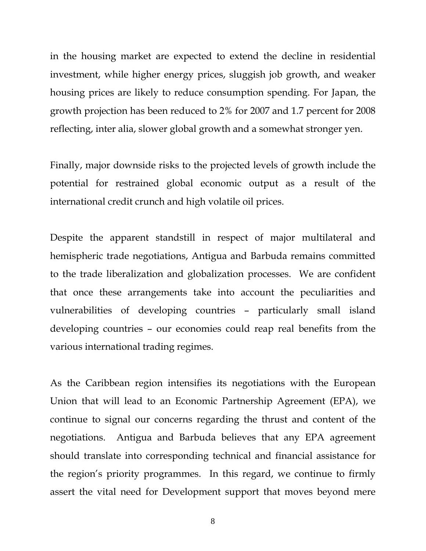in the housing market are expected to extend the decline in residential investment, while higher energy prices, sluggish job growth, and weaker housing prices are likely to reduce consumption spending. For Japan, the growth projection has been reduced to 2% for 2007 and 1.7 percent for 2008 reflecting, inter alia, slower global growth and a somewhat stronger yen.

Finally, major downside risks to the projected levels of growth include the potential for restrained global economic output as a result of the international credit crunch and high volatile oil prices.

Despite the apparent standstill in respect of major multilateral and hemispheric trade negotiations, Antigua and Barbuda remains committed to the trade liberalization and globalization processes. We are confident that once these arrangements take into account the peculiarities and vulnerabilities of developing countries – particularly small island developing countries – our economies could reap real benefits from the various international trading regimes.

As the Caribbean region intensifies its negotiations with the European Union that will lead to an Economic Partnership Agreement (EPA), we continue to signal our concerns regarding the thrust and content of the negotiations. Antigua and Barbuda believes that any EPA agreement should translate into corresponding technical and financial assistance for the region's priority programmes. In this regard, we continue to firmly assert the vital need for Development support that moves beyond mere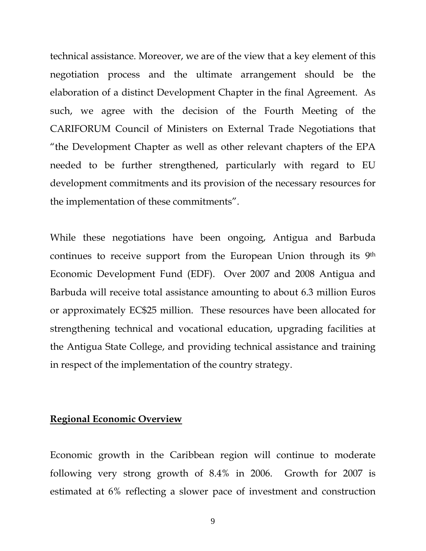technical assistance. Moreover, we are of the view that a key element of this negotiation process and the ultimate arrangement should be the elaboration of a distinct Development Chapter in the final Agreement. As such, we agree with the decision of the Fourth Meeting of the CARIFORUM Council of Ministers on External Trade Negotiations that "the Development Chapter as well as other relevant chapters of the EPA needed to be further strengthened, particularly with regard to EU development commitments and its provision of the necessary resources for the implementation of these commitments".

While these negotiations have been ongoing, Antigua and Barbuda continues to receive support from the European Union through its 9th Economic Development Fund (EDF). Over 2007 and 2008 Antigua and Barbuda will receive total assistance amounting to about 6.3 million Euros or approximately EC\$25 million. These resources have been allocated for strengthening technical and vocational education, upgrading facilities at the Antigua State College, and providing technical assistance and training in respect of the implementation of the country strategy.

# **Regional Economic Overview**

Economic growth in the Caribbean region will continue to moderate following very strong growth of 8.4% in 2006. Growth for 2007 is estimated at 6% reflecting a slower pace of investment and construction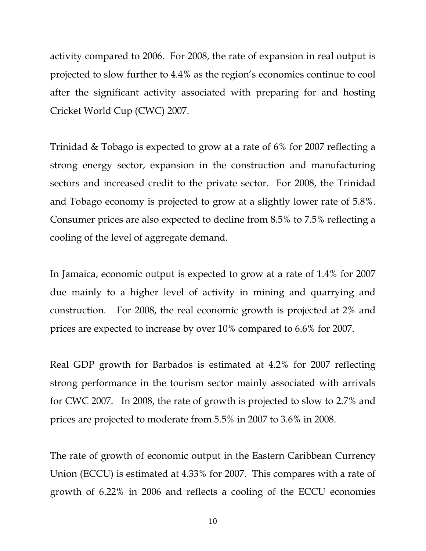activity compared to 2006. For 2008, the rate of expansion in real output is projected to slow further to 4.4% as the region's economies continue to cool after the significant activity associated with preparing for and hosting Cricket World Cup (CWC) 2007.

Trinidad & Tobago is expected to grow at a rate of 6% for 2007 reflecting a strong energy sector, expansion in the construction and manufacturing sectors and increased credit to the private sector. For 2008, the Trinidad and Tobago economy is projected to grow at a slightly lower rate of 5.8%. Consumer prices are also expected to decline from 8.5% to 7.5% reflecting a cooling of the level of aggregate demand.

In Jamaica, economic output is expected to grow at a rate of 1.4% for 2007 due mainly to a higher level of activity in mining and quarrying and construction. For 2008, the real economic growth is projected at 2% and prices are expected to increase by over 10% compared to 6.6% for 2007.

Real GDP growth for Barbados is estimated at 4.2% for 2007 reflecting strong performance in the tourism sector mainly associated with arrivals for CWC 2007. In 2008, the rate of growth is projected to slow to 2.7% and prices are projected to moderate from 5.5% in 2007 to 3.6% in 2008.

The rate of growth of economic output in the Eastern Caribbean Currency Union (ECCU) is estimated at 4.33% for 2007. This compares with a rate of growth of 6.22% in 2006 and reflects a cooling of the ECCU economies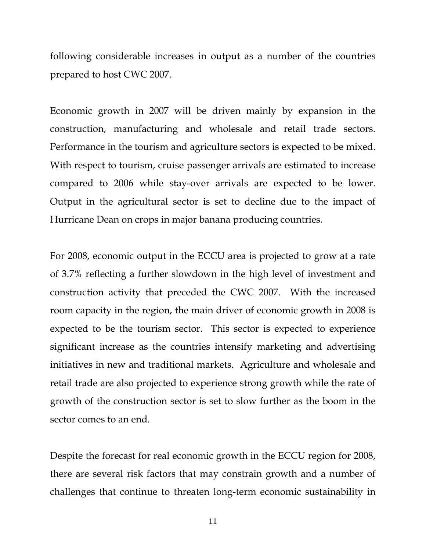following considerable increases in output as a number of the countries prepared to host CWC 2007.

Economic growth in 2007 will be driven mainly by expansion in the construction, manufacturing and wholesale and retail trade sectors. Performance in the tourism and agriculture sectors is expected to be mixed. With respect to tourism, cruise passenger arrivals are estimated to increase compared to 2006 while stay-over arrivals are expected to be lower. Output in the agricultural sector is set to decline due to the impact of Hurricane Dean on crops in major banana producing countries.

For 2008, economic output in the ECCU area is projected to grow at a rate of 3.7% reflecting a further slowdown in the high level of investment and construction activity that preceded the CWC 2007. With the increased room capacity in the region, the main driver of economic growth in 2008 is expected to be the tourism sector. This sector is expected to experience significant increase as the countries intensify marketing and advertising initiatives in new and traditional markets. Agriculture and wholesale and retail trade are also projected to experience strong growth while the rate of growth of the construction sector is set to slow further as the boom in the sector comes to an end.

Despite the forecast for real economic growth in the ECCU region for 2008, there are several risk factors that may constrain growth and a number of challenges that continue to threaten long-term economic sustainability in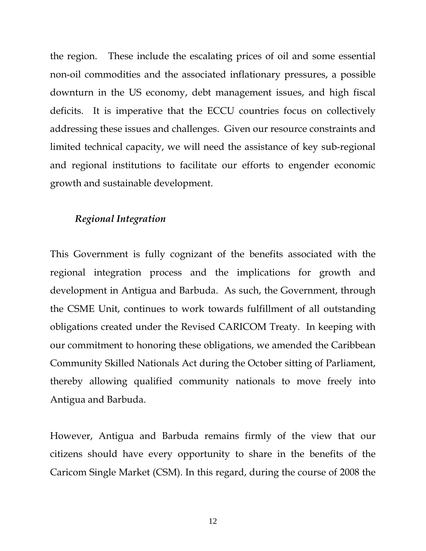the region. These include the escalating prices of oil and some essential non-oil commodities and the associated inflationary pressures, a possible downturn in the US economy, debt management issues, and high fiscal deficits. It is imperative that the ECCU countries focus on collectively addressing these issues and challenges. Given our resource constraints and limited technical capacity, we will need the assistance of key sub-regional and regional institutions to facilitate our efforts to engender economic growth and sustainable development.

# *Regional Integration*

This Government is fully cognizant of the benefits associated with the regional integration process and the implications for growth and development in Antigua and Barbuda. As such, the Government, through the CSME Unit, continues to work towards fulfillment of all outstanding obligations created under the Revised CARICOM Treaty. In keeping with our commitment to honoring these obligations, we amended the Caribbean Community Skilled Nationals Act during the October sitting of Parliament, thereby allowing qualified community nationals to move freely into Antigua and Barbuda.

However, Antigua and Barbuda remains firmly of the view that our citizens should have every opportunity to share in the benefits of the Caricom Single Market (CSM). In this regard, during the course of 2008 the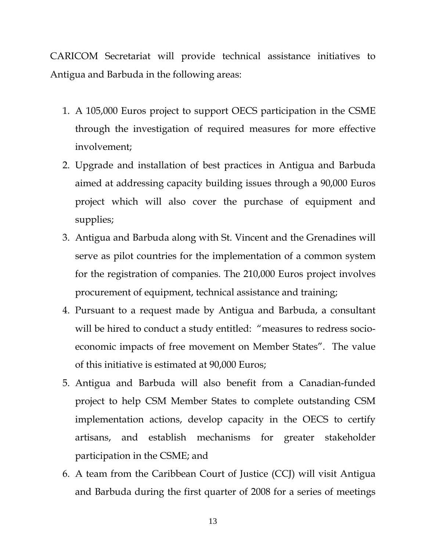CARICOM Secretariat will provide technical assistance initiatives to Antigua and Barbuda in the following areas:

- 1. A 105,000 Euros project to support OECS participation in the CSME through the investigation of required measures for more effective involvement;
- 2. Upgrade and installation of best practices in Antigua and Barbuda aimed at addressing capacity building issues through a 90,000 Euros project which will also cover the purchase of equipment and supplies;
- 3. Antigua and Barbuda along with St. Vincent and the Grenadines will serve as pilot countries for the implementation of a common system for the registration of companies. The 210,000 Euros project involves procurement of equipment, technical assistance and training;
- 4. Pursuant to a request made by Antigua and Barbuda, a consultant will be hired to conduct a study entitled: "measures to redress socioeconomic impacts of free movement on Member States". The value of this initiative is estimated at 90,000 Euros;
- 5. Antigua and Barbuda will also benefit from a Canadian-funded project to help CSM Member States to complete outstanding CSM implementation actions, develop capacity in the OECS to certify artisans, and establish mechanisms for greater stakeholder participation in the CSME; and
- 6. A team from the Caribbean Court of Justice (CCJ) will visit Antigua and Barbuda during the first quarter of 2008 for a series of meetings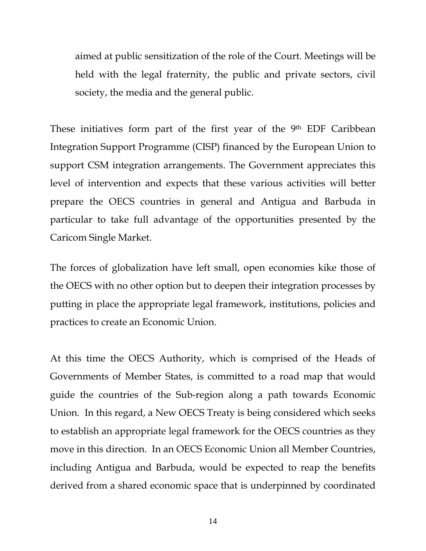aimed at public sensitization of the role of the Court. Meetings will be held with the legal fraternity, the public and private sectors, civil society, the media and the general public.

These initiatives form part of the first year of the 9<sup>th</sup> EDF Caribbean Integration Support Programme (CISP) financed by the European Union to support CSM integration arrangements. The Government appreciates this level of intervention and expects that these various activities will better prepare the OECS countries in general and Antigua and Barbuda in particular to take full advantage of the opportunities presented by the Caricom Single Market.

The forces of globalization have left small, open economies kike those of the OECS with no other option but to deepen their integration processes by putting in place the appropriate legal framework, institutions, policies and practices to create an Economic Union.

At this time the OECS Authority, which is comprised of the Heads of Governments of Member States, is committed to a road map that would guide the countries of the Sub-region along a path towards Economic Union. In this regard, a New OECS Treaty is being considered which seeks to establish an appropriate legal framework for the OECS countries as they move in this direction. In an OECS Economic Union all Member Countries, including Antigua and Barbuda, would be expected to reap the benefits derived from a shared economic space that is underpinned by coordinated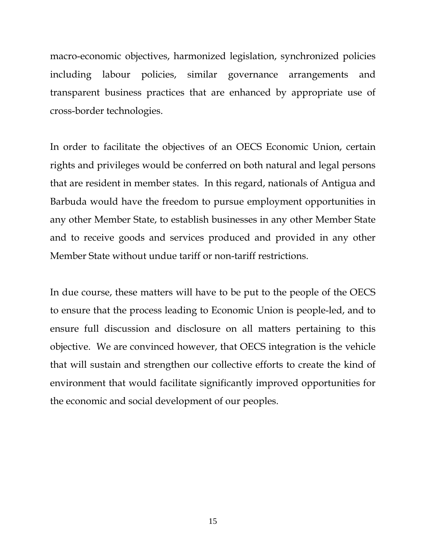macro-economic objectives, harmonized legislation, synchronized policies including labour policies, similar governance arrangements and transparent business practices that are enhanced by appropriate use of cross-border technologies.

In order to facilitate the objectives of an OECS Economic Union, certain rights and privileges would be conferred on both natural and legal persons that are resident in member states. In this regard, nationals of Antigua and Barbuda would have the freedom to pursue employment opportunities in any other Member State, to establish businesses in any other Member State and to receive goods and services produced and provided in any other Member State without undue tariff or non-tariff restrictions.

In due course, these matters will have to be put to the people of the OECS to ensure that the process leading to Economic Union is people-led, and to ensure full discussion and disclosure on all matters pertaining to this objective. We are convinced however, that OECS integration is the vehicle that will sustain and strengthen our collective efforts to create the kind of environment that would facilitate significantly improved opportunities for the economic and social development of our peoples.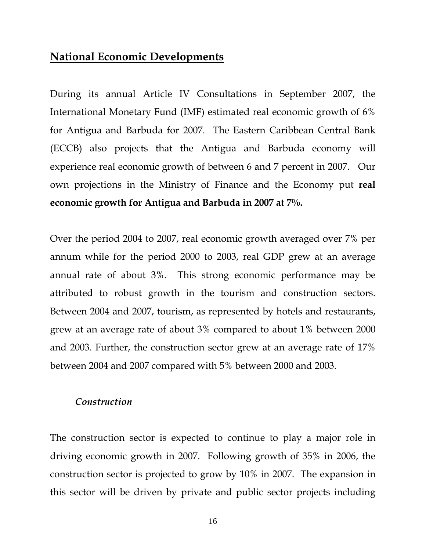# **National Economic Developments**

During its annual Article IV Consultations in September 2007, the International Monetary Fund (IMF) estimated real economic growth of 6% for Antigua and Barbuda for 2007. The Eastern Caribbean Central Bank (ECCB) also projects that the Antigua and Barbuda economy will experience real economic growth of between 6 and 7 percent in 2007. Our own projections in the Ministry of Finance and the Economy put **real economic growth for Antigua and Barbuda in 2007 at 7%.** 

Over the period 2004 to 2007, real economic growth averaged over 7% per annum while for the period 2000 to 2003, real GDP grew at an average annual rate of about 3%. This strong economic performance may be attributed to robust growth in the tourism and construction sectors. Between 2004 and 2007, tourism, as represented by hotels and restaurants, grew at an average rate of about 3% compared to about 1% between 2000 and 2003. Further, the construction sector grew at an average rate of 17% between 2004 and 2007 compared with 5% between 2000 and 2003.

#### *Construction*

The construction sector is expected to continue to play a major role in driving economic growth in 2007. Following growth of 35% in 2006, the construction sector is projected to grow by 10% in 2007. The expansion in this sector will be driven by private and public sector projects including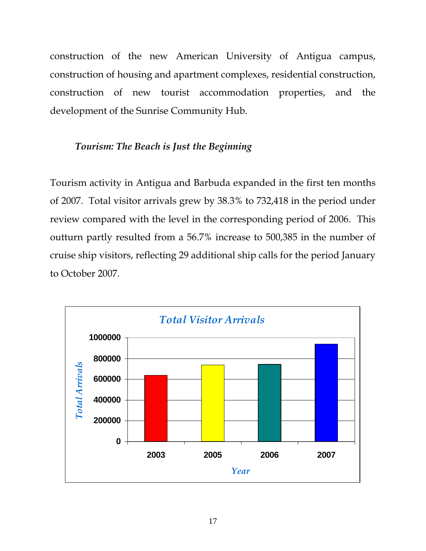construction of the new American University of Antigua campus, construction of housing and apartment complexes, residential construction, construction of new tourist accommodation properties, and the development of the Sunrise Community Hub.

# *Tourism: The Beach is Just the Beginning*

Tourism activity in Antigua and Barbuda expanded in the first ten months of 2007. Total visitor arrivals grew by 38.3% to 732,418 in the period under review compared with the level in the corresponding period of 2006. This outturn partly resulted from a 56.7% increase to 500,385 in the number of cruise ship visitors, reflecting 29 additional ship calls for the period January to October 2007.

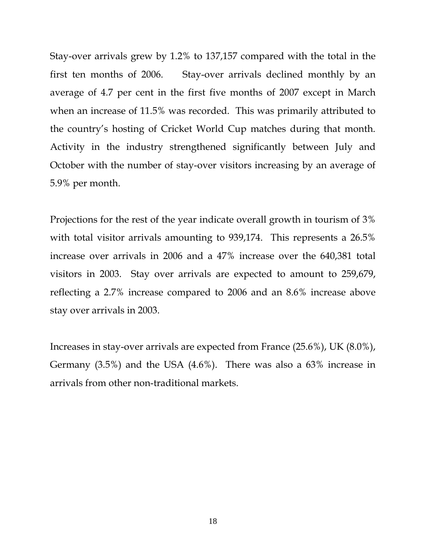Stay-over arrivals grew by 1.2% to 137,157 compared with the total in the first ten months of 2006. Stay-over arrivals declined monthly by an average of 4.7 per cent in the first five months of 2007 except in March when an increase of 11.5% was recorded. This was primarily attributed to the country's hosting of Cricket World Cup matches during that month. Activity in the industry strengthened significantly between July and October with the number of stay-over visitors increasing by an average of 5.9% per month.

Projections for the rest of the year indicate overall growth in tourism of 3% with total visitor arrivals amounting to 939,174. This represents a 26.5% increase over arrivals in 2006 and a 47% increase over the 640,381 total visitors in 2003. Stay over arrivals are expected to amount to 259,679, reflecting a 2.7% increase compared to 2006 and an 8.6% increase above stay over arrivals in 2003.

Increases in stay-over arrivals are expected from France (25.6%), UK (8.0%), Germany (3.5%) and the USA (4.6%). There was also a 63% increase in arrivals from other non-traditional markets.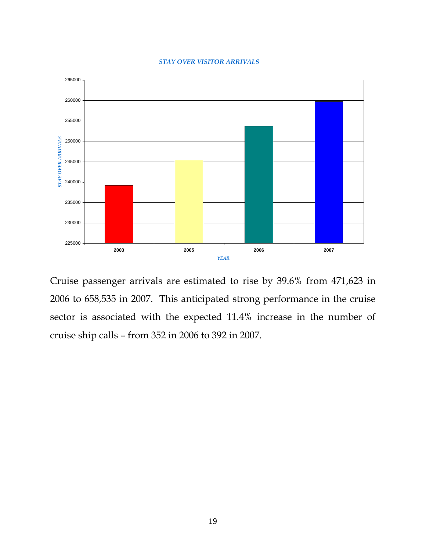#### *STAY OVER VISITOR ARRIVALS*



Cruise passenger arrivals are estimated to rise by 39.6% from 471,623 in 2006 to 658,535 in 2007. This anticipated strong performance in the cruise sector is associated with the expected 11.4% increase in the number of cruise ship calls – from 352 in 2006 to 392 in 2007.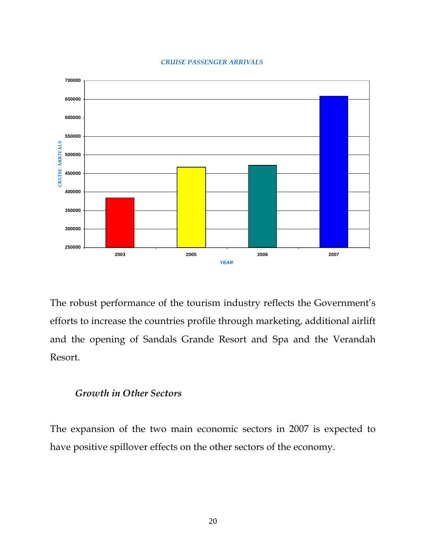#### *CRUISE PASSENGER ARRIVALS*



The robust performance of the tourism industry reflects the Government's efforts to increase the countries profile through marketing, additional airlift and the opening of Sandals Grande Resort and Spa and the Verandah Resort.

# *Growth in Other Sectors*

The expansion of the two main economic sectors in 2007 is expected to have positive spillover effects on the other sectors of the economy.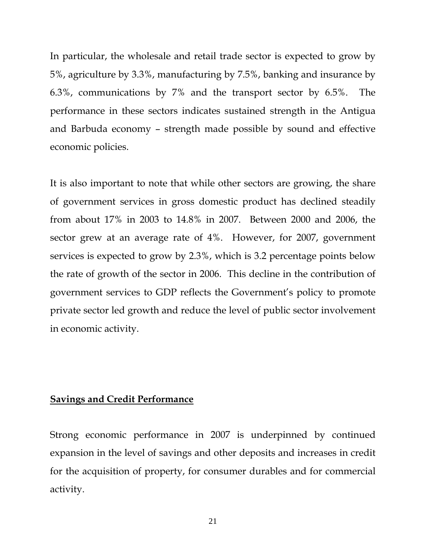In particular, the wholesale and retail trade sector is expected to grow by 5%, agriculture by 3.3%, manufacturing by 7.5%, banking and insurance by 6.3%, communications by 7% and the transport sector by 6.5%. The performance in these sectors indicates sustained strength in the Antigua and Barbuda economy – strength made possible by sound and effective economic policies.

It is also important to note that while other sectors are growing, the share of government services in gross domestic product has declined steadily from about 17% in 2003 to 14.8% in 2007. Between 2000 and 2006, the sector grew at an average rate of 4%. However, for 2007, government services is expected to grow by 2.3%, which is 3.2 percentage points below the rate of growth of the sector in 2006. This decline in the contribution of government services to GDP reflects the Government's policy to promote private sector led growth and reduce the level of public sector involvement in economic activity.

### **Savings and Credit Performance**

Strong economic performance in 2007 is underpinned by continued expansion in the level of savings and other deposits and increases in credit for the acquisition of property, for consumer durables and for commercial activity.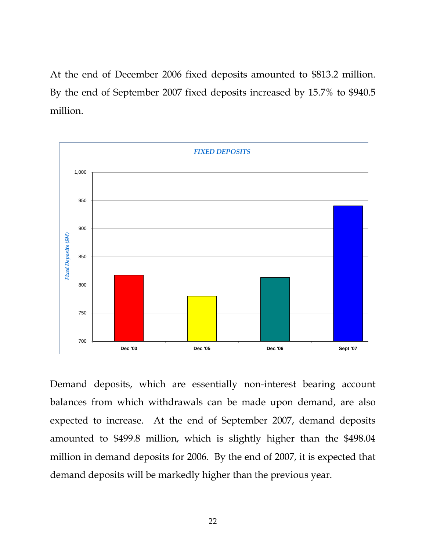At the end of December 2006 fixed deposits amounted to \$813.2 million. By the end of September 2007 fixed deposits increased by 15.7% to \$940.5 million.



Demand deposits, which are essentially non-interest bearing account balances from which withdrawals can be made upon demand, are also expected to increase. At the end of September 2007, demand deposits amounted to \$499.8 million, which is slightly higher than the \$498.04 million in demand deposits for 2006. By the end of 2007, it is expected that demand deposits will be markedly higher than the previous year.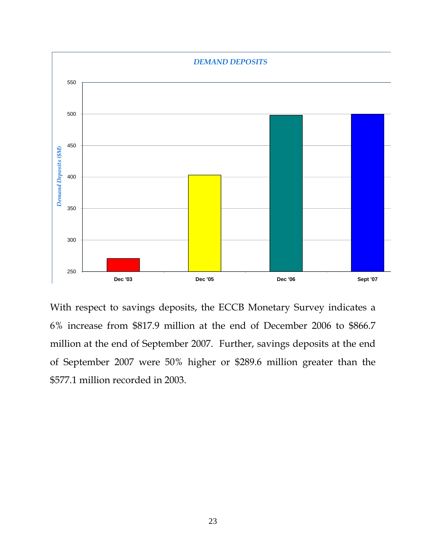

With respect to savings deposits, the ECCB Monetary Survey indicates a 6% increase from \$817.9 million at the end of December 2006 to \$866.7 million at the end of September 2007. Further, savings deposits at the end of September 2007 were 50% higher or \$289.6 million greater than the \$577.1 million recorded in 2003.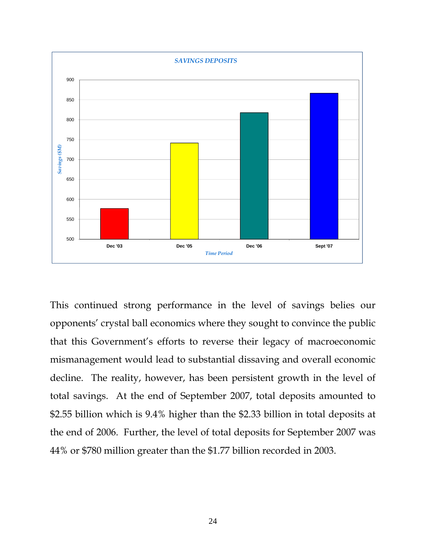

This continued strong performance in the level of savings belies our opponents' crystal ball economics where they sought to convince the public that this Government's efforts to reverse their legacy of macroeconomic mismanagement would lead to substantial dissaving and overall economic decline. The reality, however, has been persistent growth in the level of total savings. At the end of September 2007, total deposits amounted to \$2.55 billion which is 9.4% higher than the \$2.33 billion in total deposits at the end of 2006. Further, the level of total deposits for September 2007 was 44% or \$780 million greater than the \$1.77 billion recorded in 2003.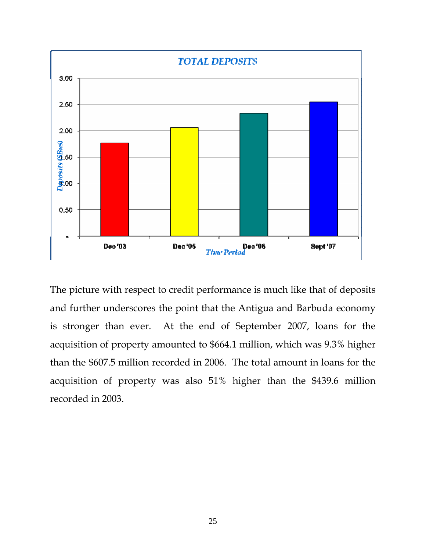

The picture with respect to credit performance is much like that of deposits and further underscores the point that the Antigua and Barbuda economy is stronger than ever. At the end of September 2007, loans for the acquisition of property amounted to \$664.1 million, which was 9.3% higher than the \$607.5 million recorded in 2006. The total amount in loans for the acquisition of property was also 51% higher than the \$439.6 million recorded in 2003.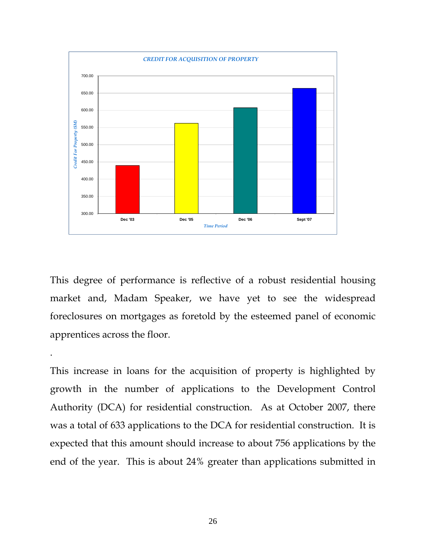

This degree of performance is reflective of a robust residential housing market and, Madam Speaker, we have yet to see the widespread foreclosures on mortgages as foretold by the esteemed panel of economic apprentices across the floor.

.

This increase in loans for the acquisition of property is highlighted by growth in the number of applications to the Development Control Authority (DCA) for residential construction. As at October 2007, there was a total of 633 applications to the DCA for residential construction. It is expected that this amount should increase to about 756 applications by the end of the year. This is about 24% greater than applications submitted in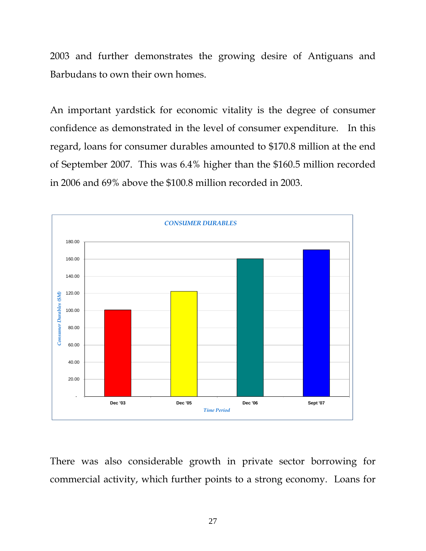2003 and further demonstrates the growing desire of Antiguans and Barbudans to own their own homes.

An important yardstick for economic vitality is the degree of consumer confidence as demonstrated in the level of consumer expenditure. In this regard, loans for consumer durables amounted to \$170.8 million at the end of September 2007. This was 6.4% higher than the \$160.5 million recorded in 2006 and 69% above the \$100.8 million recorded in 2003.



There was also considerable growth in private sector borrowing for commercial activity, which further points to a strong economy. Loans for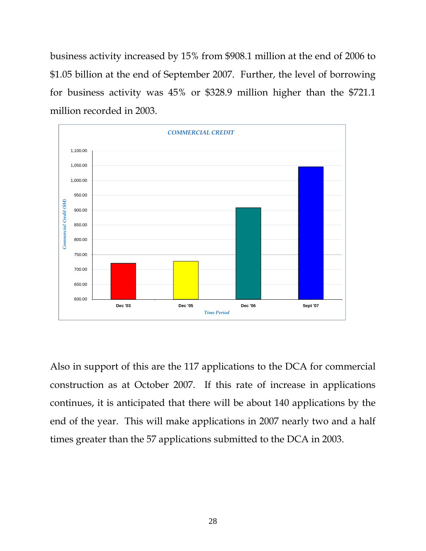business activity increased by 15% from \$908.1 million at the end of 2006 to \$1.05 billion at the end of September 2007. Further, the level of borrowing for business activity was 45% or \$328.9 million higher than the \$721.1 million recorded in 2003.



Also in support of this are the 117 applications to the DCA for commercial construction as at October 2007. If this rate of increase in applications continues, it is anticipated that there will be about 140 applications by the end of the year. This will make applications in 2007 nearly two and a half times greater than the 57 applications submitted to the DCA in 2003.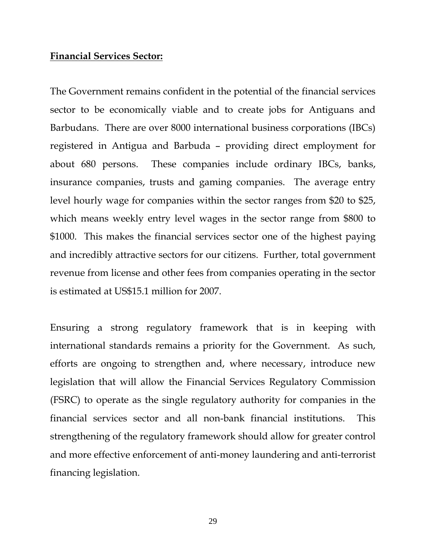### **Financial Services Sector:**

The Government remains confident in the potential of the financial services sector to be economically viable and to create jobs for Antiguans and Barbudans. There are over 8000 international business corporations (IBCs) registered in Antigua and Barbuda – providing direct employment for about 680 persons. These companies include ordinary IBCs, banks, insurance companies, trusts and gaming companies. The average entry level hourly wage for companies within the sector ranges from \$20 to \$25, which means weekly entry level wages in the sector range from \$800 to \$1000. This makes the financial services sector one of the highest paying and incredibly attractive sectors for our citizens. Further, total government revenue from license and other fees from companies operating in the sector is estimated at US\$15.1 million for 2007.

Ensuring a strong regulatory framework that is in keeping with international standards remains a priority for the Government. As such, efforts are ongoing to strengthen and, where necessary, introduce new legislation that will allow the Financial Services Regulatory Commission (FSRC) to operate as the single regulatory authority for companies in the financial services sector and all non-bank financial institutions. This strengthening of the regulatory framework should allow for greater control and more effective enforcement of anti-money laundering and anti-terrorist financing legislation.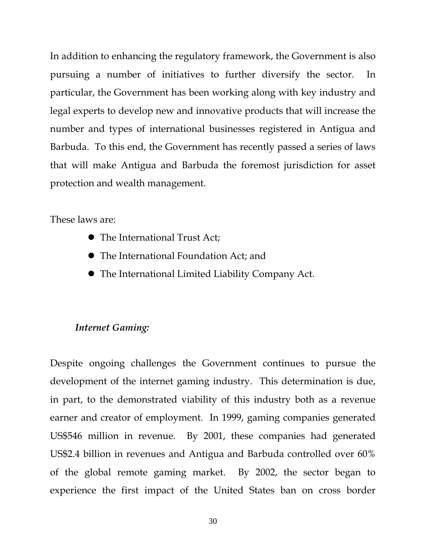In addition to enhancing the regulatory framework, the Government is also pursuing a number of initiatives to further diversify the sector. In particular, the Government has been working along with key industry and legal experts to develop new and innovative products that will increase the number and types of international businesses registered in Antigua and Barbuda. To this end, the Government has recently passed a series of laws that will make Antigua and Barbuda the foremost jurisdiction for asset protection and wealth management.

These laws are:

- $\bullet$  The International Trust Act;
- The International Foundation Act; and
- $\bullet$  The International Limited Liability Company Act.

### *Internet Gaming:*

Despite ongoing challenges the Government continues to pursue the development of the internet gaming industry. This determination is due, in part, to the demonstrated viability of this industry both as a revenue earner and creator of employment. In 1999, gaming companies generated US\$546 million in revenue. By 2001, these companies had generated US\$2.4 billion in revenues and Antigua and Barbuda controlled over 60% of the global remote gaming market. By 2002, the sector began to experience the first impact of the United States ban on cross border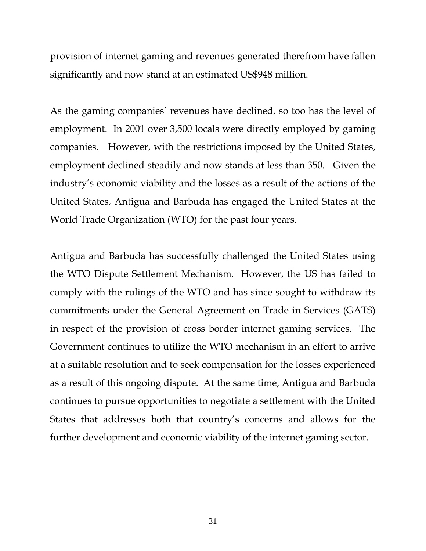provision of internet gaming and revenues generated therefrom have fallen significantly and now stand at an estimated US\$948 million.

As the gaming companies' revenues have declined, so too has the level of employment. In 2001 over 3,500 locals were directly employed by gaming companies. However, with the restrictions imposed by the United States, employment declined steadily and now stands at less than 350. Given the industry's economic viability and the losses as a result of the actions of the United States, Antigua and Barbuda has engaged the United States at the World Trade Organization (WTO) for the past four years.

Antigua and Barbuda has successfully challenged the United States using the WTO Dispute Settlement Mechanism. However, the US has failed to comply with the rulings of the WTO and has since sought to withdraw its commitments under the General Agreement on Trade in Services (GATS) in respect of the provision of cross border internet gaming services. The Government continues to utilize the WTO mechanism in an effort to arrive at a suitable resolution and to seek compensation for the losses experienced as a result of this ongoing dispute. At the same time, Antigua and Barbuda continues to pursue opportunities to negotiate a settlement with the United States that addresses both that country's concerns and allows for the further development and economic viability of the internet gaming sector.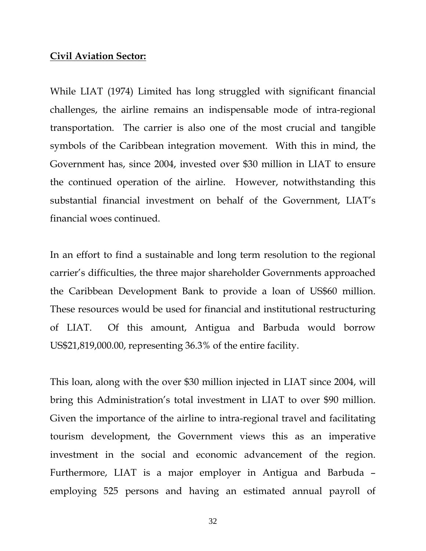#### **Civil Aviation Sector:**

While LIAT (1974) Limited has long struggled with significant financial challenges, the airline remains an indispensable mode of intra-regional transportation. The carrier is also one of the most crucial and tangible symbols of the Caribbean integration movement. With this in mind, the Government has, since 2004, invested over \$30 million in LIAT to ensure the continued operation of the airline. However, notwithstanding this substantial financial investment on behalf of the Government, LIAT's financial woes continued.

In an effort to find a sustainable and long term resolution to the regional carrier's difficulties, the three major shareholder Governments approached the Caribbean Development Bank to provide a loan of US\$60 million. These resources would be used for financial and institutional restructuring of LIAT. Of this amount, Antigua and Barbuda would borrow US\$21,819,000.00, representing 36.3% of the entire facility.

This loan, along with the over \$30 million injected in LIAT since 2004, will bring this Administration's total investment in LIAT to over \$90 million. Given the importance of the airline to intra-regional travel and facilitating tourism development, the Government views this as an imperative investment in the social and economic advancement of the region. Furthermore, LIAT is a major employer in Antigua and Barbuda – employing 525 persons and having an estimated annual payroll of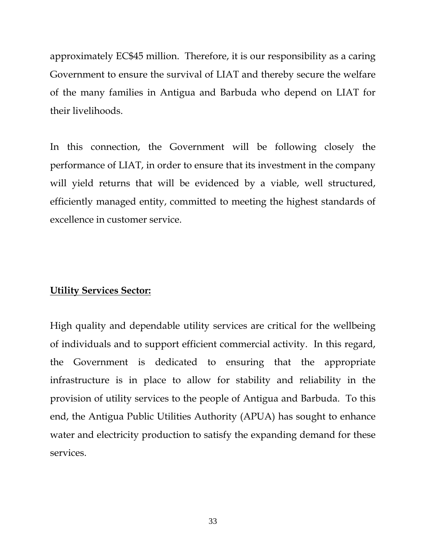approximately EC\$45 million. Therefore, it is our responsibility as a caring Government to ensure the survival of LIAT and thereby secure the welfare of the many families in Antigua and Barbuda who depend on LIAT for their livelihoods.

In this connection, the Government will be following closely the performance of LIAT, in order to ensure that its investment in the company will yield returns that will be evidenced by a viable, well structured, efficiently managed entity, committed to meeting the highest standards of excellence in customer service.

# **Utility Services Sector:**

High quality and dependable utility services are critical for the wellbeing of individuals and to support efficient commercial activity. In this regard, the Government is dedicated to ensuring that the appropriate infrastructure is in place to allow for stability and reliability in the provision of utility services to the people of Antigua and Barbuda. To this end, the Antigua Public Utilities Authority (APUA) has sought to enhance water and electricity production to satisfy the expanding demand for these services.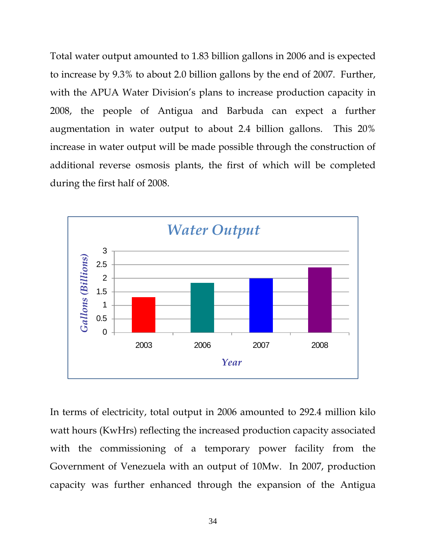Total water output amounted to 1.83 billion gallons in 2006 and is expected to increase by 9.3% to about 2.0 billion gallons by the end of 2007. Further, with the APUA Water Division's plans to increase production capacity in 2008, the people of Antigua and Barbuda can expect a further augmentation in water output to about 2.4 billion gallons. This 20% increase in water output will be made possible through the construction of additional reverse osmosis plants, the first of which will be completed during the first half of 2008.



In terms of electricity, total output in 2006 amounted to 292.4 million kilo watt hours (KwHrs) reflecting the increased production capacity associated with the commissioning of a temporary power facility from the Government of Venezuela with an output of 10Mw. In 2007, production capacity was further enhanced through the expansion of the Antigua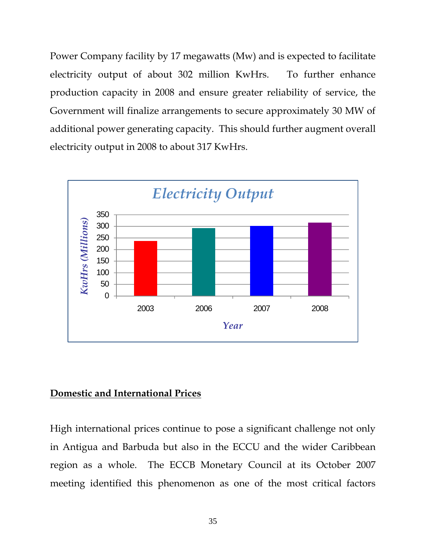Power Company facility by 17 megawatts (Mw) and is expected to facilitate electricity output of about 302 million KwHrs. To further enhance production capacity in 2008 and ensure greater reliability of service, the Government will finalize arrangements to secure approximately 30 MW of additional power generating capacity. This should further augment overall electricity output in 2008 to about 317 KwHrs.



# **Domestic and International Prices**

High international prices continue to pose a significant challenge not only in Antigua and Barbuda but also in the ECCU and the wider Caribbean region as a whole. The ECCB Monetary Council at its October 2007 meeting identified this phenomenon as one of the most critical factors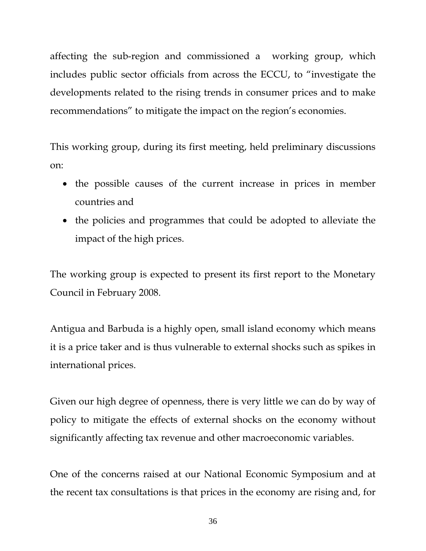affecting the sub-region and commissioned a working group, which includes public sector officials from across the ECCU, to "investigate the developments related to the rising trends in consumer prices and to make recommendations" to mitigate the impact on the region's economies.

This working group, during its first meeting, held preliminary discussions on:

- the possible causes of the current increase in prices in member countries and
- the policies and programmes that could be adopted to alleviate the impact of the high prices.

The working group is expected to present its first report to the Monetary Council in February 2008.

Antigua and Barbuda is a highly open, small island economy which means it is a price taker and is thus vulnerable to external shocks such as spikes in international prices.

Given our high degree of openness, there is very little we can do by way of policy to mitigate the effects of external shocks on the economy without significantly affecting tax revenue and other macroeconomic variables.

One of the concerns raised at our National Economic Symposium and at the recent tax consultations is that prices in the economy are rising and, for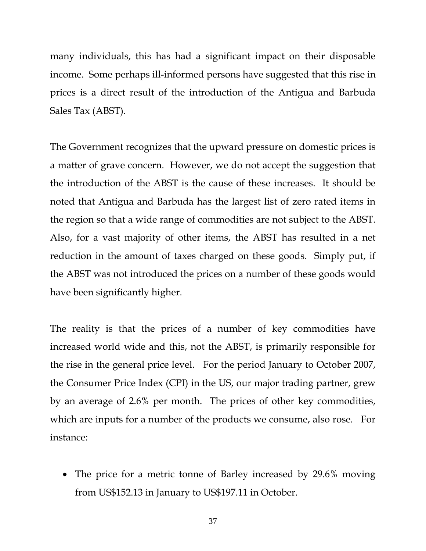many individuals, this has had a significant impact on their disposable income. Some perhaps ill-informed persons have suggested that this rise in prices is a direct result of the introduction of the Antigua and Barbuda Sales Tax (ABST).

The Government recognizes that the upward pressure on domestic prices is a matter of grave concern. However, we do not accept the suggestion that the introduction of the ABST is the cause of these increases. It should be noted that Antigua and Barbuda has the largest list of zero rated items in the region so that a wide range of commodities are not subject to the ABST. Also, for a vast majority of other items, the ABST has resulted in a net reduction in the amount of taxes charged on these goods. Simply put, if the ABST was not introduced the prices on a number of these goods would have been significantly higher.

The reality is that the prices of a number of key commodities have increased world wide and this, not the ABST, is primarily responsible for the rise in the general price level. For the period January to October 2007, the Consumer Price Index (CPI) in the US, our major trading partner, grew by an average of 2.6% per month. The prices of other key commodities, which are inputs for a number of the products we consume, also rose. For instance:

• The price for a metric tonne of Barley increased by 29.6% moving from US\$152.13 in January to US\$197.11 in October.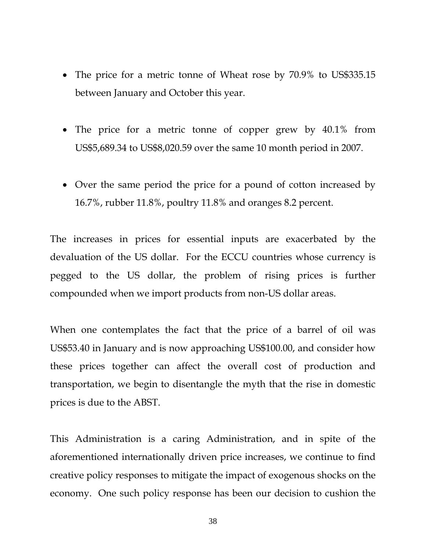- The price for a metric tonne of Wheat rose by 70.9% to US\$335.15 between January and October this year.
- The price for a metric tonne of copper grew by 40.1% from US\$5,689.34 to US\$8,020.59 over the same 10 month period in 2007.
- Over the same period the price for a pound of cotton increased by 16.7%, rubber 11.8%, poultry 11.8% and oranges 8.2 percent.

The increases in prices for essential inputs are exacerbated by the devaluation of the US dollar. For the ECCU countries whose currency is pegged to the US dollar, the problem of rising prices is further compounded when we import products from non-US dollar areas.

When one contemplates the fact that the price of a barrel of oil was US\$53.40 in January and is now approaching US\$100.00, and consider how these prices together can affect the overall cost of production and transportation, we begin to disentangle the myth that the rise in domestic prices is due to the ABST.

This Administration is a caring Administration, and in spite of the aforementioned internationally driven price increases, we continue to find creative policy responses to mitigate the impact of exogenous shocks on the economy. One such policy response has been our decision to cushion the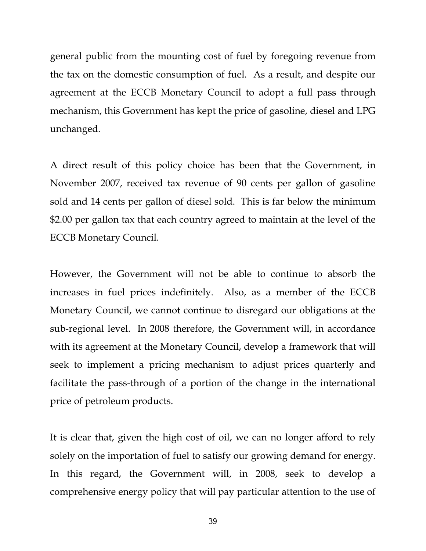general public from the mounting cost of fuel by foregoing revenue from the tax on the domestic consumption of fuel. As a result, and despite our agreement at the ECCB Monetary Council to adopt a full pass through mechanism, this Government has kept the price of gasoline, diesel and LPG unchanged.

A direct result of this policy choice has been that the Government, in November 2007, received tax revenue of 90 cents per gallon of gasoline sold and 14 cents per gallon of diesel sold. This is far below the minimum \$2.00 per gallon tax that each country agreed to maintain at the level of the ECCB Monetary Council.

However, the Government will not be able to continue to absorb the increases in fuel prices indefinitely. Also, as a member of the ECCB Monetary Council, we cannot continue to disregard our obligations at the sub-regional level. In 2008 therefore, the Government will, in accordance with its agreement at the Monetary Council, develop a framework that will seek to implement a pricing mechanism to adjust prices quarterly and facilitate the pass-through of a portion of the change in the international price of petroleum products.

It is clear that, given the high cost of oil, we can no longer afford to rely solely on the importation of fuel to satisfy our growing demand for energy. In this regard, the Government will, in 2008, seek to develop a comprehensive energy policy that will pay particular attention to the use of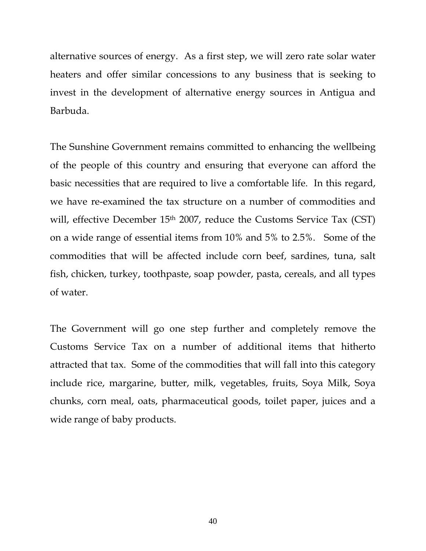alternative sources of energy. As a first step, we will zero rate solar water heaters and offer similar concessions to any business that is seeking to invest in the development of alternative energy sources in Antigua and Barbuda.

The Sunshine Government remains committed to enhancing the wellbeing of the people of this country and ensuring that everyone can afford the basic necessities that are required to live a comfortable life. In this regard, we have re-examined the tax structure on a number of commodities and will, effective December 15<sup>th</sup> 2007, reduce the Customs Service Tax (CST) on a wide range of essential items from 10% and 5% to 2.5%. Some of the commodities that will be affected include corn beef, sardines, tuna, salt fish, chicken, turkey, toothpaste, soap powder, pasta, cereals, and all types of water.

The Government will go one step further and completely remove the Customs Service Tax on a number of additional items that hitherto attracted that tax. Some of the commodities that will fall into this category include rice, margarine, butter, milk, vegetables, fruits, Soya Milk, Soya chunks, corn meal, oats, pharmaceutical goods, toilet paper, juices and a wide range of baby products.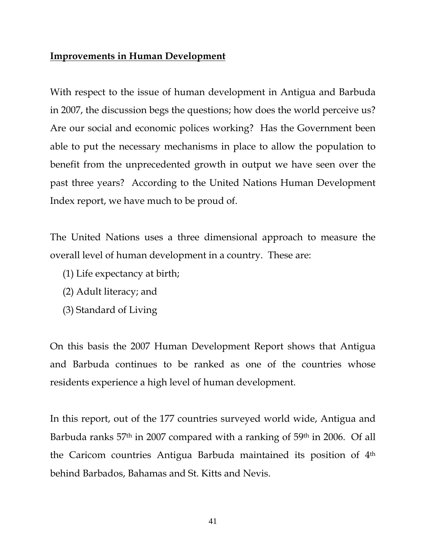# **Improvements in Human Development**

With respect to the issue of human development in Antigua and Barbuda in 2007, the discussion begs the questions; how does the world perceive us? Are our social and economic polices working? Has the Government been able to put the necessary mechanisms in place to allow the population to benefit from the unprecedented growth in output we have seen over the past three years? According to the United Nations Human Development Index report, we have much to be proud of.

The United Nations uses a three dimensional approach to measure the overall level of human development in a country. These are:

- (1) Life expectancy at birth;
- (2) Adult literacy; and
- (3) Standard of Living

On this basis the 2007 Human Development Report shows that Antigua and Barbuda continues to be ranked as one of the countries whose residents experience a high level of human development.

In this report, out of the 177 countries surveyed world wide, Antigua and Barbuda ranks 57<sup>th</sup> in 2007 compared with a ranking of 59<sup>th</sup> in 2006. Of all the Caricom countries Antigua Barbuda maintained its position of 4th behind Barbados, Bahamas and St. Kitts and Nevis.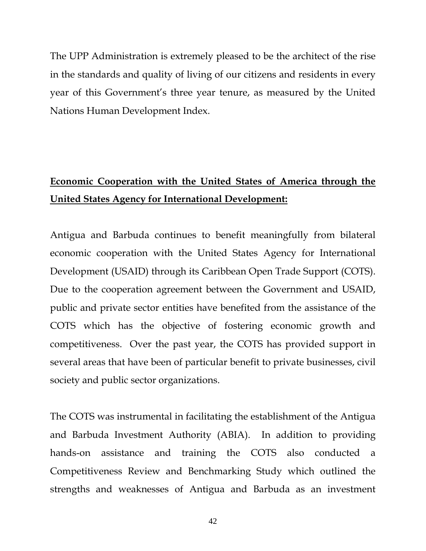The UPP Administration is extremely pleased to be the architect of the rise in the standards and quality of living of our citizens and residents in every year of this Government's three year tenure, as measured by the United Nations Human Development Index.

# **Economic Cooperation with the United States of America through the United States Agency for International Development:**

Antigua and Barbuda continues to benefit meaningfully from bilateral economic cooperation with the United States Agency for International Development (USAID) through its Caribbean Open Trade Support (COTS). Due to the cooperation agreement between the Government and USAID, public and private sector entities have benefited from the assistance of the COTS which has the objective of fostering economic growth and competitiveness. Over the past year, the COTS has provided support in several areas that have been of particular benefit to private businesses, civil society and public sector organizations.

The COTS was instrumental in facilitating the establishment of the Antigua and Barbuda Investment Authority (ABIA). In addition to providing hands-on assistance and training the COTS also conducted a Competitiveness Review and Benchmarking Study which outlined the strengths and weaknesses of Antigua and Barbuda as an investment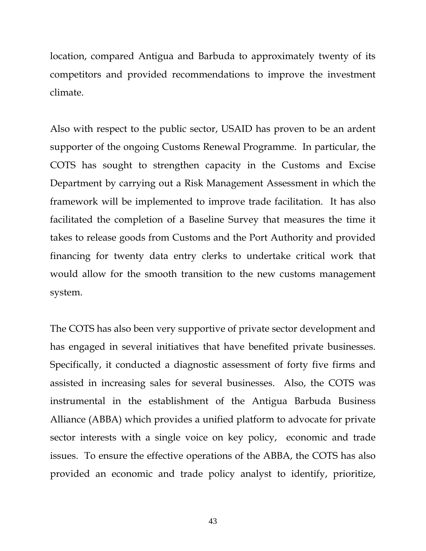location, compared Antigua and Barbuda to approximately twenty of its competitors and provided recommendations to improve the investment climate.

Also with respect to the public sector, USAID has proven to be an ardent supporter of the ongoing Customs Renewal Programme. In particular, the COTS has sought to strengthen capacity in the Customs and Excise Department by carrying out a Risk Management Assessment in which the framework will be implemented to improve trade facilitation. It has also facilitated the completion of a Baseline Survey that measures the time it takes to release goods from Customs and the Port Authority and provided financing for twenty data entry clerks to undertake critical work that would allow for the smooth transition to the new customs management system.

The COTS has also been very supportive of private sector development and has engaged in several initiatives that have benefited private businesses. Specifically, it conducted a diagnostic assessment of forty five firms and assisted in increasing sales for several businesses. Also, the COTS was instrumental in the establishment of the Antigua Barbuda Business Alliance (ABBA) which provides a unified platform to advocate for private sector interests with a single voice on key policy, economic and trade issues. To ensure the effective operations of the ABBA, the COTS has also provided an economic and trade policy analyst to identify, prioritize,

43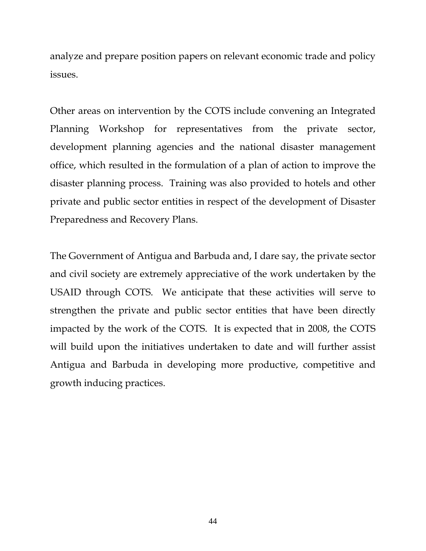analyze and prepare position papers on relevant economic trade and policy issues.

Other areas on intervention by the COTS include convening an Integrated Planning Workshop for representatives from the private sector, development planning agencies and the national disaster management office, which resulted in the formulation of a plan of action to improve the disaster planning process. Training was also provided to hotels and other private and public sector entities in respect of the development of Disaster Preparedness and Recovery Plans.

The Government of Antigua and Barbuda and, I dare say, the private sector and civil society are extremely appreciative of the work undertaken by the USAID through COTS. We anticipate that these activities will serve to strengthen the private and public sector entities that have been directly impacted by the work of the COTS. It is expected that in 2008, the COTS will build upon the initiatives undertaken to date and will further assist Antigua and Barbuda in developing more productive, competitive and growth inducing practices.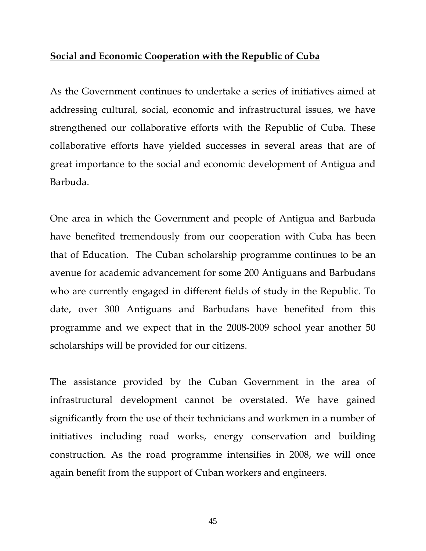# **Social and Economic Cooperation with the Republic of Cuba**

As the Government continues to undertake a series of initiatives aimed at addressing cultural, social, economic and infrastructural issues, we have strengthened our collaborative efforts with the Republic of Cuba. These collaborative efforts have yielded successes in several areas that are of great importance to the social and economic development of Antigua and Barbuda.

One area in which the Government and people of Antigua and Barbuda have benefited tremendously from our cooperation with Cuba has been that of Education. The Cuban scholarship programme continues to be an avenue for academic advancement for some 200 Antiguans and Barbudans who are currently engaged in different fields of study in the Republic. To date, over 300 Antiguans and Barbudans have benefited from this programme and we expect that in the 2008-2009 school year another 50 scholarships will be provided for our citizens.

The assistance provided by the Cuban Government in the area of infrastructural development cannot be overstated. We have gained significantly from the use of their technicians and workmen in a number of initiatives including road works, energy conservation and building construction. As the road programme intensifies in 2008, we will once again benefit from the support of Cuban workers and engineers.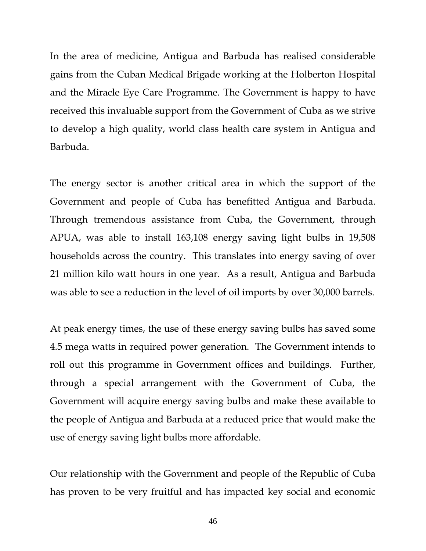In the area of medicine, Antigua and Barbuda has realised considerable gains from the Cuban Medical Brigade working at the Holberton Hospital and the Miracle Eye Care Programme. The Government is happy to have received this invaluable support from the Government of Cuba as we strive to develop a high quality, world class health care system in Antigua and Barbuda.

The energy sector is another critical area in which the support of the Government and people of Cuba has benefitted Antigua and Barbuda. Through tremendous assistance from Cuba, the Government, through APUA, was able to install 163,108 energy saving light bulbs in 19,508 households across the country. This translates into energy saving of over 21 million kilo watt hours in one year. As a result, Antigua and Barbuda was able to see a reduction in the level of oil imports by over 30,000 barrels.

At peak energy times, the use of these energy saving bulbs has saved some 4.5 mega watts in required power generation. The Government intends to roll out this programme in Government offices and buildings. Further, through a special arrangement with the Government of Cuba, the Government will acquire energy saving bulbs and make these available to the people of Antigua and Barbuda at a reduced price that would make the use of energy saving light bulbs more affordable.

Our relationship with the Government and people of the Republic of Cuba has proven to be very fruitful and has impacted key social and economic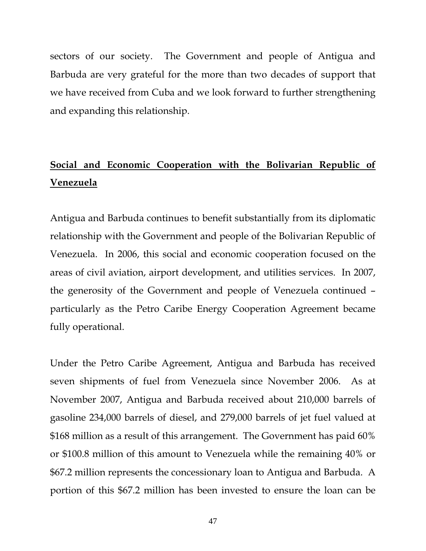sectors of our society. The Government and people of Antigua and Barbuda are very grateful for the more than two decades of support that we have received from Cuba and we look forward to further strengthening and expanding this relationship.

# **Social and Economic Cooperation with the Bolivarian Republic of Venezuela**

Antigua and Barbuda continues to benefit substantially from its diplomatic relationship with the Government and people of the Bolivarian Republic of Venezuela. In 2006, this social and economic cooperation focused on the areas of civil aviation, airport development, and utilities services. In 2007, the generosity of the Government and people of Venezuela continued – particularly as the Petro Caribe Energy Cooperation Agreement became fully operational.

Under the Petro Caribe Agreement, Antigua and Barbuda has received seven shipments of fuel from Venezuela since November 2006. As at November 2007, Antigua and Barbuda received about 210,000 barrels of gasoline 234,000 barrels of diesel, and 279,000 barrels of jet fuel valued at \$168 million as a result of this arrangement. The Government has paid 60% or \$100.8 million of this amount to Venezuela while the remaining 40% or \$67.2 million represents the concessionary loan to Antigua and Barbuda. A portion of this \$67.2 million has been invested to ensure the loan can be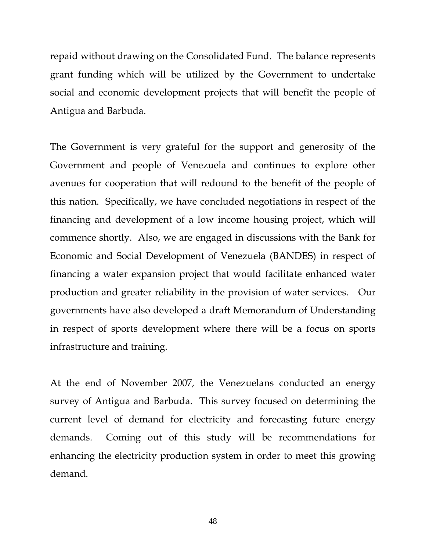repaid without drawing on the Consolidated Fund. The balance represents grant funding which will be utilized by the Government to undertake social and economic development projects that will benefit the people of Antigua and Barbuda.

The Government is very grateful for the support and generosity of the Government and people of Venezuela and continues to explore other avenues for cooperation that will redound to the benefit of the people of this nation. Specifically, we have concluded negotiations in respect of the financing and development of a low income housing project, which will commence shortly. Also, we are engaged in discussions with the Bank for Economic and Social Development of Venezuela (BANDES) in respect of financing a water expansion project that would facilitate enhanced water production and greater reliability in the provision of water services. Our governments have also developed a draft Memorandum of Understanding in respect of sports development where there will be a focus on sports infrastructure and training.

At the end of November 2007, the Venezuelans conducted an energy survey of Antigua and Barbuda. This survey focused on determining the current level of demand for electricity and forecasting future energy demands. Coming out of this study will be recommendations for enhancing the electricity production system in order to meet this growing demand.

48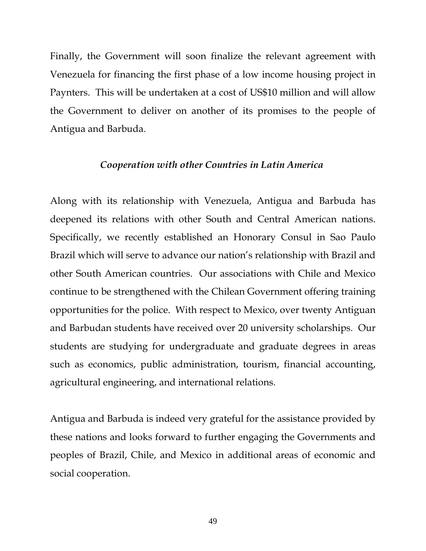Finally, the Government will soon finalize the relevant agreement with Venezuela for financing the first phase of a low income housing project in Paynters. This will be undertaken at a cost of US\$10 million and will allow the Government to deliver on another of its promises to the people of Antigua and Barbuda.

## *Cooperation with other Countries in Latin America*

Along with its relationship with Venezuela, Antigua and Barbuda has deepened its relations with other South and Central American nations. Specifically, we recently established an Honorary Consul in Sao Paulo Brazil which will serve to advance our nation's relationship with Brazil and other South American countries. Our associations with Chile and Mexico continue to be strengthened with the Chilean Government offering training opportunities for the police. With respect to Mexico, over twenty Antiguan and Barbudan students have received over 20 university scholarships. Our students are studying for undergraduate and graduate degrees in areas such as economics, public administration, tourism, financial accounting, agricultural engineering, and international relations.

Antigua and Barbuda is indeed very grateful for the assistance provided by these nations and looks forward to further engaging the Governments and peoples of Brazil, Chile, and Mexico in additional areas of economic and social cooperation.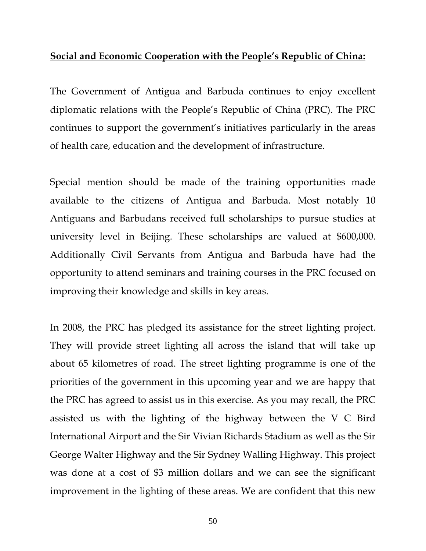# **Social and Economic Cooperation with the People's Republic of China:**

The Government of Antigua and Barbuda continues to enjoy excellent diplomatic relations with the People's Republic of China (PRC). The PRC continues to support the government's initiatives particularly in the areas of health care, education and the development of infrastructure.

Special mention should be made of the training opportunities made available to the citizens of Antigua and Barbuda. Most notably 10 Antiguans and Barbudans received full scholarships to pursue studies at university level in Beijing. These scholarships are valued at \$600,000. Additionally Civil Servants from Antigua and Barbuda have had the opportunity to attend seminars and training courses in the PRC focused on improving their knowledge and skills in key areas.

In 2008, the PRC has pledged its assistance for the street lighting project. They will provide street lighting all across the island that will take up about 65 kilometres of road. The street lighting programme is one of the priorities of the government in this upcoming year and we are happy that the PRC has agreed to assist us in this exercise. As you may recall, the PRC assisted us with the lighting of the highway between the V C Bird International Airport and the Sir Vivian Richards Stadium as well as the Sir George Walter Highway and the Sir Sydney Walling Highway. This project was done at a cost of \$3 million dollars and we can see the significant improvement in the lighting of these areas. We are confident that this new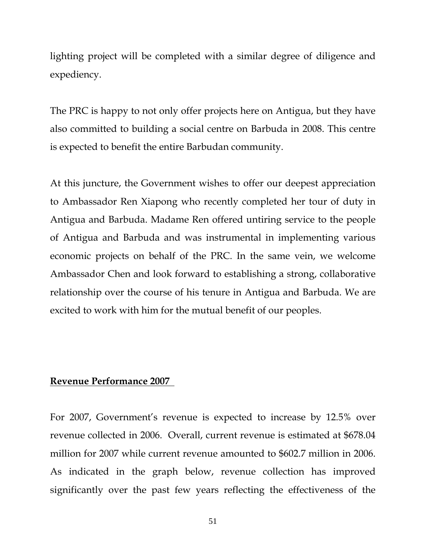lighting project will be completed with a similar degree of diligence and expediency.

The PRC is happy to not only offer projects here on Antigua, but they have also committed to building a social centre on Barbuda in 2008. This centre is expected to benefit the entire Barbudan community.

At this juncture, the Government wishes to offer our deepest appreciation to Ambassador Ren Xiapong who recently completed her tour of duty in Antigua and Barbuda. Madame Ren offered untiring service to the people of Antigua and Barbuda and was instrumental in implementing various economic projects on behalf of the PRC. In the same vein, we welcome Ambassador Chen and look forward to establishing a strong, collaborative relationship over the course of his tenure in Antigua and Barbuda. We are excited to work with him for the mutual benefit of our peoples.

# **Revenue Performance 2007**

For 2007, Government's revenue is expected to increase by 12.5% over revenue collected in 2006. Overall, current revenue is estimated at \$678.04 million for 2007 while current revenue amounted to \$602.7 million in 2006. As indicated in the graph below, revenue collection has improved significantly over the past few years reflecting the effectiveness of the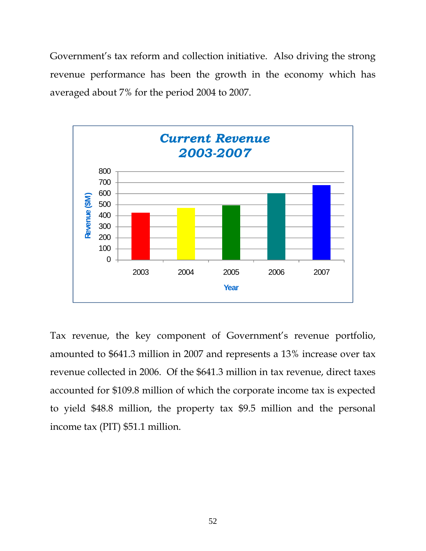Government's tax reform and collection initiative. Also driving the strong revenue performance has been the growth in the economy which has averaged about 7% for the period 2004 to 2007.



Tax revenue, the key component of Government's revenue portfolio, amounted to \$641.3 million in 2007 and represents a 13% increase over tax revenue collected in 2006. Of the \$641.3 million in tax revenue, direct taxes accounted for \$109.8 million of which the corporate income tax is expected to yield \$48.8 million, the property tax \$9.5 million and the personal income tax (PIT) \$51.1 million.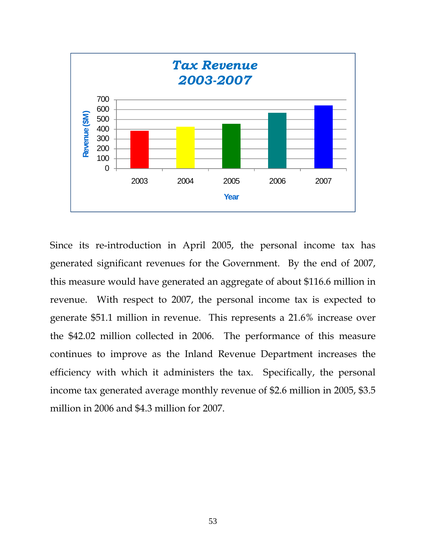

Since its re-introduction in April 2005, the personal income tax has generated significant revenues for the Government. By the end of 2007, this measure would have generated an aggregate of about \$116.6 million in revenue. With respect to 2007, the personal income tax is expected to generate \$51.1 million in revenue. This represents a 21.6% increase over the \$42.02 million collected in 2006. The performance of this measure continues to improve as the Inland Revenue Department increases the efficiency with which it administers the tax. Specifically, the personal income tax generated average monthly revenue of \$2.6 million in 2005, \$3.5 million in 2006 and \$4.3 million for 2007.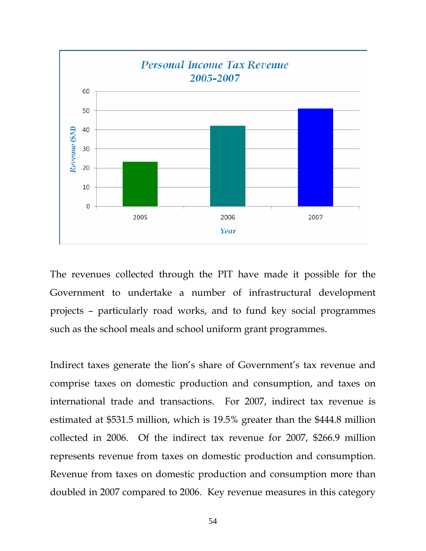

The revenues collected through the PIT have made it possible for the Government to undertake a number of infrastructural development projects – particularly road works, and to fund key social programmes such as the school meals and school uniform grant programmes.

Indirect taxes generate the lion's share of Government's tax revenue and comprise taxes on domestic production and consumption, and taxes on international trade and transactions. For 2007, indirect tax revenue is estimated at \$531.5 million, which is 19.5% greater than the \$444.8 million collected in 2006. Of the indirect tax revenue for 2007, \$266.9 million represents revenue from taxes on domestic production and consumption. Revenue from taxes on domestic production and consumption more than doubled in 2007 compared to 2006. Key revenue measures in this category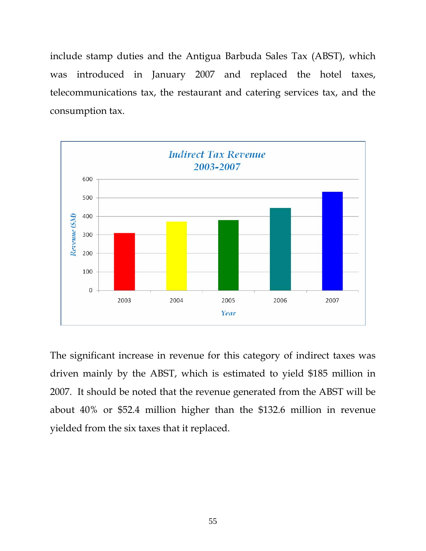include stamp duties and the Antigua Barbuda Sales Tax (ABST), which was introduced in January 2007 and replaced the hotel taxes, telecommunications tax, the restaurant and catering services tax, and the consumption tax.



The significant increase in revenue for this category of indirect taxes was driven mainly by the ABST, which is estimated to yield \$185 million in 2007. It should be noted that the revenue generated from the ABST will be about 40% or \$52.4 million higher than the \$132.6 million in revenue yielded from the six taxes that it replaced.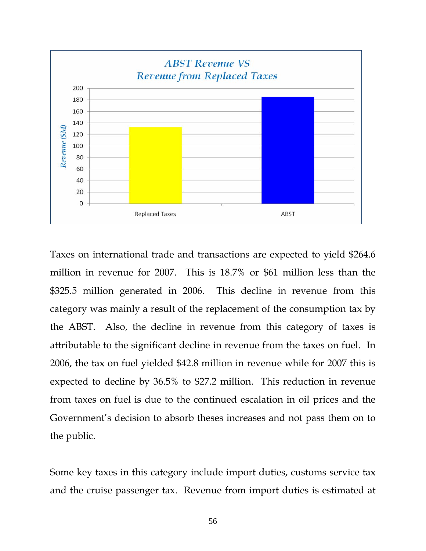

Taxes on international trade and transactions are expected to yield \$264.6 million in revenue for 2007. This is 18.7% or \$61 million less than the \$325.5 million generated in 2006. This decline in revenue from this category was mainly a result of the replacement of the consumption tax by the ABST. Also, the decline in revenue from this category of taxes is attributable to the significant decline in revenue from the taxes on fuel. In 2006, the tax on fuel yielded \$42.8 million in revenue while for 2007 this is expected to decline by 36.5% to \$27.2 million. This reduction in revenue from taxes on fuel is due to the continued escalation in oil prices and the Government's decision to absorb theses increases and not pass them on to the public.

Some key taxes in this category include import duties, customs service tax and the cruise passenger tax. Revenue from import duties is estimated at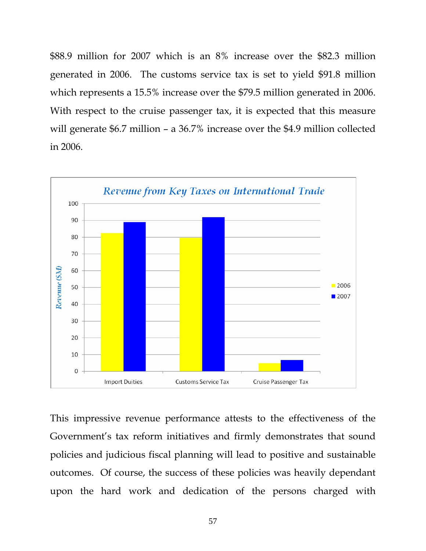\$88.9 million for 2007 which is an 8% increase over the \$82.3 million generated in 2006. The customs service tax is set to yield \$91.8 million which represents a 15.5% increase over the \$79.5 million generated in 2006. With respect to the cruise passenger tax, it is expected that this measure will generate \$6.7 million – a 36.7% increase over the \$4.9 million collected in 2006.



This impressive revenue performance attests to the effectiveness of the Government's tax reform initiatives and firmly demonstrates that sound policies and judicious fiscal planning will lead to positive and sustainable outcomes. Of course, the success of these policies was heavily dependant upon the hard work and dedication of the persons charged with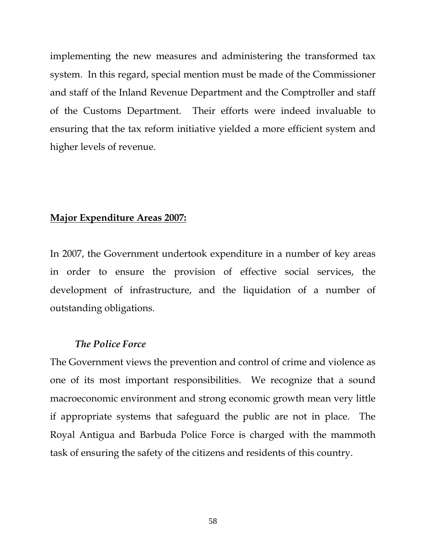implementing the new measures and administering the transformed tax system. In this regard, special mention must be made of the Commissioner and staff of the Inland Revenue Department and the Comptroller and staff of the Customs Department. Their efforts were indeed invaluable to ensuring that the tax reform initiative yielded a more efficient system and higher levels of revenue.

### **Major Expenditure Areas 2007:**

In 2007, the Government undertook expenditure in a number of key areas in order to ensure the provision of effective social services, the development of infrastructure, and the liquidation of a number of outstanding obligations.

#### *The Police Force*

The Government views the prevention and control of crime and violence as one of its most important responsibilities. We recognize that a sound macroeconomic environment and strong economic growth mean very little if appropriate systems that safeguard the public are not in place. The Royal Antigua and Barbuda Police Force is charged with the mammoth task of ensuring the safety of the citizens and residents of this country.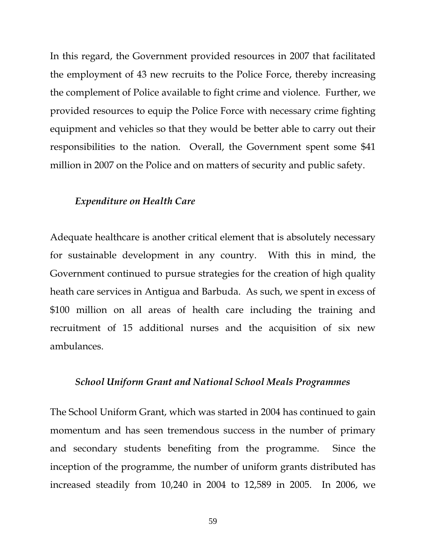In this regard, the Government provided resources in 2007 that facilitated the employment of 43 new recruits to the Police Force, thereby increasing the complement of Police available to fight crime and violence. Further, we provided resources to equip the Police Force with necessary crime fighting equipment and vehicles so that they would be better able to carry out their responsibilities to the nation. Overall, the Government spent some \$41 million in 2007 on the Police and on matters of security and public safety.

#### *Expenditure on Health Care*

Adequate healthcare is another critical element that is absolutely necessary for sustainable development in any country. With this in mind, the Government continued to pursue strategies for the creation of high quality heath care services in Antigua and Barbuda. As such, we spent in excess of \$100 million on all areas of health care including the training and recruitment of 15 additional nurses and the acquisition of six new ambulances.

#### *School Uniform Grant and National School Meals Programmes*

The School Uniform Grant, which was started in 2004 has continued to gain momentum and has seen tremendous success in the number of primary and secondary students benefiting from the programme. Since the inception of the programme, the number of uniform grants distributed has increased steadily from 10,240 in 2004 to 12,589 in 2005. In 2006, we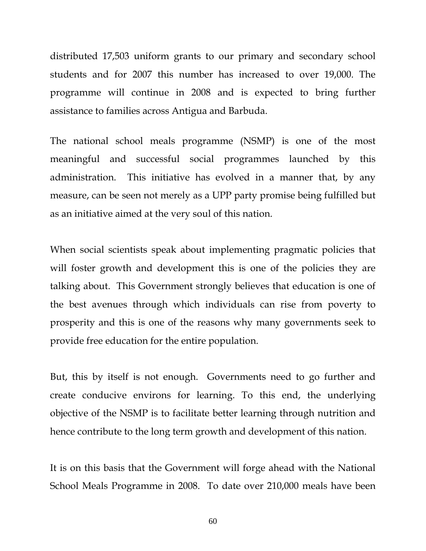distributed 17,503 uniform grants to our primary and secondary school students and for 2007 this number has increased to over 19,000. The programme will continue in 2008 and is expected to bring further assistance to families across Antigua and Barbuda.

The national school meals programme (NSMP) is one of the most meaningful and successful social programmes launched by this administration. This initiative has evolved in a manner that, by any measure, can be seen not merely as a UPP party promise being fulfilled but as an initiative aimed at the very soul of this nation.

When social scientists speak about implementing pragmatic policies that will foster growth and development this is one of the policies they are talking about. This Government strongly believes that education is one of the best avenues through which individuals can rise from poverty to prosperity and this is one of the reasons why many governments seek to provide free education for the entire population.

But, this by itself is not enough. Governments need to go further and create conducive environs for learning. To this end, the underlying objective of the NSMP is to facilitate better learning through nutrition and hence contribute to the long term growth and development of this nation.

It is on this basis that the Government will forge ahead with the National School Meals Programme in 2008. To date over 210,000 meals have been

60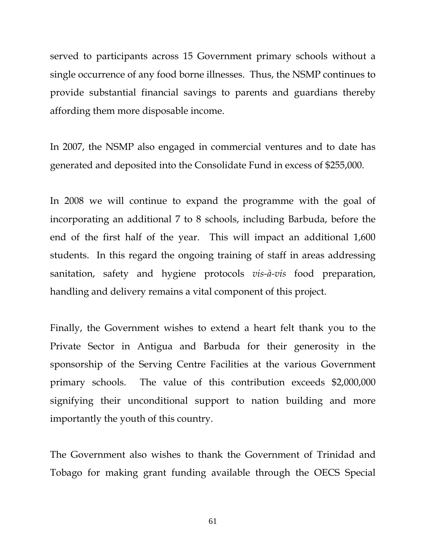served to participants across 15 Government primary schools without a single occurrence of any food borne illnesses. Thus, the NSMP continues to provide substantial financial savings to parents and guardians thereby affording them more disposable income.

In 2007, the NSMP also engaged in commercial ventures and to date has generated and deposited into the Consolidate Fund in excess of \$255,000.

In 2008 we will continue to expand the programme with the goal of incorporating an additional 7 to 8 schools, including Barbuda, before the end of the first half of the year. This will impact an additional 1,600 students. In this regard the ongoing training of staff in areas addressing sanitation, safety and hygiene protocols *vis-à-vis* food preparation, handling and delivery remains a vital component of this project.

Finally, the Government wishes to extend a heart felt thank you to the Private Sector in Antigua and Barbuda for their generosity in the sponsorship of the Serving Centre Facilities at the various Government primary schools. The value of this contribution exceeds \$2,000,000 signifying their unconditional support to nation building and more importantly the youth of this country.

The Government also wishes to thank the Government of Trinidad and Tobago for making grant funding available through the OECS Special

61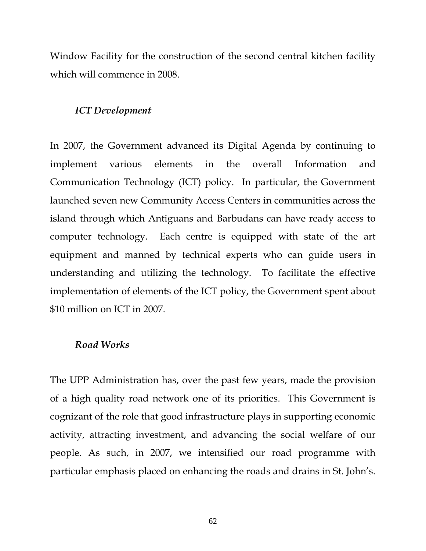Window Facility for the construction of the second central kitchen facility which will commence in 2008.

# *ICT Development*

In 2007, the Government advanced its Digital Agenda by continuing to implement various elements in the overall Information and Communication Technology (ICT) policy. In particular, the Government launched seven new Community Access Centers in communities across the island through which Antiguans and Barbudans can have ready access to computer technology. Each centre is equipped with state of the art equipment and manned by technical experts who can guide users in understanding and utilizing the technology. To facilitate the effective implementation of elements of the ICT policy, the Government spent about \$10 million on ICT in 2007.

# *Road Works*

The UPP Administration has, over the past few years, made the provision of a high quality road network one of its priorities. This Government is cognizant of the role that good infrastructure plays in supporting economic activity, attracting investment, and advancing the social welfare of our people. As such, in 2007, we intensified our road programme with particular emphasis placed on enhancing the roads and drains in St. John's.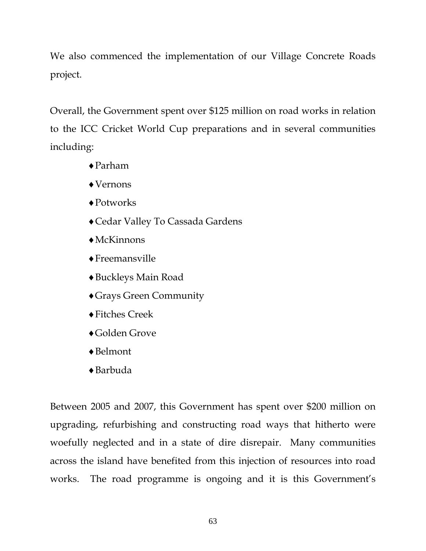We also commenced the implementation of our Village Concrete Roads project.

Overall, the Government spent over \$125 million on road works in relation to the ICC Cricket World Cup preparations and in several communities including:

- ♦Parham
- ♦Vernons
- ♦Potworks
- ♦Cedar Valley To Cassada Gardens
- $\triangle$ McKinnons
- ♦Freemansville
- ♦Buckleys Main Road
- ♦Grays Green Community
- ♦Fitches Creek
- ♦Golden Grove
- ♦Belmont
- ♦Barbuda

Between 2005 and 2007, this Government has spent over \$200 million on upgrading, refurbishing and constructing road ways that hitherto were woefully neglected and in a state of dire disrepair. Many communities across the island have benefited from this injection of resources into road works. The road programme is ongoing and it is this Government's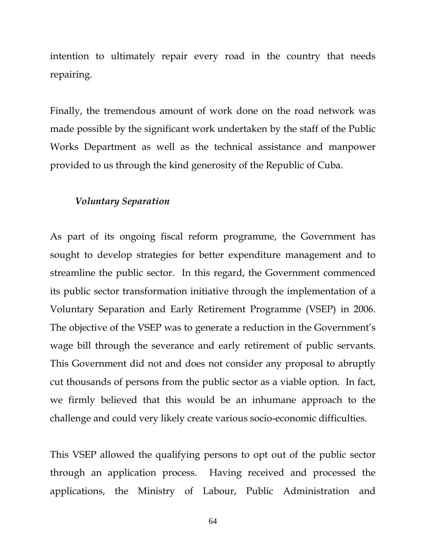intention to ultimately repair every road in the country that needs repairing.

Finally, the tremendous amount of work done on the road network was made possible by the significant work undertaken by the staff of the Public Works Department as well as the technical assistance and manpower provided to us through the kind generosity of the Republic of Cuba.

#### *Voluntary Separation*

As part of its ongoing fiscal reform programme, the Government has sought to develop strategies for better expenditure management and to streamline the public sector. In this regard, the Government commenced its public sector transformation initiative through the implementation of a Voluntary Separation and Early Retirement Programme (VSEP) in 2006. The objective of the VSEP was to generate a reduction in the Government's wage bill through the severance and early retirement of public servants. This Government did not and does not consider any proposal to abruptly cut thousands of persons from the public sector as a viable option. In fact, we firmly believed that this would be an inhumane approach to the challenge and could very likely create various socio-economic difficulties.

This VSEP allowed the qualifying persons to opt out of the public sector through an application process. Having received and processed the applications, the Ministry of Labour, Public Administration and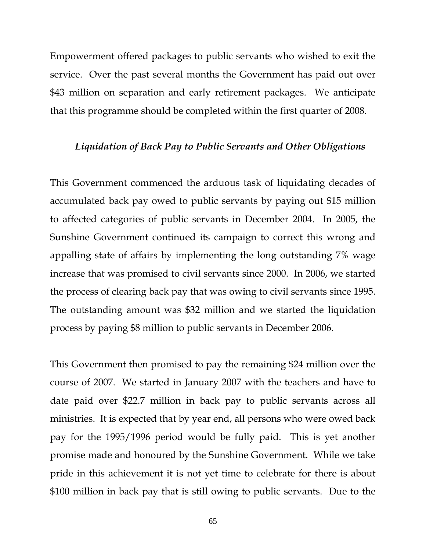Empowerment offered packages to public servants who wished to exit the service. Over the past several months the Government has paid out over \$43 million on separation and early retirement packages. We anticipate that this programme should be completed within the first quarter of 2008.

## *Liquidation of Back Pay to Public Servants and Other Obligations*

This Government commenced the arduous task of liquidating decades of accumulated back pay owed to public servants by paying out \$15 million to affected categories of public servants in December 2004. In 2005, the Sunshine Government continued its campaign to correct this wrong and appalling state of affairs by implementing the long outstanding 7% wage increase that was promised to civil servants since 2000. In 2006, we started the process of clearing back pay that was owing to civil servants since 1995. The outstanding amount was \$32 million and we started the liquidation process by paying \$8 million to public servants in December 2006.

This Government then promised to pay the remaining \$24 million over the course of 2007. We started in January 2007 with the teachers and have to date paid over \$22.7 million in back pay to public servants across all ministries. It is expected that by year end, all persons who were owed back pay for the 1995/1996 period would be fully paid. This is yet another promise made and honoured by the Sunshine Government. While we take pride in this achievement it is not yet time to celebrate for there is about \$100 million in back pay that is still owing to public servants. Due to the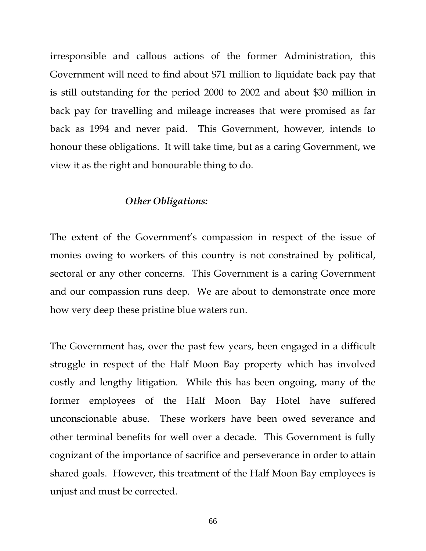irresponsible and callous actions of the former Administration, this Government will need to find about \$71 million to liquidate back pay that is still outstanding for the period 2000 to 2002 and about \$30 million in back pay for travelling and mileage increases that were promised as far back as 1994 and never paid. This Government, however, intends to honour these obligations. It will take time, but as a caring Government, we view it as the right and honourable thing to do.

#### *Other Obligations:*

The extent of the Government's compassion in respect of the issue of monies owing to workers of this country is not constrained by political, sectoral or any other concerns. This Government is a caring Government and our compassion runs deep. We are about to demonstrate once more how very deep these pristine blue waters run.

The Government has, over the past few years, been engaged in a difficult struggle in respect of the Half Moon Bay property which has involved costly and lengthy litigation. While this has been ongoing, many of the former employees of the Half Moon Bay Hotel have suffered unconscionable abuse. These workers have been owed severance and other terminal benefits for well over a decade. This Government is fully cognizant of the importance of sacrifice and perseverance in order to attain shared goals. However, this treatment of the Half Moon Bay employees is unjust and must be corrected.

66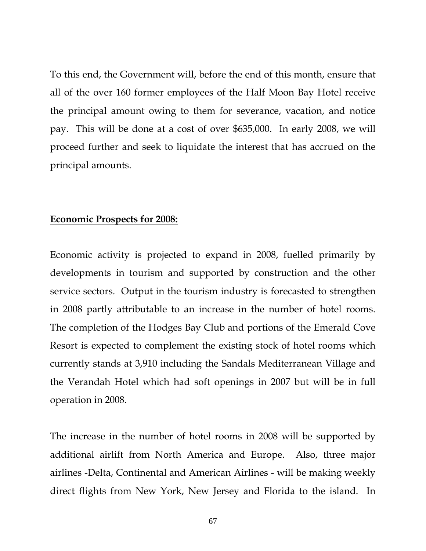To this end, the Government will, before the end of this month, ensure that all of the over 160 former employees of the Half Moon Bay Hotel receive the principal amount owing to them for severance, vacation, and notice pay. This will be done at a cost of over \$635,000. In early 2008, we will proceed further and seek to liquidate the interest that has accrued on the principal amounts.

#### **Economic Prospects for 2008:**

Economic activity is projected to expand in 2008, fuelled primarily by developments in tourism and supported by construction and the other service sectors. Output in the tourism industry is forecasted to strengthen in 2008 partly attributable to an increase in the number of hotel rooms. The completion of the Hodges Bay Club and portions of the Emerald Cove Resort is expected to complement the existing stock of hotel rooms which currently stands at 3,910 including the Sandals Mediterranean Village and the Verandah Hotel which had soft openings in 2007 but will be in full operation in 2008.

The increase in the number of hotel rooms in 2008 will be supported by additional airlift from North America and Europe. Also, three major airlines -Delta, Continental and American Airlines - will be making weekly direct flights from New York, New Jersey and Florida to the island. In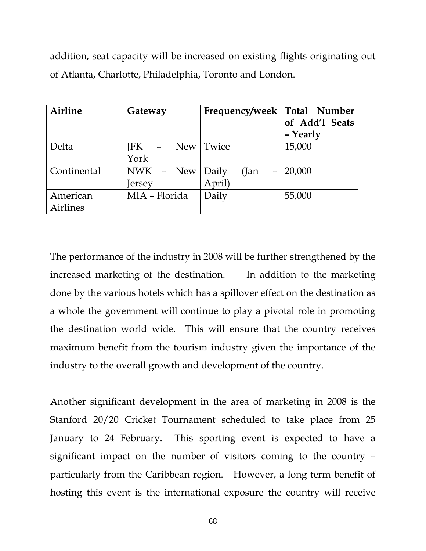addition, seat capacity will be increased on existing flights originating out of Atlanta, Charlotte, Philadelphia, Toronto and London.

| <b>Airline</b>  | Gateway       | Frequency/week                     | Total Number   |
|-----------------|---------------|------------------------------------|----------------|
|                 |               |                                    | of Add'l Seats |
|                 |               |                                    | - Yearly       |
| Delta           | JFK           | New Twice                          | 15,000         |
|                 | York          |                                    |                |
| Continental     | NWK - New     | Daily<br>(Jan<br>$\qquad \qquad =$ | 20,000         |
|                 | Jersey        | April)                             |                |
| American        | MIA - Florida | Daily                              | 55,000         |
| <b>Airlines</b> |               |                                    |                |

The performance of the industry in 2008 will be further strengthened by the increased marketing of the destination. In addition to the marketing done by the various hotels which has a spillover effect on the destination as a whole the government will continue to play a pivotal role in promoting the destination world wide. This will ensure that the country receives maximum benefit from the tourism industry given the importance of the industry to the overall growth and development of the country.

Another significant development in the area of marketing in 2008 is the Stanford 20/20 Cricket Tournament scheduled to take place from 25 January to 24 February. This sporting event is expected to have a significant impact on the number of visitors coming to the country – particularly from the Caribbean region. However, a long term benefit of hosting this event is the international exposure the country will receive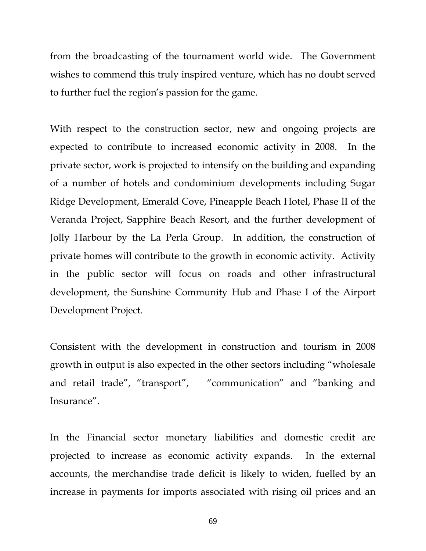from the broadcasting of the tournament world wide. The Government wishes to commend this truly inspired venture, which has no doubt served to further fuel the region's passion for the game.

With respect to the construction sector, new and ongoing projects are expected to contribute to increased economic activity in 2008. In the private sector, work is projected to intensify on the building and expanding of a number of hotels and condominium developments including Sugar Ridge Development, Emerald Cove, Pineapple Beach Hotel, Phase II of the Veranda Project, Sapphire Beach Resort, and the further development of Jolly Harbour by the La Perla Group. In addition, the construction of private homes will contribute to the growth in economic activity. Activity in the public sector will focus on roads and other infrastructural development, the Sunshine Community Hub and Phase I of the Airport Development Project.

Consistent with the development in construction and tourism in 2008 growth in output is also expected in the other sectors including "wholesale and retail trade", "transport", "communication" and "banking and Insurance".

In the Financial sector monetary liabilities and domestic credit are projected to increase as economic activity expands. In the external accounts, the merchandise trade deficit is likely to widen, fuelled by an increase in payments for imports associated with rising oil prices and an

69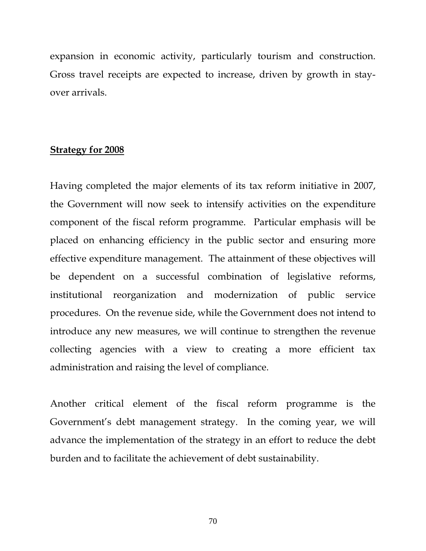expansion in economic activity, particularly tourism and construction. Gross travel receipts are expected to increase, driven by growth in stayover arrivals.

# **Strategy for 2008**

Having completed the major elements of its tax reform initiative in 2007, the Government will now seek to intensify activities on the expenditure component of the fiscal reform programme. Particular emphasis will be placed on enhancing efficiency in the public sector and ensuring more effective expenditure management. The attainment of these objectives will be dependent on a successful combination of legislative reforms, institutional reorganization and modernization of public service procedures. On the revenue side, while the Government does not intend to introduce any new measures, we will continue to strengthen the revenue collecting agencies with a view to creating a more efficient tax administration and raising the level of compliance.

Another critical element of the fiscal reform programme is the Government's debt management strategy. In the coming year, we will advance the implementation of the strategy in an effort to reduce the debt burden and to facilitate the achievement of debt sustainability.

70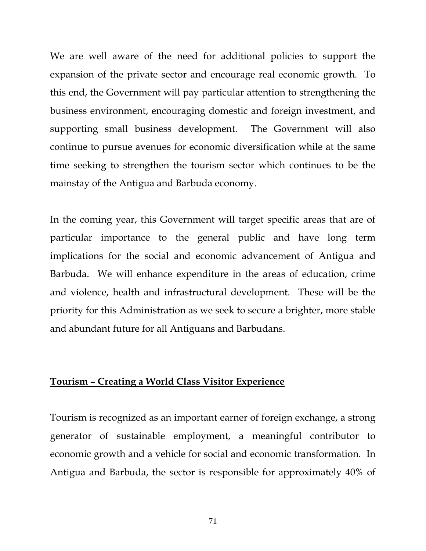We are well aware of the need for additional policies to support the expansion of the private sector and encourage real economic growth. To this end, the Government will pay particular attention to strengthening the business environment, encouraging domestic and foreign investment, and supporting small business development. The Government will also continue to pursue avenues for economic diversification while at the same time seeking to strengthen the tourism sector which continues to be the mainstay of the Antigua and Barbuda economy.

In the coming year, this Government will target specific areas that are of particular importance to the general public and have long term implications for the social and economic advancement of Antigua and Barbuda. We will enhance expenditure in the areas of education, crime and violence, health and infrastructural development. These will be the priority for this Administration as we seek to secure a brighter, more stable and abundant future for all Antiguans and Barbudans.

### **Tourism – Creating a World Class Visitor Experience**

Tourism is recognized as an important earner of foreign exchange, a strong generator of sustainable employment, a meaningful contributor to economic growth and a vehicle for social and economic transformation. In Antigua and Barbuda, the sector is responsible for approximately 40% of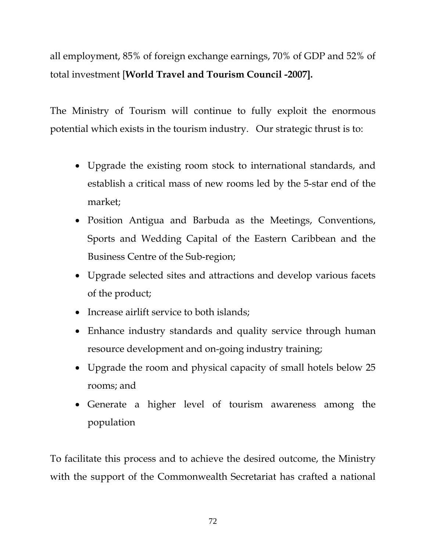all employment, 85% of foreign exchange earnings, 70% of GDP and 52% of total investment [**World Travel and Tourism Council -2007].**

The Ministry of Tourism will continue to fully exploit the enormous potential which exists in the tourism industry. Our strategic thrust is to:

- Upgrade the existing room stock to international standards, and establish a critical mass of new rooms led by the 5-star end of the market;
- Position Antigua and Barbuda as the Meetings, Conventions, Sports and Wedding Capital of the Eastern Caribbean and the Business Centre of the Sub-region;
- Upgrade selected sites and attractions and develop various facets of the product;
- Increase airlift service to both islands;
- Enhance industry standards and quality service through human resource development and on-going industry training;
- Upgrade the room and physical capacity of small hotels below 25 rooms; and
- Generate a higher level of tourism awareness among the population

To facilitate this process and to achieve the desired outcome, the Ministry with the support of the Commonwealth Secretariat has crafted a national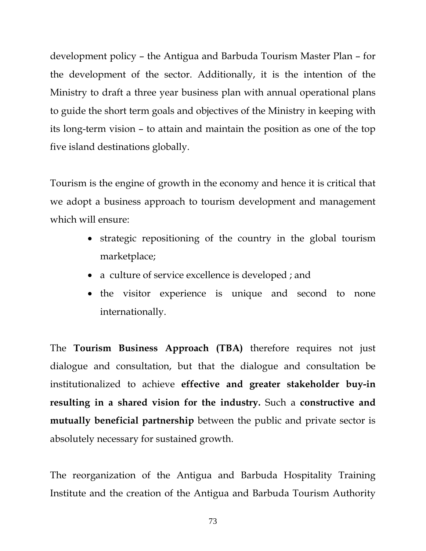development policy – the Antigua and Barbuda Tourism Master Plan – for the development of the sector. Additionally, it is the intention of the Ministry to draft a three year business plan with annual operational plans to guide the short term goals and objectives of the Ministry in keeping with its long-term vision – to attain and maintain the position as one of the top five island destinations globally.

Tourism is the engine of growth in the economy and hence it is critical that we adopt a business approach to tourism development and management which will ensure:

- strategic repositioning of the country in the global tourism marketplace;
- a culture of service excellence is developed ; and
- the visitor experience is unique and second to none internationally.

The **Tourism Business Approach (TBA)** therefore requires not just dialogue and consultation, but that the dialogue and consultation be institutionalized to achieve **effective and greater stakeholder buy-in resulting in a shared vision for the industry.** Such a **constructive and mutually beneficial partnership** between the public and private sector is absolutely necessary for sustained growth.

The reorganization of the Antigua and Barbuda Hospitality Training Institute and the creation of the Antigua and Barbuda Tourism Authority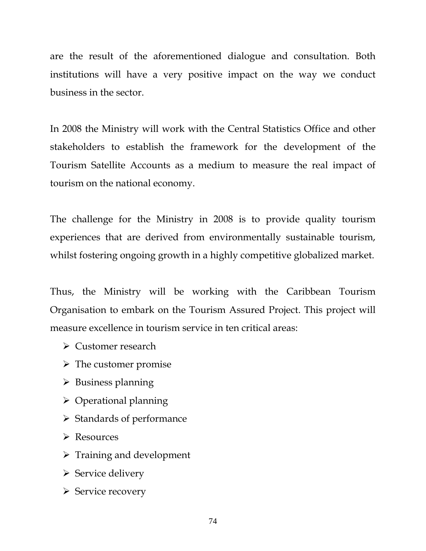are the result of the aforementioned dialogue and consultation. Both institutions will have a very positive impact on the way we conduct business in the sector.

In 2008 the Ministry will work with the Central Statistics Office and other stakeholders to establish the framework for the development of the Tourism Satellite Accounts as a medium to measure the real impact of tourism on the national economy.

The challenge for the Ministry in 2008 is to provide quality tourism experiences that are derived from environmentally sustainable tourism, whilst fostering ongoing growth in a highly competitive globalized market.

Thus, the Ministry will be working with the Caribbean Tourism Organisation to embark on the Tourism Assured Project. This project will measure excellence in tourism service in ten critical areas:

- $\triangleright$  Customer research
- $\triangleright$  The customer promise
- $\triangleright$  Business planning
- $\triangleright$  Operational planning
- $\triangleright$  Standards of performance
- ¾ Resources
- $\triangleright$  Training and development
- $\triangleright$  Service delivery
- $\triangleright$  Service recovery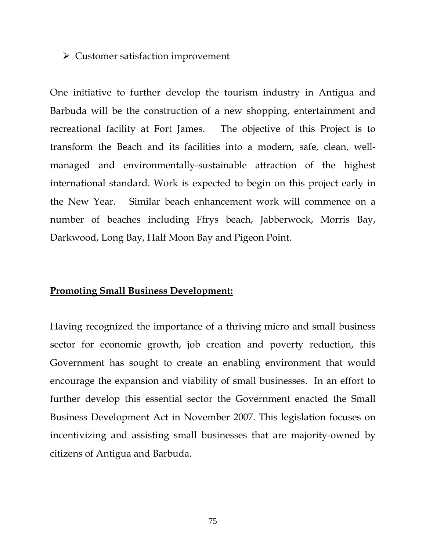#### $\triangleright$  Customer satisfaction improvement

One initiative to further develop the tourism industry in Antigua and Barbuda will be the construction of a new shopping, entertainment and recreational facility at Fort James. The objective of this Project is to transform the Beach and its facilities into a modern, safe, clean, wellmanaged and environmentally-sustainable attraction of the highest international standard. Work is expected to begin on this project early in the New Year. Similar beach enhancement work will commence on a number of beaches including Ffrys beach, Jabberwock, Morris Bay, Darkwood, Long Bay, Half Moon Bay and Pigeon Point.

#### **Promoting Small Business Development:**

Having recognized the importance of a thriving micro and small business sector for economic growth, job creation and poverty reduction, this Government has sought to create an enabling environment that would encourage the expansion and viability of small businesses. In an effort to further develop this essential sector the Government enacted the Small Business Development Act in November 2007. This legislation focuses on incentivizing and assisting small businesses that are majority-owned by citizens of Antigua and Barbuda.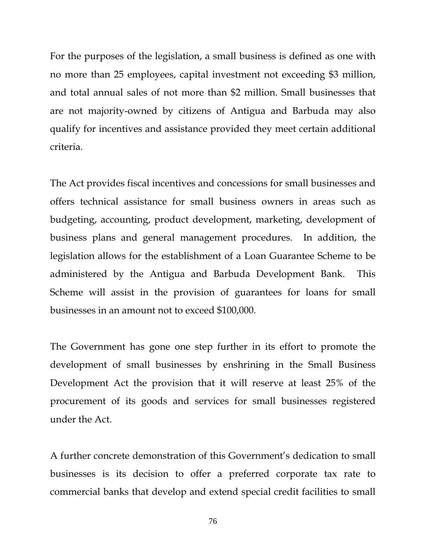For the purposes of the legislation, a small business is defined as one with no more than 25 employees, capital investment not exceeding \$3 million, and total annual sales of not more than \$2 million. Small businesses that are not majority-owned by citizens of Antigua and Barbuda may also qualify for incentives and assistance provided they meet certain additional criteria.

The Act provides fiscal incentives and concessions for small businesses and offers technical assistance for small business owners in areas such as budgeting, accounting, product development, marketing, development of business plans and general management procedures. In addition, the legislation allows for the establishment of a Loan Guarantee Scheme to be administered by the Antigua and Barbuda Development Bank. This Scheme will assist in the provision of guarantees for loans for small businesses in an amount not to exceed \$100,000.

The Government has gone one step further in its effort to promote the development of small businesses by enshrining in the Small Business Development Act the provision that it will reserve at least 25% of the procurement of its goods and services for small businesses registered under the Act.

A further concrete demonstration of this Government's dedication to small businesses is its decision to offer a preferred corporate tax rate to commercial banks that develop and extend special credit facilities to small

76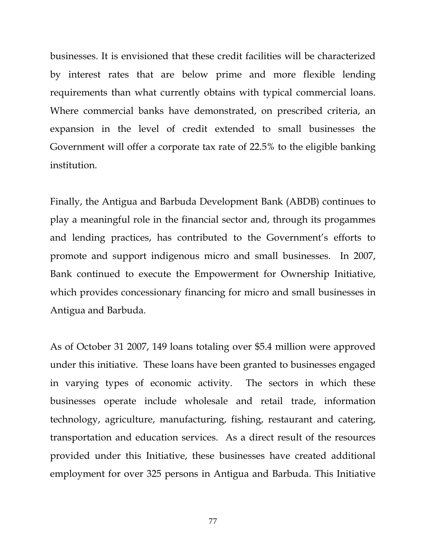businesses. It is envisioned that these credit facilities will be characterized by interest rates that are below prime and more flexible lending requirements than what currently obtains with typical commercial loans. Where commercial banks have demonstrated, on prescribed criteria, an expansion in the level of credit extended to small businesses the Government will offer a corporate tax rate of 22.5% to the eligible banking institution.

Finally, the Antigua and Barbuda Development Bank (ABDB) continues to play a meaningful role in the financial sector and, through its progammes and lending practices, has contributed to the Government's efforts to promote and support indigenous micro and small businesses. In 2007, Bank continued to execute the Empowerment for Ownership Initiative, which provides concessionary financing for micro and small businesses in Antigua and Barbuda.

As of October 31 2007, 149 loans totaling over \$5.4 million were approved under this initiative. These loans have been granted to businesses engaged in varying types of economic activity. The sectors in which these businesses operate include wholesale and retail trade, information technology, agriculture, manufacturing, fishing, restaurant and catering, transportation and education services. As a direct result of the resources provided under this Initiative, these businesses have created additional employment for over 325 persons in Antigua and Barbuda. This Initiative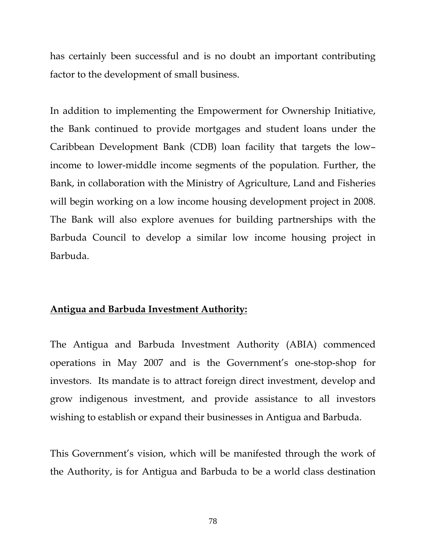has certainly been successful and is no doubt an important contributing factor to the development of small business.

In addition to implementing the Empowerment for Ownership Initiative, the Bank continued to provide mortgages and student loans under the Caribbean Development Bank (CDB) loan facility that targets the low– income to lower-middle income segments of the population. Further, the Bank, in collaboration with the Ministry of Agriculture, Land and Fisheries will begin working on a low income housing development project in 2008. The Bank will also explore avenues for building partnerships with the Barbuda Council to develop a similar low income housing project in Barbuda.

### **Antigua and Barbuda Investment Authority:**

The Antigua and Barbuda Investment Authority (ABIA) commenced operations in May 2007 and is the Government's one-stop-shop for investors. Its mandate is to attract foreign direct investment, develop and grow indigenous investment, and provide assistance to all investors wishing to establish or expand their businesses in Antigua and Barbuda.

This Government's vision, which will be manifested through the work of the Authority, is for Antigua and Barbuda to be a world class destination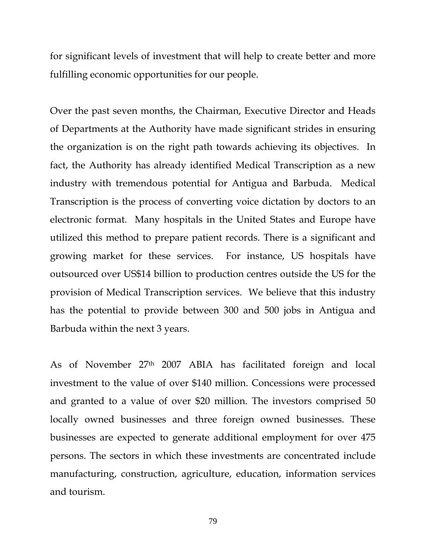for significant levels of investment that will help to create better and more fulfilling economic opportunities for our people.

Over the past seven months, the Chairman, Executive Director and Heads of Departments at the Authority have made significant strides in ensuring the organization is on the right path towards achieving its objectives. In fact, the Authority has already identified Medical Transcription as a new industry with tremendous potential for Antigua and Barbuda. Medical Transcription is the process of converting voice dictation by doctors to an electronic format. Many hospitals in the United States and Europe have utilized this method to prepare patient records. There is a significant and growing market for these services. For instance, US hospitals have outsourced over US\$14 billion to production centres outside the US for the provision of Medical Transcription services. We believe that this industry has the potential to provide between 300 and 500 jobs in Antigua and Barbuda within the next 3 years.

As of November 27th 2007 ABIA has facilitated foreign and local investment to the value of over \$140 million. Concessions were processed and granted to a value of over \$20 million. The investors comprised 50 locally owned businesses and three foreign owned businesses. These businesses are expected to generate additional employment for over 475 persons. The sectors in which these investments are concentrated include manufacturing, construction, agriculture, education, information services and tourism.

79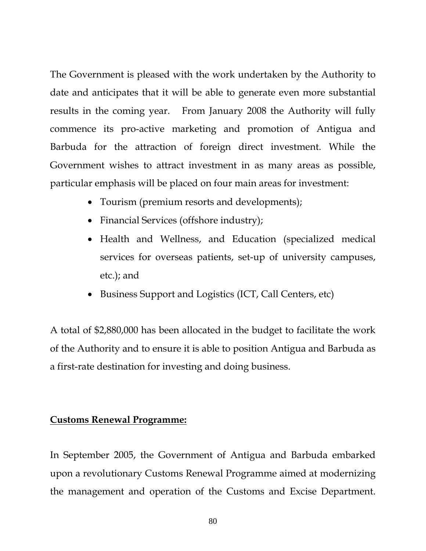The Government is pleased with the work undertaken by the Authority to date and anticipates that it will be able to generate even more substantial results in the coming year. From January 2008 the Authority will fully commence its pro-active marketing and promotion of Antigua and Barbuda for the attraction of foreign direct investment. While the Government wishes to attract investment in as many areas as possible, particular emphasis will be placed on four main areas for investment:

- Tourism (premium resorts and developments);
- Financial Services (offshore industry);
- Health and Wellness, and Education (specialized medical services for overseas patients, set-up of university campuses, etc.); and
- Business Support and Logistics (ICT, Call Centers, etc)

A total of \$2,880,000 has been allocated in the budget to facilitate the work of the Authority and to ensure it is able to position Antigua and Barbuda as a first-rate destination for investing and doing business.

## **Customs Renewal Programme:**

In September 2005, the Government of Antigua and Barbuda embarked upon a revolutionary Customs Renewal Programme aimed at modernizing the management and operation of the Customs and Excise Department.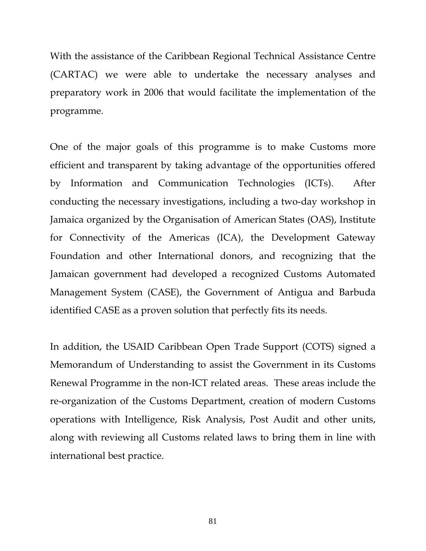With the assistance of the Caribbean Regional Technical Assistance Centre (CARTAC) we were able to undertake the necessary analyses and preparatory work in 2006 that would facilitate the implementation of the programme.

One of the major goals of this programme is to make Customs more efficient and transparent by taking advantage of the opportunities offered by Information and Communication Technologies (ICTs). After conducting the necessary investigations, including a two-day workshop in Jamaica organized by the Organisation of American States (OAS), Institute for Connectivity of the Americas (ICA), the Development Gateway Foundation and other International donors, and recognizing that the Jamaican government had developed a recognized Customs Automated Management System (CASE), the Government of Antigua and Barbuda identified CASE as a proven solution that perfectly fits its needs.

In addition, the USAID Caribbean Open Trade Support (COTS) signed a Memorandum of Understanding to assist the Government in its Customs Renewal Programme in the non-ICT related areas. These areas include the re-organization of the Customs Department, creation of modern Customs operations with Intelligence, Risk Analysis, Post Audit and other units, along with reviewing all Customs related laws to bring them in line with international best practice.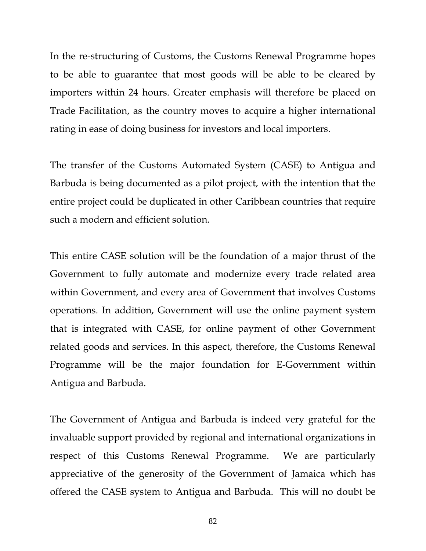In the re-structuring of Customs, the Customs Renewal Programme hopes to be able to guarantee that most goods will be able to be cleared by importers within 24 hours. Greater emphasis will therefore be placed on Trade Facilitation, as the country moves to acquire a higher international rating in ease of doing business for investors and local importers.

The transfer of the Customs Automated System (CASE) to Antigua and Barbuda is being documented as a pilot project, with the intention that the entire project could be duplicated in other Caribbean countries that require such a modern and efficient solution.

This entire CASE solution will be the foundation of a major thrust of the Government to fully automate and modernize every trade related area within Government, and every area of Government that involves Customs operations. In addition, Government will use the online payment system that is integrated with CASE, for online payment of other Government related goods and services. In this aspect, therefore, the Customs Renewal Programme will be the major foundation for E-Government within Antigua and Barbuda.

The Government of Antigua and Barbuda is indeed very grateful for the invaluable support provided by regional and international organizations in respect of this Customs Renewal Programme. We are particularly appreciative of the generosity of the Government of Jamaica which has offered the CASE system to Antigua and Barbuda. This will no doubt be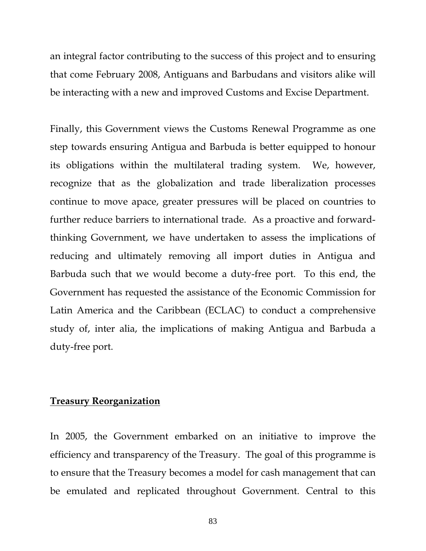an integral factor contributing to the success of this project and to ensuring that come February 2008, Antiguans and Barbudans and visitors alike will be interacting with a new and improved Customs and Excise Department.

Finally, this Government views the Customs Renewal Programme as one step towards ensuring Antigua and Barbuda is better equipped to honour its obligations within the multilateral trading system. We, however, recognize that as the globalization and trade liberalization processes continue to move apace, greater pressures will be placed on countries to further reduce barriers to international trade. As a proactive and forwardthinking Government, we have undertaken to assess the implications of reducing and ultimately removing all import duties in Antigua and Barbuda such that we would become a duty-free port. To this end, the Government has requested the assistance of the Economic Commission for Latin America and the Caribbean (ECLAC) to conduct a comprehensive study of, inter alia, the implications of making Antigua and Barbuda a duty-free port.

#### **Treasury Reorganization**

In 2005, the Government embarked on an initiative to improve the efficiency and transparency of the Treasury. The goal of this programme is to ensure that the Treasury becomes a model for cash management that can be emulated and replicated throughout Government. Central to this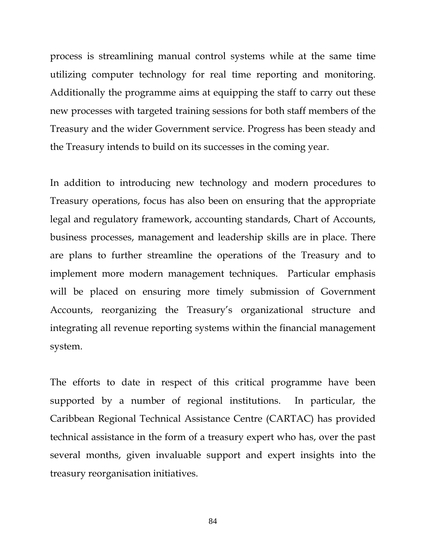process is streamlining manual control systems while at the same time utilizing computer technology for real time reporting and monitoring. Additionally the programme aims at equipping the staff to carry out these new processes with targeted training sessions for both staff members of the Treasury and the wider Government service. Progress has been steady and the Treasury intends to build on its successes in the coming year.

In addition to introducing new technology and modern procedures to Treasury operations, focus has also been on ensuring that the appropriate legal and regulatory framework, accounting standards, Chart of Accounts, business processes, management and leadership skills are in place. There are plans to further streamline the operations of the Treasury and to implement more modern management techniques. Particular emphasis will be placed on ensuring more timely submission of Government Accounts, reorganizing the Treasury's organizational structure and integrating all revenue reporting systems within the financial management system.

The efforts to date in respect of this critical programme have been supported by a number of regional institutions. In particular, the Caribbean Regional Technical Assistance Centre (CARTAC) has provided technical assistance in the form of a treasury expert who has, over the past several months, given invaluable support and expert insights into the treasury reorganisation initiatives.

84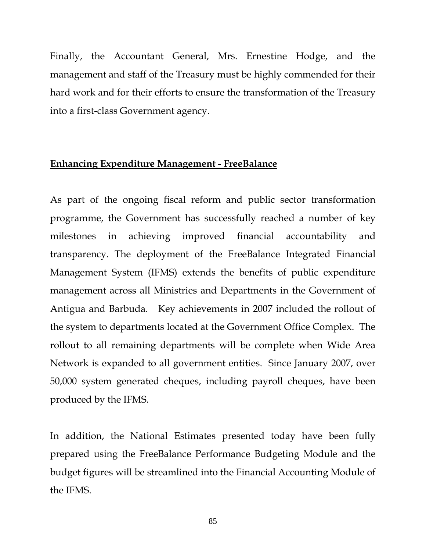Finally, the Accountant General, Mrs. Ernestine Hodge, and the management and staff of the Treasury must be highly commended for their hard work and for their efforts to ensure the transformation of the Treasury into a first-class Government agency.

### **Enhancing Expenditure Management - FreeBalance**

As part of the ongoing fiscal reform and public sector transformation programme, the Government has successfully reached a number of key milestones in achieving improved financial accountability and transparency. The deployment of the FreeBalance Integrated Financial Management System (IFMS) extends the benefits of public expenditure management across all Ministries and Departments in the Government of Antigua and Barbuda. Key achievements in 2007 included the rollout of the system to departments located at the Government Office Complex. The rollout to all remaining departments will be complete when Wide Area Network is expanded to all government entities. Since January 2007, over 50,000 system generated cheques, including payroll cheques, have been produced by the IFMS.

In addition, the National Estimates presented today have been fully prepared using the FreeBalance Performance Budgeting Module and the budget figures will be streamlined into the Financial Accounting Module of the IFMS.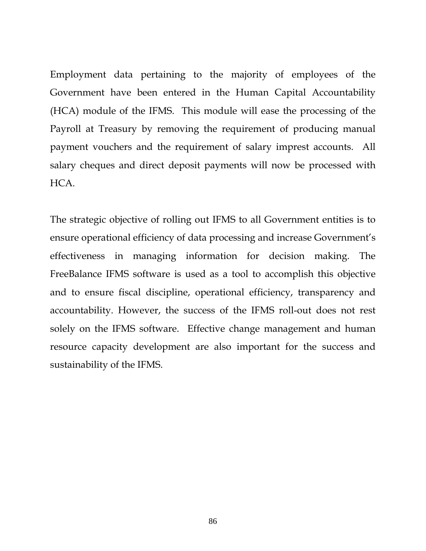Employment data pertaining to the majority of employees of the Government have been entered in the Human Capital Accountability (HCA) module of the IFMS. This module will ease the processing of the Payroll at Treasury by removing the requirement of producing manual payment vouchers and the requirement of salary imprest accounts. All salary cheques and direct deposit payments will now be processed with HCA.

The strategic objective of rolling out IFMS to all Government entities is to ensure operational efficiency of data processing and increase Government's effectiveness in managing information for decision making. The FreeBalance IFMS software is used as a tool to accomplish this objective and to ensure fiscal discipline, operational efficiency, transparency and accountability. However, the success of the IFMS roll-out does not rest solely on the IFMS software. Effective change management and human resource capacity development are also important for the success and sustainability of the IFMS.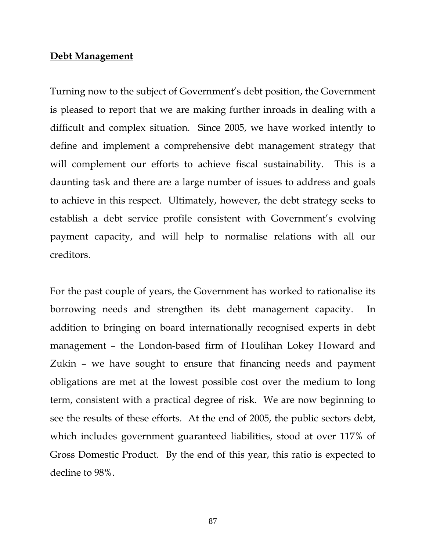#### **Debt Management**

Turning now to the subject of Government's debt position, the Government is pleased to report that we are making further inroads in dealing with a difficult and complex situation. Since 2005, we have worked intently to define and implement a comprehensive debt management strategy that will complement our efforts to achieve fiscal sustainability. This is a daunting task and there are a large number of issues to address and goals to achieve in this respect. Ultimately, however, the debt strategy seeks to establish a debt service profile consistent with Government's evolving payment capacity, and will help to normalise relations with all our creditors.

For the past couple of years, the Government has worked to rationalise its borrowing needs and strengthen its debt management capacity. In addition to bringing on board internationally recognised experts in debt management – the London-based firm of Houlihan Lokey Howard and Zukin – we have sought to ensure that financing needs and payment obligations are met at the lowest possible cost over the medium to long term, consistent with a practical degree of risk. We are now beginning to see the results of these efforts. At the end of 2005, the public sectors debt, which includes government guaranteed liabilities, stood at over 117% of Gross Domestic Product. By the end of this year, this ratio is expected to decline to 98%.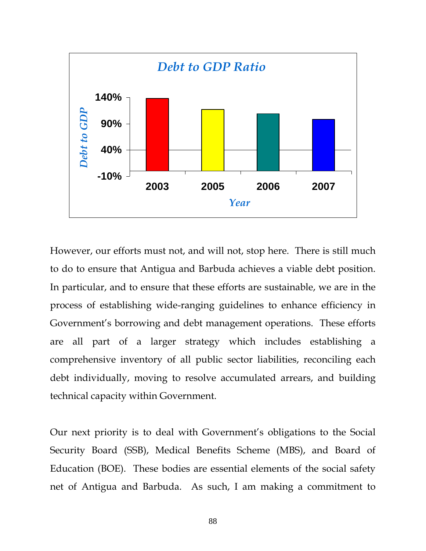

However, our efforts must not, and will not, stop here. There is still much to do to ensure that Antigua and Barbuda achieves a viable debt position. In particular, and to ensure that these efforts are sustainable, we are in the process of establishing wide-ranging guidelines to enhance efficiency in Government's borrowing and debt management operations. These efforts are all part of a larger strategy which includes establishing a comprehensive inventory of all public sector liabilities, reconciling each debt individually, moving to resolve accumulated arrears, and building technical capacity within Government.

Our next priority is to deal with Government's obligations to the Social Security Board (SSB), Medical Benefits Scheme (MBS), and Board of Education (BOE). These bodies are essential elements of the social safety net of Antigua and Barbuda. As such, I am making a commitment to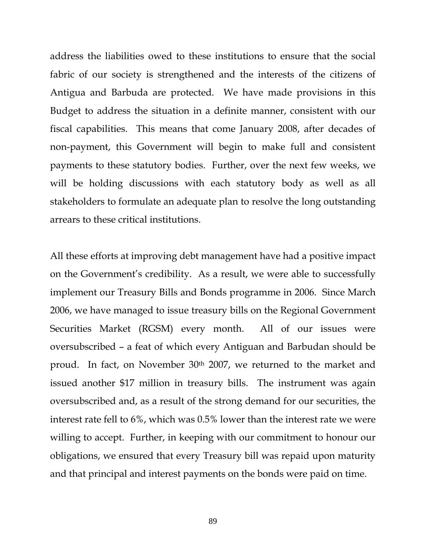address the liabilities owed to these institutions to ensure that the social fabric of our society is strengthened and the interests of the citizens of Antigua and Barbuda are protected. We have made provisions in this Budget to address the situation in a definite manner, consistent with our fiscal capabilities. This means that come January 2008, after decades of non-payment, this Government will begin to make full and consistent payments to these statutory bodies. Further, over the next few weeks, we will be holding discussions with each statutory body as well as all stakeholders to formulate an adequate plan to resolve the long outstanding arrears to these critical institutions.

All these efforts at improving debt management have had a positive impact on the Government's credibility. As a result, we were able to successfully implement our Treasury Bills and Bonds programme in 2006. Since March 2006, we have managed to issue treasury bills on the Regional Government Securities Market (RGSM) every month. All of our issues were oversubscribed – a feat of which every Antiguan and Barbudan should be proud. In fact, on November 30<sup>th</sup> 2007, we returned to the market and issued another \$17 million in treasury bills. The instrument was again oversubscribed and, as a result of the strong demand for our securities, the interest rate fell to 6%, which was 0.5% lower than the interest rate we were willing to accept. Further, in keeping with our commitment to honour our obligations, we ensured that every Treasury bill was repaid upon maturity and that principal and interest payments on the bonds were paid on time.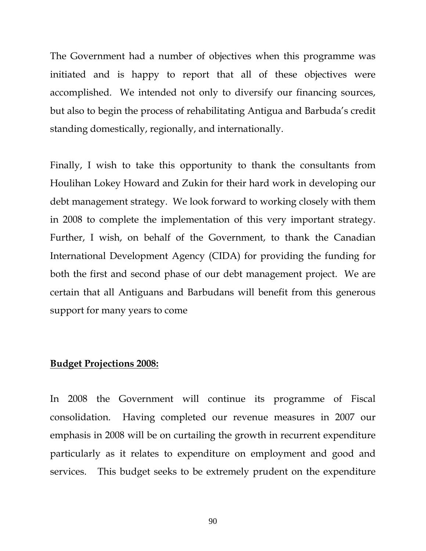The Government had a number of objectives when this programme was initiated and is happy to report that all of these objectives were accomplished. We intended not only to diversify our financing sources, but also to begin the process of rehabilitating Antigua and Barbuda's credit standing domestically, regionally, and internationally.

Finally, I wish to take this opportunity to thank the consultants from Houlihan Lokey Howard and Zukin for their hard work in developing our debt management strategy. We look forward to working closely with them in 2008 to complete the implementation of this very important strategy. Further, I wish, on behalf of the Government, to thank the Canadian International Development Agency (CIDA) for providing the funding for both the first and second phase of our debt management project. We are certain that all Antiguans and Barbudans will benefit from this generous support for many years to come

### **Budget Projections 2008:**

In 2008 the Government will continue its programme of Fiscal consolidation. Having completed our revenue measures in 2007 our emphasis in 2008 will be on curtailing the growth in recurrent expenditure particularly as it relates to expenditure on employment and good and services. This budget seeks to be extremely prudent on the expenditure

90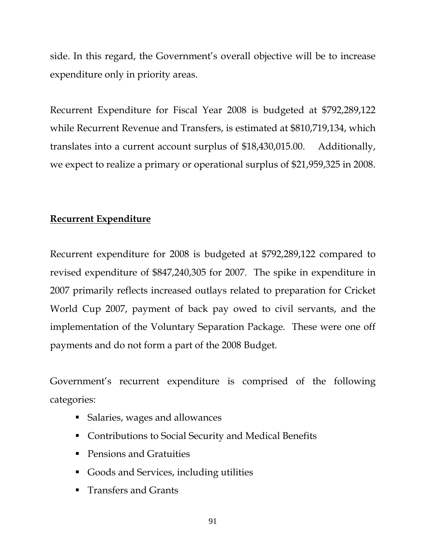side. In this regard, the Government's overall objective will be to increase expenditure only in priority areas.

Recurrent Expenditure for Fiscal Year 2008 is budgeted at \$792,289,122 while Recurrent Revenue and Transfers, is estimated at \$810,719,134, which translates into a current account surplus of \$18,430,015.00. Additionally, we expect to realize a primary or operational surplus of \$21,959,325 in 2008.

# **Recurrent Expenditure**

Recurrent expenditure for 2008 is budgeted at \$792,289,122 compared to revised expenditure of \$847,240,305 for 2007. The spike in expenditure in 2007 primarily reflects increased outlays related to preparation for Cricket World Cup 2007, payment of back pay owed to civil servants, and the implementation of the Voluntary Separation Package. These were one off payments and do not form a part of the 2008 Budget.

Government's recurrent expenditure is comprised of the following categories:

- Salaries, wages and allowances
- Contributions to Social Security and Medical Benefits
- **Pensions and Gratuities**
- Goods and Services, including utilities
- **Transfers and Grants**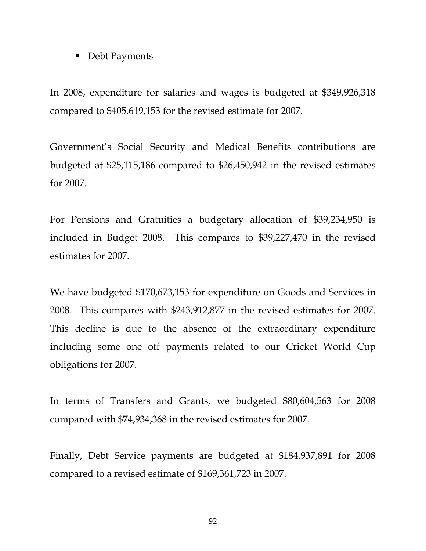### ■ Debt Payments

In 2008, expenditure for salaries and wages is budgeted at \$349,926,318 compared to \$405,619,153 for the revised estimate for 2007.

Government's Social Security and Medical Benefits contributions are budgeted at \$25,115,186 compared to \$26,450,942 in the revised estimates for 2007.

For Pensions and Gratuities a budgetary allocation of \$39,234,950 is included in Budget 2008. This compares to \$39,227,470 in the revised estimates for 2007.

We have budgeted \$170,673,153 for expenditure on Goods and Services in 2008. This compares with \$243,912,877 in the revised estimates for 2007. This decline is due to the absence of the extraordinary expenditure including some one off payments related to our Cricket World Cup obligations for 2007.

In terms of Transfers and Grants, we budgeted \$80,604,563 for 2008 compared with \$74,934,368 in the revised estimates for 2007.

Finally, Debt Service payments are budgeted at \$184,937,891 for 2008 compared to a revised estimate of \$169,361,723 in 2007.

92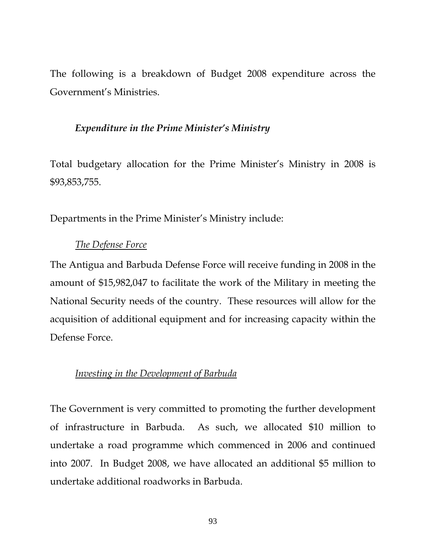The following is a breakdown of Budget 2008 expenditure across the Government's Ministries.

## *Expenditure in the Prime Minister's Ministry*

Total budgetary allocation for the Prime Minister's Ministry in 2008 is \$93,853,755.

Departments in the Prime Minister's Ministry include:

## *The Defense Force*

The Antigua and Barbuda Defense Force will receive funding in 2008 in the amount of \$15,982,047 to facilitate the work of the Military in meeting the National Security needs of the country. These resources will allow for the acquisition of additional equipment and for increasing capacity within the Defense Force.

## *Investing in the Development of Barbuda*

The Government is very committed to promoting the further development of infrastructure in Barbuda. As such, we allocated \$10 million to undertake a road programme which commenced in 2006 and continued into 2007. In Budget 2008, we have allocated an additional \$5 million to undertake additional roadworks in Barbuda.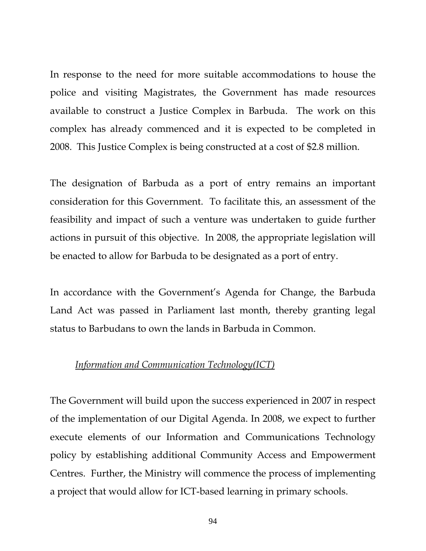In response to the need for more suitable accommodations to house the police and visiting Magistrates, the Government has made resources available to construct a Justice Complex in Barbuda. The work on this complex has already commenced and it is expected to be completed in 2008. This Justice Complex is being constructed at a cost of \$2.8 million.

The designation of Barbuda as a port of entry remains an important consideration for this Government. To facilitate this, an assessment of the feasibility and impact of such a venture was undertaken to guide further actions in pursuit of this objective. In 2008, the appropriate legislation will be enacted to allow for Barbuda to be designated as a port of entry.

In accordance with the Government's Agenda for Change, the Barbuda Land Act was passed in Parliament last month, thereby granting legal status to Barbudans to own the lands in Barbuda in Common.

## *Information and Communication Technology(ICT)*

The Government will build upon the success experienced in 2007 in respect of the implementation of our Digital Agenda. In 2008, we expect to further execute elements of our Information and Communications Technology policy by establishing additional Community Access and Empowerment Centres. Further, the Ministry will commence the process of implementing a project that would allow for ICT-based learning in primary schools.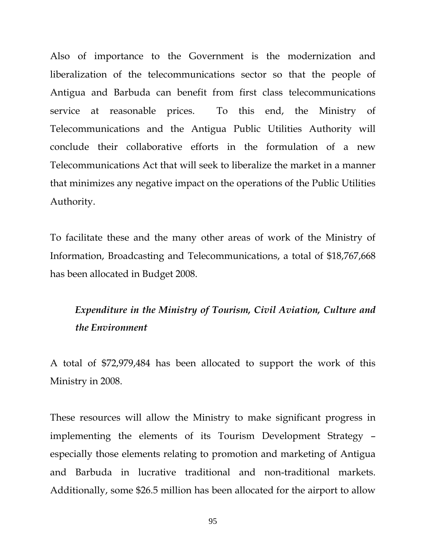Also of importance to the Government is the modernization and liberalization of the telecommunications sector so that the people of Antigua and Barbuda can benefit from first class telecommunications service at reasonable prices. To this end, the Ministry of Telecommunications and the Antigua Public Utilities Authority will conclude their collaborative efforts in the formulation of a new Telecommunications Act that will seek to liberalize the market in a manner that minimizes any negative impact on the operations of the Public Utilities Authority.

To facilitate these and the many other areas of work of the Ministry of Information, Broadcasting and Telecommunications, a total of \$18,767,668 has been allocated in Budget 2008.

# *Expenditure in the Ministry of Tourism, Civil Aviation, Culture and the Environment*

A total of \$72,979,484 has been allocated to support the work of this Ministry in 2008.

These resources will allow the Ministry to make significant progress in implementing the elements of its Tourism Development Strategy – especially those elements relating to promotion and marketing of Antigua and Barbuda in lucrative traditional and non-traditional markets. Additionally, some \$26.5 million has been allocated for the airport to allow

95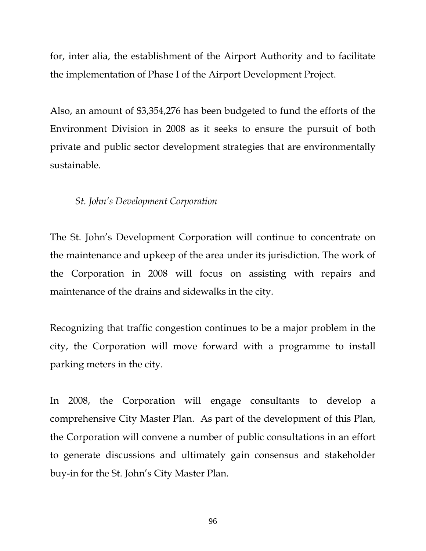for, inter alia, the establishment of the Airport Authority and to facilitate the implementation of Phase I of the Airport Development Project.

Also, an amount of \$3,354,276 has been budgeted to fund the efforts of the Environment Division in 2008 as it seeks to ensure the pursuit of both private and public sector development strategies that are environmentally sustainable.

## *St. John's Development Corporation*

The St. John's Development Corporation will continue to concentrate on the maintenance and upkeep of the area under its jurisdiction. The work of the Corporation in 2008 will focus on assisting with repairs and maintenance of the drains and sidewalks in the city.

Recognizing that traffic congestion continues to be a major problem in the city, the Corporation will move forward with a programme to install parking meters in the city.

In 2008, the Corporation will engage consultants to develop a comprehensive City Master Plan. As part of the development of this Plan, the Corporation will convene a number of public consultations in an effort to generate discussions and ultimately gain consensus and stakeholder buy-in for the St. John's City Master Plan.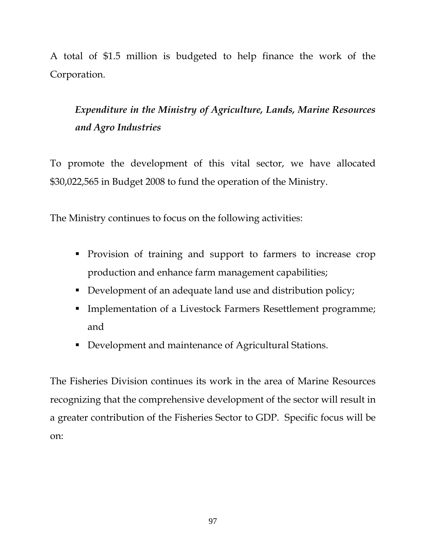A total of \$1.5 million is budgeted to help finance the work of the Corporation.

*Expenditure in the Ministry of Agriculture, Lands, Marine Resources and Agro Industries* 

To promote the development of this vital sector, we have allocated \$30,022,565 in Budget 2008 to fund the operation of the Ministry.

The Ministry continues to focus on the following activities:

- **Provision of training and support to farmers to increase crop** production and enhance farm management capabilities;
- Development of an adequate land use and distribution policy;
- **Implementation of a Livestock Farmers Resettlement programme;** and
- Development and maintenance of Agricultural Stations.

The Fisheries Division continues its work in the area of Marine Resources recognizing that the comprehensive development of the sector will result in a greater contribution of the Fisheries Sector to GDP. Specific focus will be on: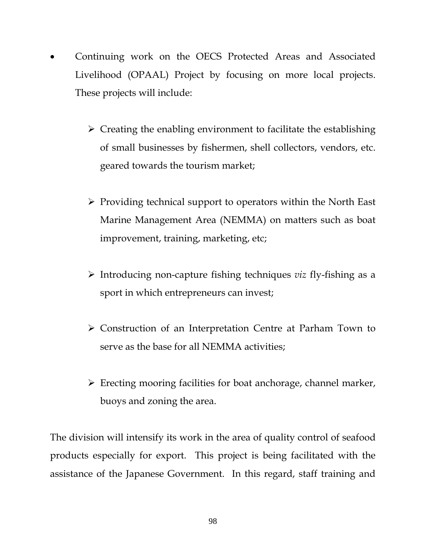- Continuing work on the OECS Protected Areas and Associated Livelihood (OPAAL) Project by focusing on more local projects. These projects will include:
	- $\triangleright$  Creating the enabling environment to facilitate the establishing of small businesses by fishermen, shell collectors, vendors, etc. geared towards the tourism market;
	- ¾ Providing technical support to operators within the North East Marine Management Area (NEMMA) on matters such as boat improvement, training, marketing, etc;
	- ¾ Introducing non-capture fishing techniques *viz* fly-fishing as a sport in which entrepreneurs can invest;
	- ¾ Construction of an Interpretation Centre at Parham Town to serve as the base for all NEMMA activities;
	- $\triangleright$  Erecting mooring facilities for boat anchorage, channel marker, buoys and zoning the area.

The division will intensify its work in the area of quality control of seafood products especially for export. This project is being facilitated with the assistance of the Japanese Government. In this regard, staff training and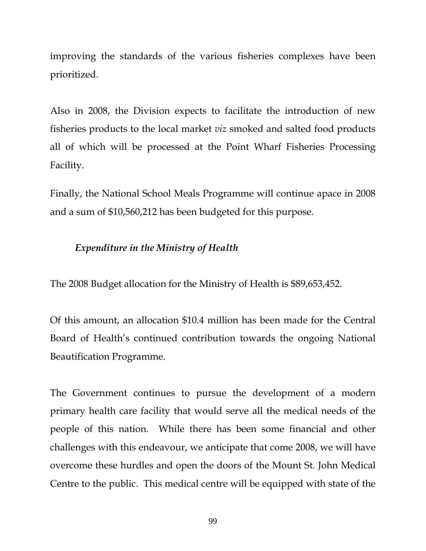improving the standards of the various fisheries complexes have been prioritized.

Also in 2008, the Division expects to facilitate the introduction of new fisheries products to the local market *viz* smoked and salted food products all of which will be processed at the Point Wharf Fisheries Processing Facility.

Finally, the National School Meals Programme will continue apace in 2008 and a sum of \$10,560,212 has been budgeted for this purpose.

## *Expenditure in the Ministry of Health*

The 2008 Budget allocation for the Ministry of Health is \$89,653,452.

Of this amount, an allocation \$10.4 million has been made for the Central Board of Health's continued contribution towards the ongoing National Beautification Programme.

The Government continues to pursue the development of a modern primary health care facility that would serve all the medical needs of the people of this nation. While there has been some financial and other challenges with this endeavour, we anticipate that come 2008, we will have overcome these hurdles and open the doors of the Mount St. John Medical Centre to the public. This medical centre will be equipped with state of the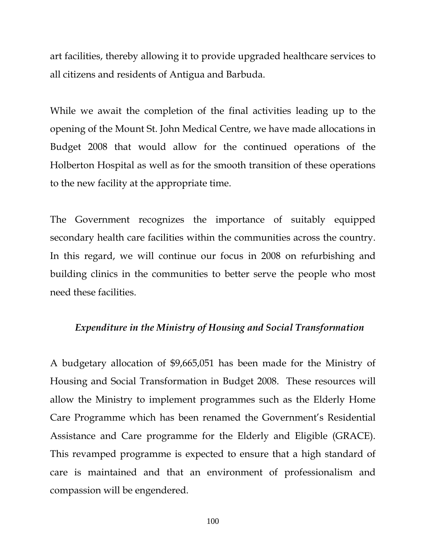art facilities, thereby allowing it to provide upgraded healthcare services to all citizens and residents of Antigua and Barbuda.

While we await the completion of the final activities leading up to the opening of the Mount St. John Medical Centre, we have made allocations in Budget 2008 that would allow for the continued operations of the Holberton Hospital as well as for the smooth transition of these operations to the new facility at the appropriate time.

The Government recognizes the importance of suitably equipped secondary health care facilities within the communities across the country. In this regard, we will continue our focus in 2008 on refurbishing and building clinics in the communities to better serve the people who most need these facilities.

#### *Expenditure in the Ministry of Housing and Social Transformation*

A budgetary allocation of \$9,665,051 has been made for the Ministry of Housing and Social Transformation in Budget 2008. These resources will allow the Ministry to implement programmes such as the Elderly Home Care Programme which has been renamed the Government's Residential Assistance and Care programme for the Elderly and Eligible (GRACE). This revamped programme is expected to ensure that a high standard of care is maintained and that an environment of professionalism and compassion will be engendered.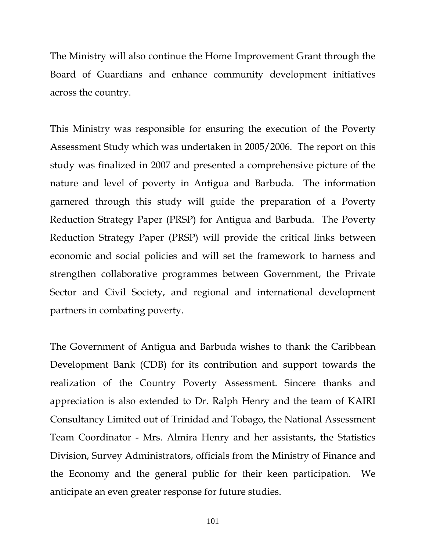The Ministry will also continue the Home Improvement Grant through the Board of Guardians and enhance community development initiatives across the country.

This Ministry was responsible for ensuring the execution of the Poverty Assessment Study which was undertaken in 2005/2006. The report on this study was finalized in 2007 and presented a comprehensive picture of the nature and level of poverty in Antigua and Barbuda. The information garnered through this study will guide the preparation of a Poverty Reduction Strategy Paper (PRSP) for Antigua and Barbuda. The Poverty Reduction Strategy Paper (PRSP) will provide the critical links between economic and social policies and will set the framework to harness and strengthen collaborative programmes between Government, the Private Sector and Civil Society, and regional and international development partners in combating poverty.

The Government of Antigua and Barbuda wishes to thank the Caribbean Development Bank (CDB) for its contribution and support towards the realization of the Country Poverty Assessment. Sincere thanks and appreciation is also extended to Dr. Ralph Henry and the team of KAIRI Consultancy Limited out of Trinidad and Tobago, the National Assessment Team Coordinator - Mrs. Almira Henry and her assistants, the Statistics Division, Survey Administrators, officials from the Ministry of Finance and the Economy and the general public for their keen participation. We anticipate an even greater response for future studies.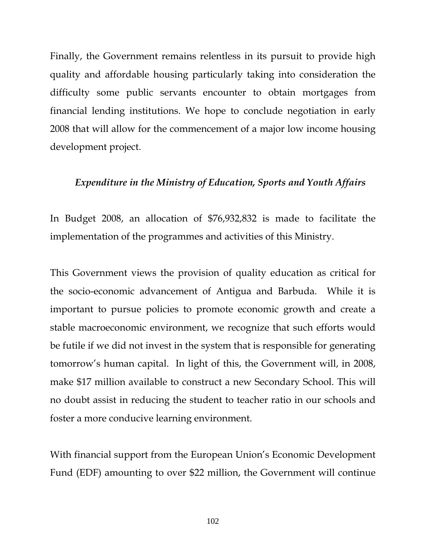Finally, the Government remains relentless in its pursuit to provide high quality and affordable housing particularly taking into consideration the difficulty some public servants encounter to obtain mortgages from financial lending institutions. We hope to conclude negotiation in early 2008 that will allow for the commencement of a major low income housing development project.

#### *Expenditure in the Ministry of Education, Sports and Youth Affairs*

In Budget 2008, an allocation of \$76,932,832 is made to facilitate the implementation of the programmes and activities of this Ministry.

This Government views the provision of quality education as critical for the socio-economic advancement of Antigua and Barbuda. While it is important to pursue policies to promote economic growth and create a stable macroeconomic environment, we recognize that such efforts would be futile if we did not invest in the system that is responsible for generating tomorrow's human capital. In light of this, the Government will, in 2008, make \$17 million available to construct a new Secondary School. This will no doubt assist in reducing the student to teacher ratio in our schools and foster a more conducive learning environment.

With financial support from the European Union's Economic Development Fund (EDF) amounting to over \$22 million, the Government will continue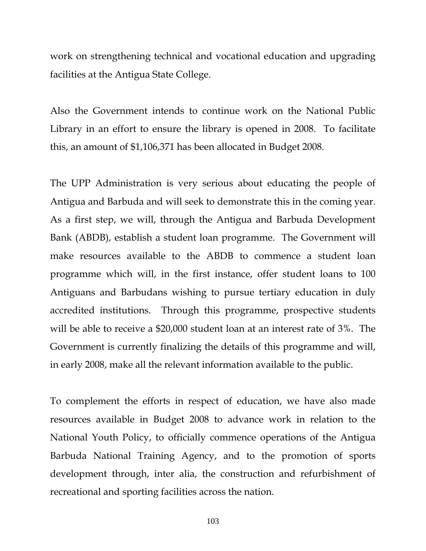work on strengthening technical and vocational education and upgrading facilities at the Antigua State College.

Also the Government intends to continue work on the National Public Library in an effort to ensure the library is opened in 2008. To facilitate this, an amount of \$1,106,371 has been allocated in Budget 2008.

The UPP Administration is very serious about educating the people of Antigua and Barbuda and will seek to demonstrate this in the coming year. As a first step, we will, through the Antigua and Barbuda Development Bank (ABDB), establish a student loan programme. The Government will make resources available to the ABDB to commence a student loan programme which will, in the first instance, offer student loans to 100 Antiguans and Barbudans wishing to pursue tertiary education in duly accredited institutions. Through this programme, prospective students will be able to receive a \$20,000 student loan at an interest rate of 3%. The Government is currently finalizing the details of this programme and will, in early 2008, make all the relevant information available to the public.

To complement the efforts in respect of education, we have also made resources available in Budget 2008 to advance work in relation to the National Youth Policy, to officially commence operations of the Antigua Barbuda National Training Agency, and to the promotion of sports development through, inter alia, the construction and refurbishment of recreational and sporting facilities across the nation.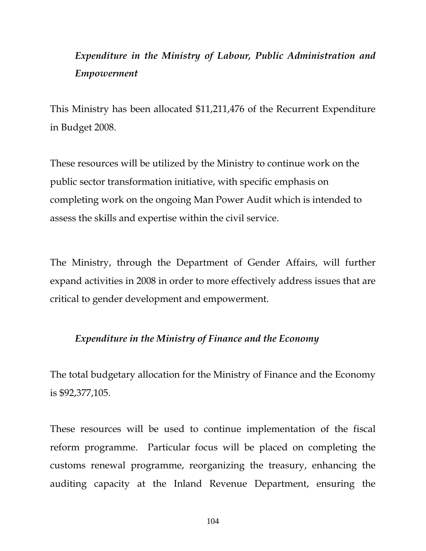# *Expenditure in the Ministry of Labour, Public Administration and Empowerment*

This Ministry has been allocated \$11,211,476 of the Recurrent Expenditure in Budget 2008.

These resources will be utilized by the Ministry to continue work on the public sector transformation initiative, with specific emphasis on completing work on the ongoing Man Power Audit which is intended to assess the skills and expertise within the civil service.

The Ministry, through the Department of Gender Affairs, will further expand activities in 2008 in order to more effectively address issues that are critical to gender development and empowerment.

## *Expenditure in the Ministry of Finance and the Economy*

The total budgetary allocation for the Ministry of Finance and the Economy is \$92,377,105.

These resources will be used to continue implementation of the fiscal reform programme. Particular focus will be placed on completing the customs renewal programme, reorganizing the treasury, enhancing the auditing capacity at the Inland Revenue Department, ensuring the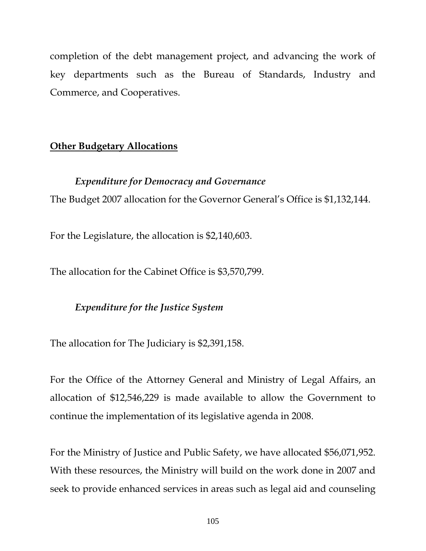completion of the debt management project, and advancing the work of key departments such as the Bureau of Standards, Industry and Commerce, and Cooperatives.

## **Other Budgetary Allocations**

## *Expenditure for Democracy and Governance*

The Budget 2007 allocation for the Governor General's Office is \$1,132,144.

For the Legislature, the allocation is \$2,140,603.

The allocation for the Cabinet Office is \$3,570,799.

# *Expenditure for the Justice System*

The allocation for The Judiciary is \$2,391,158.

For the Office of the Attorney General and Ministry of Legal Affairs, an allocation of \$12,546,229 is made available to allow the Government to continue the implementation of its legislative agenda in 2008.

For the Ministry of Justice and Public Safety, we have allocated \$56,071,952. With these resources, the Ministry will build on the work done in 2007 and seek to provide enhanced services in areas such as legal aid and counseling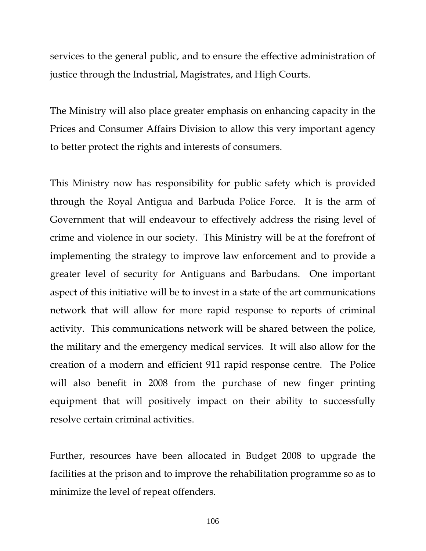services to the general public, and to ensure the effective administration of justice through the Industrial, Magistrates, and High Courts.

The Ministry will also place greater emphasis on enhancing capacity in the Prices and Consumer Affairs Division to allow this very important agency to better protect the rights and interests of consumers.

This Ministry now has responsibility for public safety which is provided through the Royal Antigua and Barbuda Police Force. It is the arm of Government that will endeavour to effectively address the rising level of crime and violence in our society. This Ministry will be at the forefront of implementing the strategy to improve law enforcement and to provide a greater level of security for Antiguans and Barbudans. One important aspect of this initiative will be to invest in a state of the art communications network that will allow for more rapid response to reports of criminal activity. This communications network will be shared between the police, the military and the emergency medical services. It will also allow for the creation of a modern and efficient 911 rapid response centre. The Police will also benefit in 2008 from the purchase of new finger printing equipment that will positively impact on their ability to successfully resolve certain criminal activities.

Further, resources have been allocated in Budget 2008 to upgrade the facilities at the prison and to improve the rehabilitation programme so as to minimize the level of repeat offenders.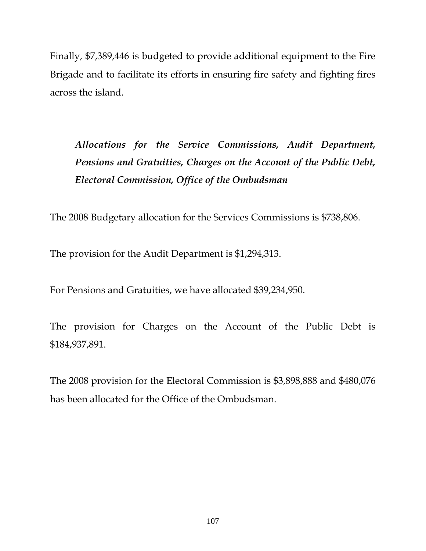Finally, \$7,389,446 is budgeted to provide additional equipment to the Fire Brigade and to facilitate its efforts in ensuring fire safety and fighting fires across the island.

*Allocations for the Service Commissions, Audit Department, Pensions and Gratuities, Charges on the Account of the Public Debt, Electoral Commission, Office of the Ombudsman* 

The 2008 Budgetary allocation for the Services Commissions is \$738,806.

The provision for the Audit Department is \$1,294,313.

For Pensions and Gratuities, we have allocated \$39,234,950.

The provision for Charges on the Account of the Public Debt is \$184,937,891.

The 2008 provision for the Electoral Commission is \$3,898,888 and \$480,076 has been allocated for the Office of the Ombudsman.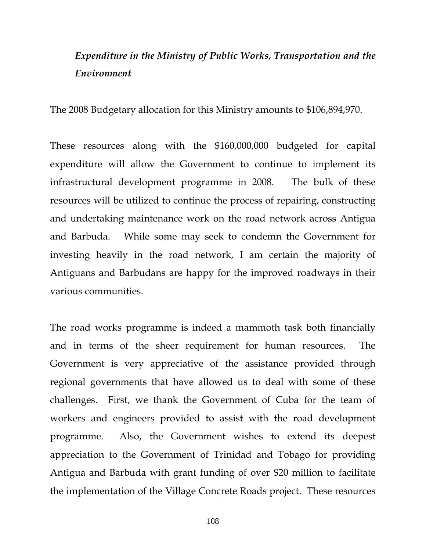# *Expenditure in the Ministry of Public Works, Transportation and the Environment*

The 2008 Budgetary allocation for this Ministry amounts to \$106,894,970.

These resources along with the \$160,000,000 budgeted for capital expenditure will allow the Government to continue to implement its infrastructural development programme in 2008. The bulk of these resources will be utilized to continue the process of repairing, constructing and undertaking maintenance work on the road network across Antigua and Barbuda. While some may seek to condemn the Government for investing heavily in the road network, I am certain the majority of Antiguans and Barbudans are happy for the improved roadways in their various communities.

The road works programme is indeed a mammoth task both financially and in terms of the sheer requirement for human resources. The Government is very appreciative of the assistance provided through regional governments that have allowed us to deal with some of these challenges. First, we thank the Government of Cuba for the team of workers and engineers provided to assist with the road development programme. Also, the Government wishes to extend its deepest appreciation to the Government of Trinidad and Tobago for providing Antigua and Barbuda with grant funding of over \$20 million to facilitate the implementation of the Village Concrete Roads project. These resources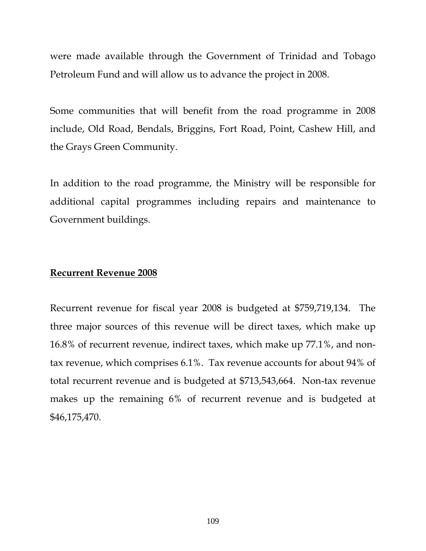were made available through the Government of Trinidad and Tobago Petroleum Fund and will allow us to advance the project in 2008.

Some communities that will benefit from the road programme in 2008 include, Old Road, Bendals, Briggins, Fort Road, Point, Cashew Hill, and the Grays Green Community.

In addition to the road programme, the Ministry will be responsible for additional capital programmes including repairs and maintenance to Government buildings.

# **Recurrent Revenue 2008**

Recurrent revenue for fiscal year 2008 is budgeted at \$759,719,134. The three major sources of this revenue will be direct taxes, which make up 16.8% of recurrent revenue, indirect taxes, which make up 77.1%, and nontax revenue, which comprises 6.1%. Tax revenue accounts for about 94% of total recurrent revenue and is budgeted at \$713,543,664. Non-tax revenue makes up the remaining 6% of recurrent revenue and is budgeted at \$46,175,470.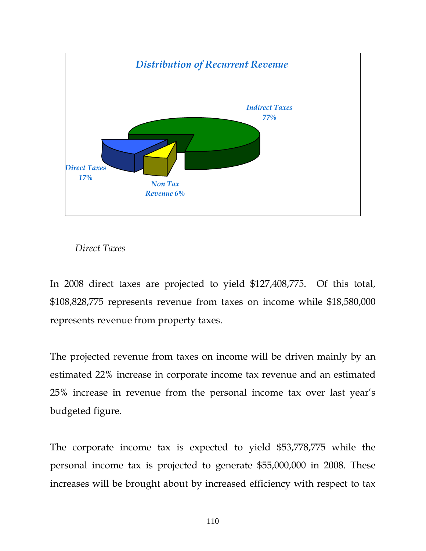

# *Direct Taxes*

In 2008 direct taxes are projected to yield \$127,408,775. Of this total, \$108,828,775 represents revenue from taxes on income while \$18,580,000 represents revenue from property taxes.

The projected revenue from taxes on income will be driven mainly by an estimated 22% increase in corporate income tax revenue and an estimated 25% increase in revenue from the personal income tax over last year's budgeted figure.

The corporate income tax is expected to yield \$53,778,775 while the personal income tax is projected to generate \$55,000,000 in 2008. These increases will be brought about by increased efficiency with respect to tax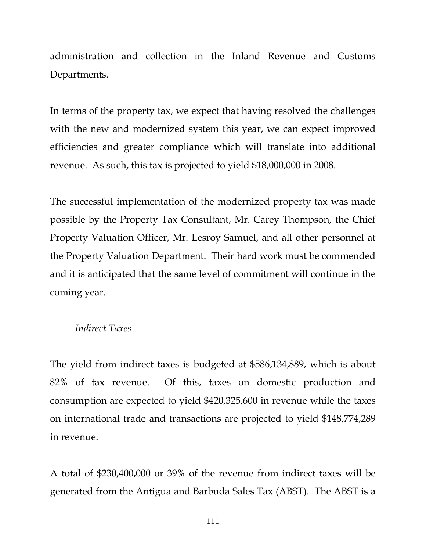administration and collection in the Inland Revenue and Customs Departments.

In terms of the property tax, we expect that having resolved the challenges with the new and modernized system this year, we can expect improved efficiencies and greater compliance which will translate into additional revenue. As such, this tax is projected to yield \$18,000,000 in 2008.

The successful implementation of the modernized property tax was made possible by the Property Tax Consultant, Mr. Carey Thompson, the Chief Property Valuation Officer, Mr. Lesroy Samuel, and all other personnel at the Property Valuation Department. Their hard work must be commended and it is anticipated that the same level of commitment will continue in the coming year.

## *Indirect Taxes*

The yield from indirect taxes is budgeted at \$586,134,889, which is about 82% of tax revenue. Of this, taxes on domestic production and consumption are expected to yield \$420,325,600 in revenue while the taxes on international trade and transactions are projected to yield \$148,774,289 in revenue.

A total of \$230,400,000 or 39% of the revenue from indirect taxes will be generated from the Antigua and Barbuda Sales Tax (ABST). The ABST is a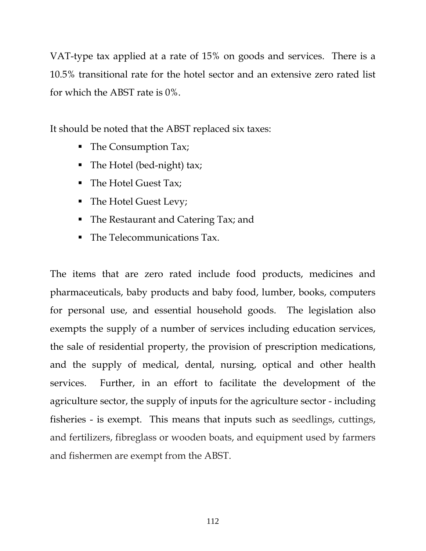VAT-type tax applied at a rate of 15% on goods and services. There is a 10.5% transitional rate for the hotel sector and an extensive zero rated list for which the ABST rate is 0%.

It should be noted that the ABST replaced six taxes:

- The Consumption Tax;
- The Hotel (bed-night) tax;
- The Hotel Guest Tax;
- The Hotel Guest Levy;
- **The Restaurant and Catering Tax; and**
- The Telecommunications Tax.

The items that are zero rated include food products, medicines and pharmaceuticals, baby products and baby food, lumber, books, computers for personal use, and essential household goods. The legislation also exempts the supply of a number of services including education services, the sale of residential property, the provision of prescription medications, and the supply of medical, dental, nursing, optical and other health services. Further, in an effort to facilitate the development of the agriculture sector, the supply of inputs for the agriculture sector - including fisheries - is exempt. This means that inputs such as seedlings, cuttings, and fertilizers, fibreglass or wooden boats, and equipment used by farmers and fishermen are exempt from the ABST.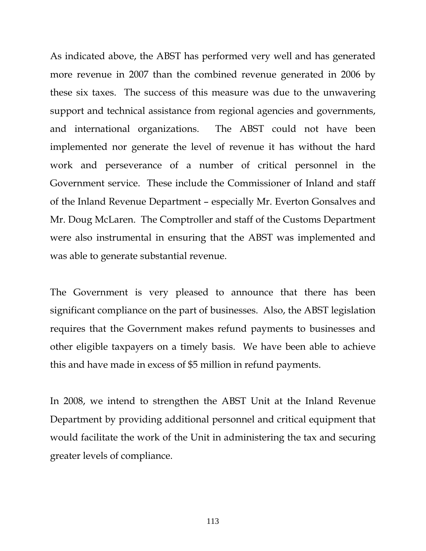As indicated above, the ABST has performed very well and has generated more revenue in 2007 than the combined revenue generated in 2006 by these six taxes. The success of this measure was due to the unwavering support and technical assistance from regional agencies and governments, and international organizations. The ABST could not have been implemented nor generate the level of revenue it has without the hard work and perseverance of a number of critical personnel in the Government service. These include the Commissioner of Inland and staff of the Inland Revenue Department – especially Mr. Everton Gonsalves and Mr. Doug McLaren. The Comptroller and staff of the Customs Department were also instrumental in ensuring that the ABST was implemented and was able to generate substantial revenue.

The Government is very pleased to announce that there has been significant compliance on the part of businesses. Also, the ABST legislation requires that the Government makes refund payments to businesses and other eligible taxpayers on a timely basis. We have been able to achieve this and have made in excess of \$5 million in refund payments.

In 2008, we intend to strengthen the ABST Unit at the Inland Revenue Department by providing additional personnel and critical equipment that would facilitate the work of the Unit in administering the tax and securing greater levels of compliance.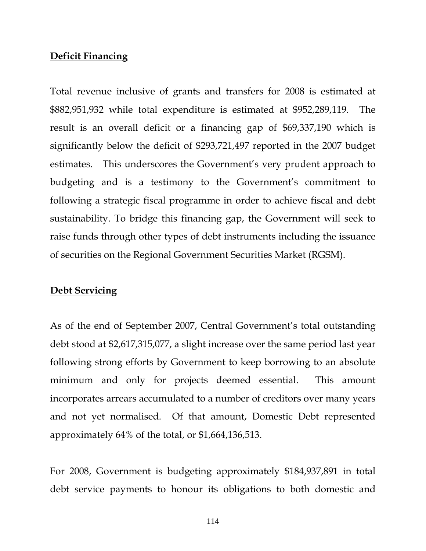# **Deficit Financing**

Total revenue inclusive of grants and transfers for 2008 is estimated at \$882,951,932 while total expenditure is estimated at \$952,289,119. The result is an overall deficit or a financing gap of \$69,337,190 which is significantly below the deficit of \$293,721,497 reported in the 2007 budget estimates. This underscores the Government's very prudent approach to budgeting and is a testimony to the Government's commitment to following a strategic fiscal programme in order to achieve fiscal and debt sustainability. To bridge this financing gap, the Government will seek to raise funds through other types of debt instruments including the issuance of securities on the Regional Government Securities Market (RGSM).

# **Debt Servicing**

As of the end of September 2007, Central Government's total outstanding debt stood at \$2,617,315,077, a slight increase over the same period last year following strong efforts by Government to keep borrowing to an absolute minimum and only for projects deemed essential. This amount incorporates arrears accumulated to a number of creditors over many years and not yet normalised. Of that amount, Domestic Debt represented approximately 64% of the total, or \$1,664,136,513.

For 2008, Government is budgeting approximately \$184,937,891 in total debt service payments to honour its obligations to both domestic and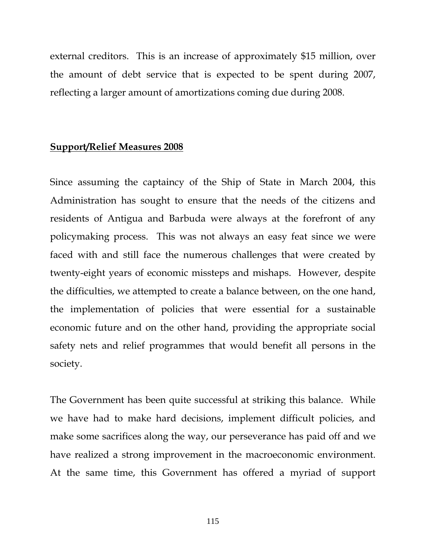external creditors. This is an increase of approximately \$15 million, over the amount of debt service that is expected to be spent during 2007, reflecting a larger amount of amortizations coming due during 2008.

## **Support/Relief Measures 2008**

Since assuming the captaincy of the Ship of State in March 2004, this Administration has sought to ensure that the needs of the citizens and residents of Antigua and Barbuda were always at the forefront of any policymaking process. This was not always an easy feat since we were faced with and still face the numerous challenges that were created by twenty-eight years of economic missteps and mishaps. However, despite the difficulties, we attempted to create a balance between, on the one hand, the implementation of policies that were essential for a sustainable economic future and on the other hand, providing the appropriate social safety nets and relief programmes that would benefit all persons in the society.

The Government has been quite successful at striking this balance. While we have had to make hard decisions, implement difficult policies, and make some sacrifices along the way, our perseverance has paid off and we have realized a strong improvement in the macroeconomic environment. At the same time, this Government has offered a myriad of support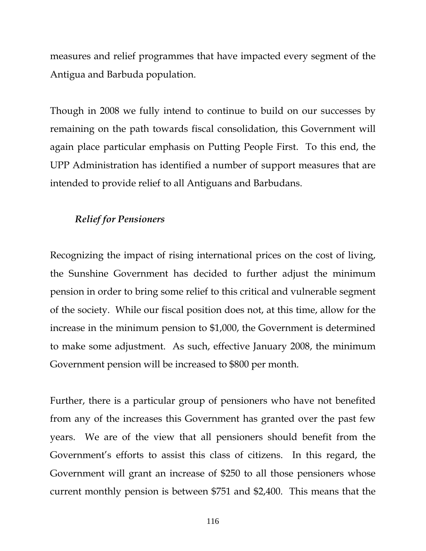measures and relief programmes that have impacted every segment of the Antigua and Barbuda population.

Though in 2008 we fully intend to continue to build on our successes by remaining on the path towards fiscal consolidation, this Government will again place particular emphasis on Putting People First. To this end, the UPP Administration has identified a number of support measures that are intended to provide relief to all Antiguans and Barbudans.

# *Relief for Pensioners*

Recognizing the impact of rising international prices on the cost of living, the Sunshine Government has decided to further adjust the minimum pension in order to bring some relief to this critical and vulnerable segment of the society. While our fiscal position does not, at this time, allow for the increase in the minimum pension to \$1,000, the Government is determined to make some adjustment. As such, effective January 2008, the minimum Government pension will be increased to \$800 per month.

Further, there is a particular group of pensioners who have not benefited from any of the increases this Government has granted over the past few years. We are of the view that all pensioners should benefit from the Government's efforts to assist this class of citizens. In this regard, the Government will grant an increase of \$250 to all those pensioners whose current monthly pension is between \$751 and \$2,400. This means that the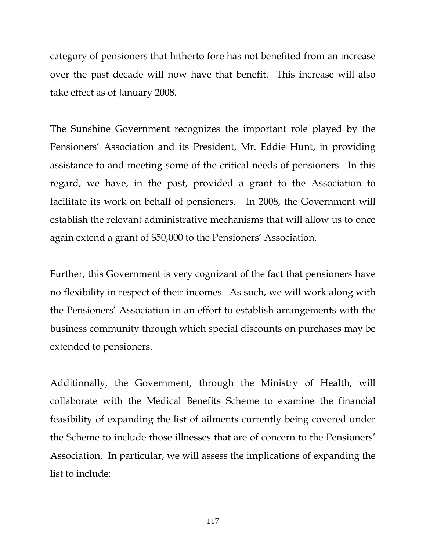category of pensioners that hitherto fore has not benefited from an increase over the past decade will now have that benefit. This increase will also take effect as of January 2008.

The Sunshine Government recognizes the important role played by the Pensioners' Association and its President, Mr. Eddie Hunt, in providing assistance to and meeting some of the critical needs of pensioners. In this regard, we have, in the past, provided a grant to the Association to facilitate its work on behalf of pensioners. In 2008, the Government will establish the relevant administrative mechanisms that will allow us to once again extend a grant of \$50,000 to the Pensioners' Association.

Further, this Government is very cognizant of the fact that pensioners have no flexibility in respect of their incomes. As such, we will work along with the Pensioners' Association in an effort to establish arrangements with the business community through which special discounts on purchases may be extended to pensioners.

Additionally, the Government, through the Ministry of Health, will collaborate with the Medical Benefits Scheme to examine the financial feasibility of expanding the list of ailments currently being covered under the Scheme to include those illnesses that are of concern to the Pensioners' Association. In particular, we will assess the implications of expanding the list to include: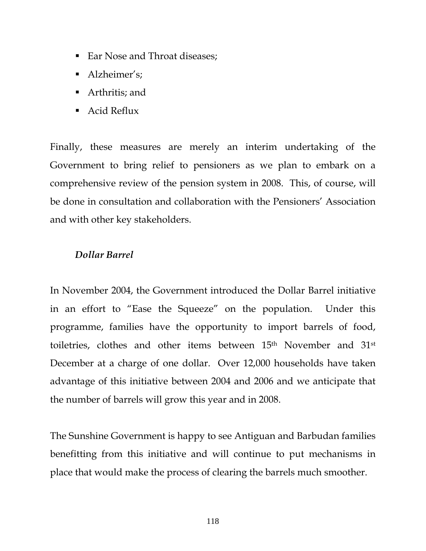- Ear Nose and Throat diseases;
- Alzheimer's;
- Arthritis; and
- Acid Reflux

Finally, these measures are merely an interim undertaking of the Government to bring relief to pensioners as we plan to embark on a comprehensive review of the pension system in 2008. This, of course, will be done in consultation and collaboration with the Pensioners' Association and with other key stakeholders.

# *Dollar Barrel*

In November 2004, the Government introduced the Dollar Barrel initiative in an effort to "Ease the Squeeze" on the population. Under this programme, families have the opportunity to import barrels of food, toiletries, clothes and other items between 15<sup>th</sup> November and 31<sup>st</sup> December at a charge of one dollar. Over 12,000 households have taken advantage of this initiative between 2004 and 2006 and we anticipate that the number of barrels will grow this year and in 2008.

The Sunshine Government is happy to see Antiguan and Barbudan families benefitting from this initiative and will continue to put mechanisms in place that would make the process of clearing the barrels much smoother.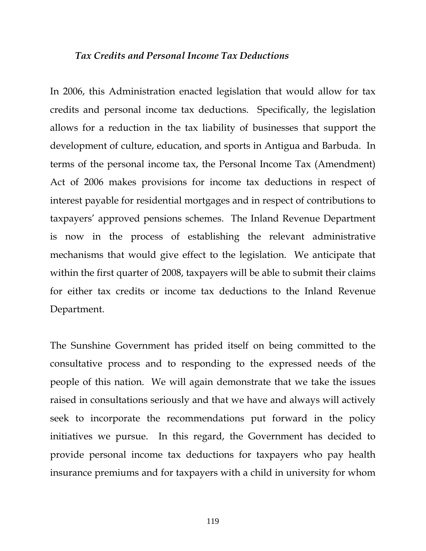### *Tax Credits and Personal Income Tax Deductions*

In 2006, this Administration enacted legislation that would allow for tax credits and personal income tax deductions. Specifically, the legislation allows for a reduction in the tax liability of businesses that support the development of culture, education, and sports in Antigua and Barbuda. In terms of the personal income tax, the Personal Income Tax (Amendment) Act of 2006 makes provisions for income tax deductions in respect of interest payable for residential mortgages and in respect of contributions to taxpayers' approved pensions schemes. The Inland Revenue Department is now in the process of establishing the relevant administrative mechanisms that would give effect to the legislation. We anticipate that within the first quarter of 2008, taxpayers will be able to submit their claims for either tax credits or income tax deductions to the Inland Revenue Department.

The Sunshine Government has prided itself on being committed to the consultative process and to responding to the expressed needs of the people of this nation. We will again demonstrate that we take the issues raised in consultations seriously and that we have and always will actively seek to incorporate the recommendations put forward in the policy initiatives we pursue. In this regard, the Government has decided to provide personal income tax deductions for taxpayers who pay health insurance premiums and for taxpayers with a child in university for whom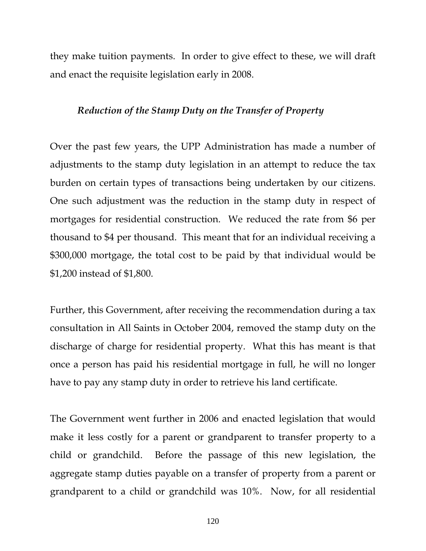they make tuition payments. In order to give effect to these, we will draft and enact the requisite legislation early in 2008.

# *Reduction of the Stamp Duty on the Transfer of Property*

Over the past few years, the UPP Administration has made a number of adjustments to the stamp duty legislation in an attempt to reduce the tax burden on certain types of transactions being undertaken by our citizens. One such adjustment was the reduction in the stamp duty in respect of mortgages for residential construction. We reduced the rate from \$6 per thousand to \$4 per thousand. This meant that for an individual receiving a \$300,000 mortgage, the total cost to be paid by that individual would be \$1,200 instead of \$1,800.

Further, this Government, after receiving the recommendation during a tax consultation in All Saints in October 2004, removed the stamp duty on the discharge of charge for residential property. What this has meant is that once a person has paid his residential mortgage in full, he will no longer have to pay any stamp duty in order to retrieve his land certificate.

The Government went further in 2006 and enacted legislation that would make it less costly for a parent or grandparent to transfer property to a child or grandchild. Before the passage of this new legislation, the aggregate stamp duties payable on a transfer of property from a parent or grandparent to a child or grandchild was 10%. Now, for all residential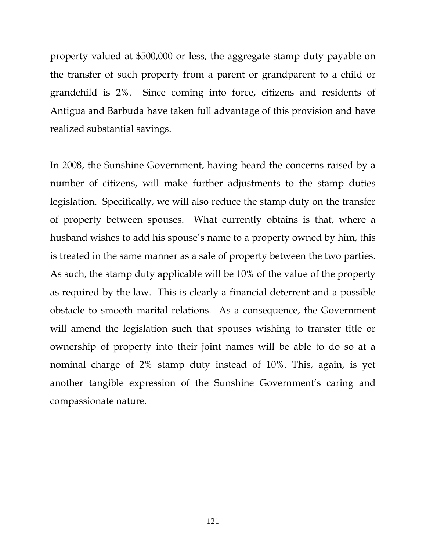property valued at \$500,000 or less, the aggregate stamp duty payable on the transfer of such property from a parent or grandparent to a child or grandchild is 2%. Since coming into force, citizens and residents of Antigua and Barbuda have taken full advantage of this provision and have realized substantial savings.

In 2008, the Sunshine Government, having heard the concerns raised by a number of citizens, will make further adjustments to the stamp duties legislation. Specifically, we will also reduce the stamp duty on the transfer of property between spouses. What currently obtains is that, where a husband wishes to add his spouse's name to a property owned by him, this is treated in the same manner as a sale of property between the two parties. As such, the stamp duty applicable will be 10% of the value of the property as required by the law. This is clearly a financial deterrent and a possible obstacle to smooth marital relations. As a consequence, the Government will amend the legislation such that spouses wishing to transfer title or ownership of property into their joint names will be able to do so at a nominal charge of 2% stamp duty instead of 10%. This, again, is yet another tangible expression of the Sunshine Government's caring and compassionate nature.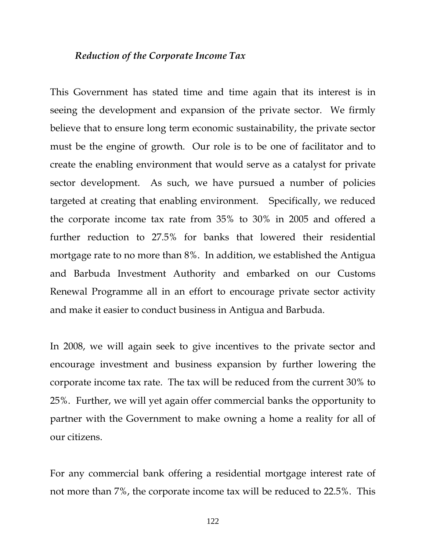### *Reduction of the Corporate Income Tax*

This Government has stated time and time again that its interest is in seeing the development and expansion of the private sector. We firmly believe that to ensure long term economic sustainability, the private sector must be the engine of growth. Our role is to be one of facilitator and to create the enabling environment that would serve as a catalyst for private sector development. As such, we have pursued a number of policies targeted at creating that enabling environment. Specifically, we reduced the corporate income tax rate from 35% to 30% in 2005 and offered a further reduction to 27.5% for banks that lowered their residential mortgage rate to no more than 8%. In addition, we established the Antigua and Barbuda Investment Authority and embarked on our Customs Renewal Programme all in an effort to encourage private sector activity and make it easier to conduct business in Antigua and Barbuda.

In 2008, we will again seek to give incentives to the private sector and encourage investment and business expansion by further lowering the corporate income tax rate. The tax will be reduced from the current 30% to 25%. Further, we will yet again offer commercial banks the opportunity to partner with the Government to make owning a home a reality for all of our citizens.

For any commercial bank offering a residential mortgage interest rate of not more than 7%, the corporate income tax will be reduced to 22.5%. This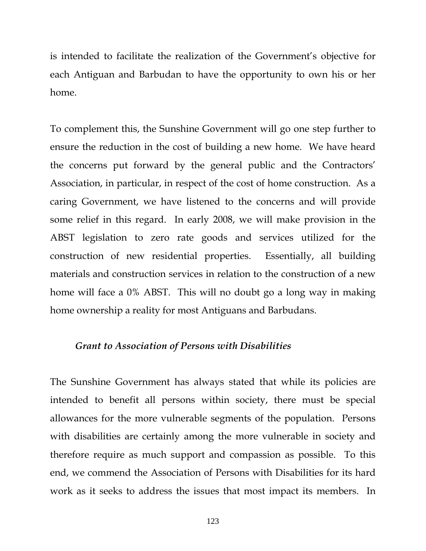is intended to facilitate the realization of the Government's objective for each Antiguan and Barbudan to have the opportunity to own his or her home.

To complement this, the Sunshine Government will go one step further to ensure the reduction in the cost of building a new home. We have heard the concerns put forward by the general public and the Contractors' Association, in particular, in respect of the cost of home construction. As a caring Government, we have listened to the concerns and will provide some relief in this regard. In early 2008, we will make provision in the ABST legislation to zero rate goods and services utilized for the construction of new residential properties. Essentially, all building materials and construction services in relation to the construction of a new home will face a 0% ABST. This will no doubt go a long way in making home ownership a reality for most Antiguans and Barbudans.

#### *Grant to Association of Persons with Disabilities*

The Sunshine Government has always stated that while its policies are intended to benefit all persons within society, there must be special allowances for the more vulnerable segments of the population. Persons with disabilities are certainly among the more vulnerable in society and therefore require as much support and compassion as possible. To this end, we commend the Association of Persons with Disabilities for its hard work as it seeks to address the issues that most impact its members. In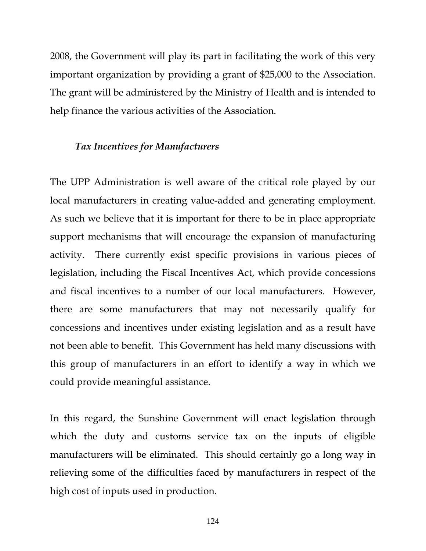2008, the Government will play its part in facilitating the work of this very important organization by providing a grant of \$25,000 to the Association. The grant will be administered by the Ministry of Health and is intended to help finance the various activities of the Association.

### *Tax Incentives for Manufacturers*

The UPP Administration is well aware of the critical role played by our local manufacturers in creating value-added and generating employment. As such we believe that it is important for there to be in place appropriate support mechanisms that will encourage the expansion of manufacturing activity. There currently exist specific provisions in various pieces of legislation, including the Fiscal Incentives Act, which provide concessions and fiscal incentives to a number of our local manufacturers. However, there are some manufacturers that may not necessarily qualify for concessions and incentives under existing legislation and as a result have not been able to benefit. This Government has held many discussions with this group of manufacturers in an effort to identify a way in which we could provide meaningful assistance.

In this regard, the Sunshine Government will enact legislation through which the duty and customs service tax on the inputs of eligible manufacturers will be eliminated. This should certainly go a long way in relieving some of the difficulties faced by manufacturers in respect of the high cost of inputs used in production.

124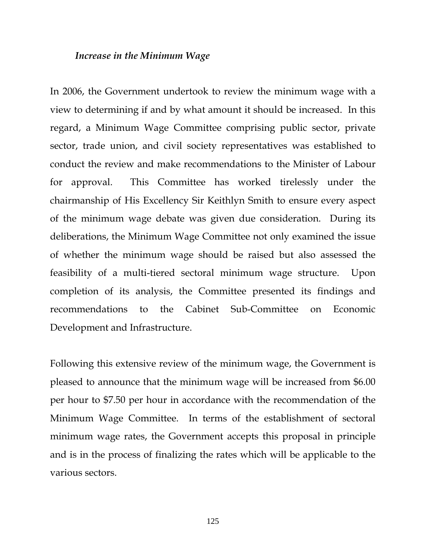#### *Increase in the Minimum Wage*

In 2006, the Government undertook to review the minimum wage with a view to determining if and by what amount it should be increased. In this regard, a Minimum Wage Committee comprising public sector, private sector, trade union, and civil society representatives was established to conduct the review and make recommendations to the Minister of Labour for approval. This Committee has worked tirelessly under the chairmanship of His Excellency Sir Keithlyn Smith to ensure every aspect of the minimum wage debate was given due consideration. During its deliberations, the Minimum Wage Committee not only examined the issue of whether the minimum wage should be raised but also assessed the feasibility of a multi-tiered sectoral minimum wage structure. Upon completion of its analysis, the Committee presented its findings and recommendations to the Cabinet Sub-Committee on Economic Development and Infrastructure.

Following this extensive review of the minimum wage, the Government is pleased to announce that the minimum wage will be increased from \$6.00 per hour to \$7.50 per hour in accordance with the recommendation of the Minimum Wage Committee. In terms of the establishment of sectoral minimum wage rates, the Government accepts this proposal in principle and is in the process of finalizing the rates which will be applicable to the various sectors.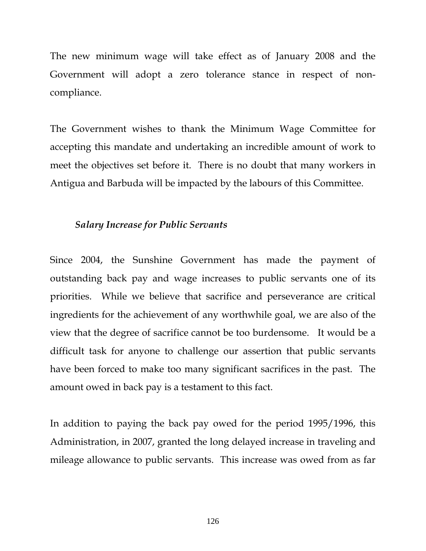The new minimum wage will take effect as of January 2008 and the Government will adopt a zero tolerance stance in respect of noncompliance.

The Government wishes to thank the Minimum Wage Committee for accepting this mandate and undertaking an incredible amount of work to meet the objectives set before it. There is no doubt that many workers in Antigua and Barbuda will be impacted by the labours of this Committee.

## *Salary Increase for Public Servants*

Since 2004, the Sunshine Government has made the payment of outstanding back pay and wage increases to public servants one of its priorities. While we believe that sacrifice and perseverance are critical ingredients for the achievement of any worthwhile goal, we are also of the view that the degree of sacrifice cannot be too burdensome. It would be a difficult task for anyone to challenge our assertion that public servants have been forced to make too many significant sacrifices in the past. The amount owed in back pay is a testament to this fact.

In addition to paying the back pay owed for the period 1995/1996, this Administration, in 2007, granted the long delayed increase in traveling and mileage allowance to public servants. This increase was owed from as far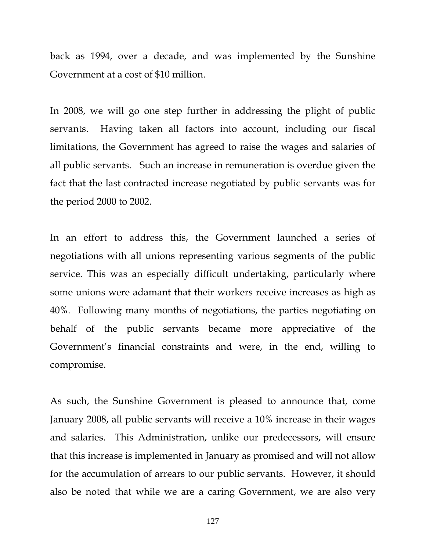back as 1994, over a decade, and was implemented by the Sunshine Government at a cost of \$10 million.

In 2008, we will go one step further in addressing the plight of public servants. Having taken all factors into account, including our fiscal limitations, the Government has agreed to raise the wages and salaries of all public servants. Such an increase in remuneration is overdue given the fact that the last contracted increase negotiated by public servants was for the period 2000 to 2002.

In an effort to address this, the Government launched a series of negotiations with all unions representing various segments of the public service. This was an especially difficult undertaking, particularly where some unions were adamant that their workers receive increases as high as 40%. Following many months of negotiations, the parties negotiating on behalf of the public servants became more appreciative of the Government's financial constraints and were, in the end, willing to compromise.

As such, the Sunshine Government is pleased to announce that, come January 2008, all public servants will receive a 10% increase in their wages and salaries. This Administration, unlike our predecessors, will ensure that this increase is implemented in January as promised and will not allow for the accumulation of arrears to our public servants. However, it should also be noted that while we are a caring Government, we are also very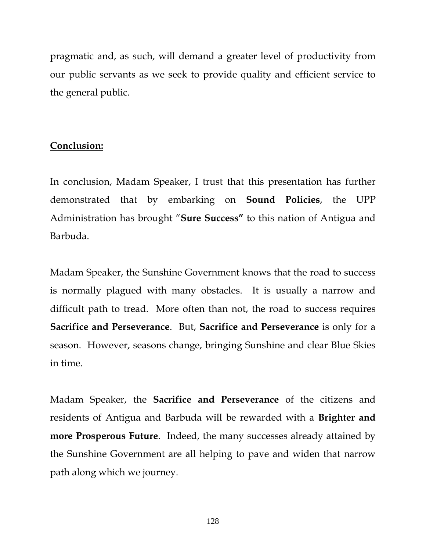pragmatic and, as such, will demand a greater level of productivity from our public servants as we seek to provide quality and efficient service to the general public.

### **Conclusion:**

In conclusion, Madam Speaker, I trust that this presentation has further demonstrated that by embarking on **Sound Policies**, the UPP Administration has brought "**Sure Success"** to this nation of Antigua and Barbuda.

Madam Speaker, the Sunshine Government knows that the road to success is normally plagued with many obstacles. It is usually a narrow and difficult path to tread. More often than not, the road to success requires **Sacrifice and Perseverance**. But, **Sacrifice and Perseverance** is only for a season. However, seasons change, bringing Sunshine and clear Blue Skies in time.

Madam Speaker, the **Sacrifice and Perseverance** of the citizens and residents of Antigua and Barbuda will be rewarded with a **Brighter and more Prosperous Future**. Indeed, the many successes already attained by the Sunshine Government are all helping to pave and widen that narrow path along which we journey.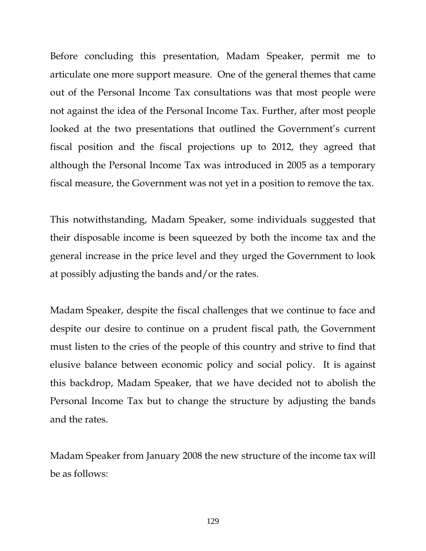Before concluding this presentation, Madam Speaker, permit me to articulate one more support measure. One of the general themes that came out of the Personal Income Tax consultations was that most people were not against the idea of the Personal Income Tax. Further, after most people looked at the two presentations that outlined the Government's current fiscal position and the fiscal projections up to 2012, they agreed that although the Personal Income Tax was introduced in 2005 as a temporary fiscal measure, the Government was not yet in a position to remove the tax.

This notwithstanding, Madam Speaker, some individuals suggested that their disposable income is been squeezed by both the income tax and the general increase in the price level and they urged the Government to look at possibly adjusting the bands and/or the rates.

Madam Speaker, despite the fiscal challenges that we continue to face and despite our desire to continue on a prudent fiscal path, the Government must listen to the cries of the people of this country and strive to find that elusive balance between economic policy and social policy. It is against this backdrop, Madam Speaker, that we have decided not to abolish the Personal Income Tax but to change the structure by adjusting the bands and the rates.

Madam Speaker from January 2008 the new structure of the income tax will be as follows: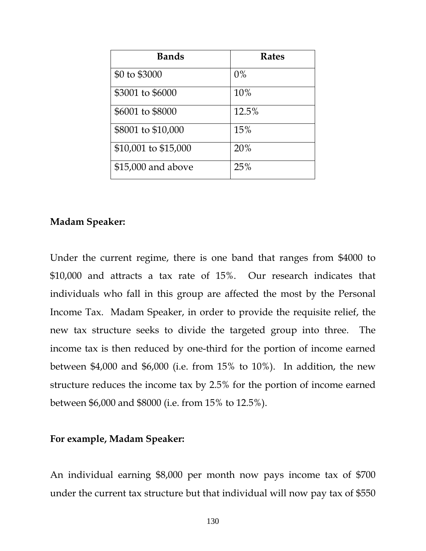| <b>Bands</b>         | <b>Rates</b> |
|----------------------|--------------|
| \$0 to \$3000        | $0\%$        |
| \$3001 to \$6000     | 10%          |
| \$6001 to \$8000     | 12.5%        |
| \$8001 to \$10,000   | 15%          |
| \$10,001 to \$15,000 | 20%          |
| \$15,000 and above   | 25%          |

# **Madam Speaker:**

Under the current regime, there is one band that ranges from \$4000 to \$10,000 and attracts a tax rate of 15%. Our research indicates that individuals who fall in this group are affected the most by the Personal Income Tax. Madam Speaker, in order to provide the requisite relief, the new tax structure seeks to divide the targeted group into three. The income tax is then reduced by one-third for the portion of income earned between \$4,000 and \$6,000 (i.e. from 15% to 10%). In addition, the new structure reduces the income tax by 2.5% for the portion of income earned between \$6,000 and \$8000 (i.e. from 15% to 12.5%).

# **For example, Madam Speaker:**

An individual earning \$8,000 per month now pays income tax of \$700 under the current tax structure but that individual will now pay tax of \$550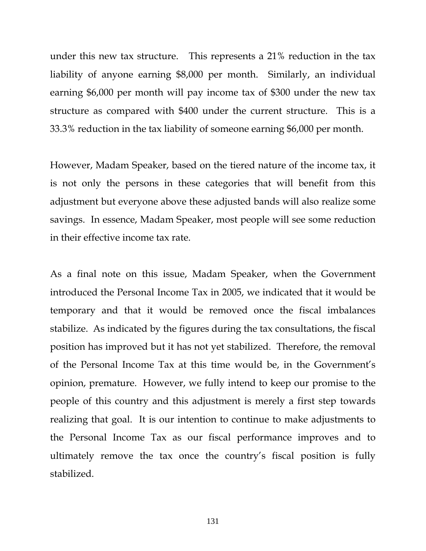under this new tax structure. This represents a 21% reduction in the tax liability of anyone earning \$8,000 per month. Similarly, an individual earning \$6,000 per month will pay income tax of \$300 under the new tax structure as compared with \$400 under the current structure. This is a 33.3% reduction in the tax liability of someone earning \$6,000 per month.

However, Madam Speaker, based on the tiered nature of the income tax, it is not only the persons in these categories that will benefit from this adjustment but everyone above these adjusted bands will also realize some savings. In essence, Madam Speaker, most people will see some reduction in their effective income tax rate.

As a final note on this issue, Madam Speaker, when the Government introduced the Personal Income Tax in 2005, we indicated that it would be temporary and that it would be removed once the fiscal imbalances stabilize. As indicated by the figures during the tax consultations, the fiscal position has improved but it has not yet stabilized. Therefore, the removal of the Personal Income Tax at this time would be, in the Government's opinion, premature. However, we fully intend to keep our promise to the people of this country and this adjustment is merely a first step towards realizing that goal. It is our intention to continue to make adjustments to the Personal Income Tax as our fiscal performance improves and to ultimately remove the tax once the country's fiscal position is fully stabilized.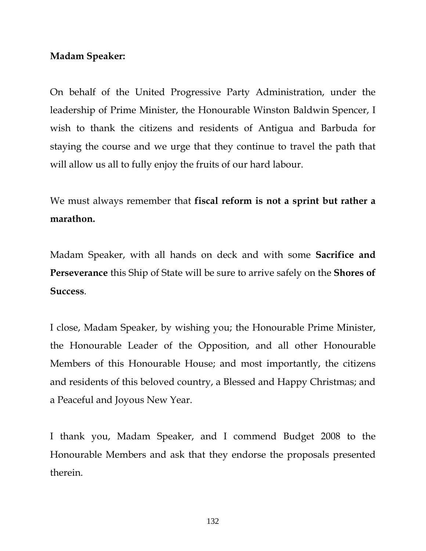# **Madam Speaker:**

On behalf of the United Progressive Party Administration, under the leadership of Prime Minister, the Honourable Winston Baldwin Spencer, I wish to thank the citizens and residents of Antigua and Barbuda for staying the course and we urge that they continue to travel the path that will allow us all to fully enjoy the fruits of our hard labour.

We must always remember that **fiscal reform is not a sprint but rather a marathon.**

Madam Speaker, with all hands on deck and with some **Sacrifice and Perseverance** this Ship of State will be sure to arrive safely on the **Shores of Success**.

I close, Madam Speaker, by wishing you; the Honourable Prime Minister, the Honourable Leader of the Opposition, and all other Honourable Members of this Honourable House; and most importantly, the citizens and residents of this beloved country, a Blessed and Happy Christmas; and a Peaceful and Joyous New Year.

I thank you, Madam Speaker, and I commend Budget 2008 to the Honourable Members and ask that they endorse the proposals presented therein.